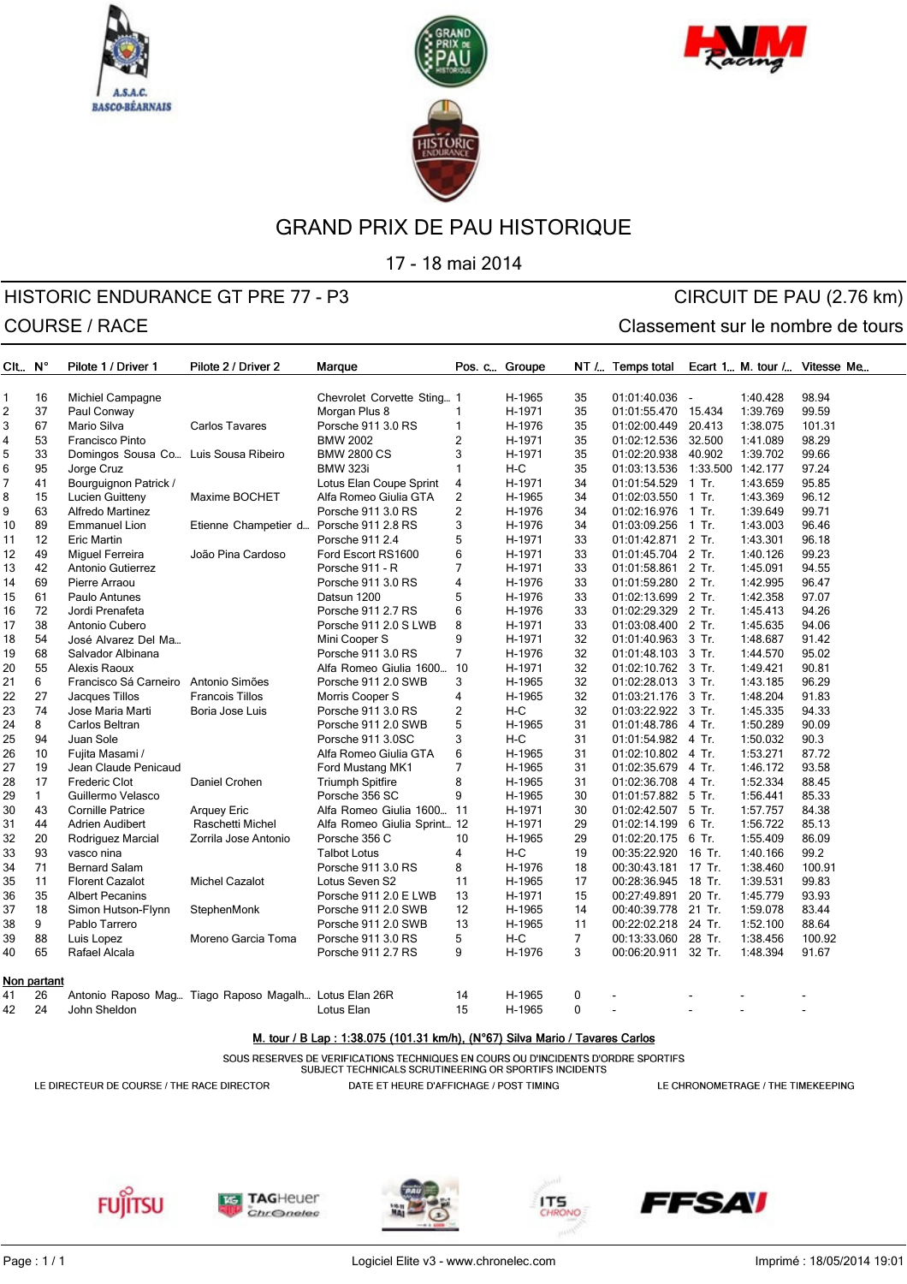





17 - 18 mai 2014

# HISTORIC ENDURANCE GT PRE 77 - P3 CIRCUIT DE PAU (2.76 km) COURSE / RACE COURSE / RACE

| CIL N°         |              | Pilote 1 / Driver 1                  | Pilote 2 / Driver 2                                   | Marque                      | Pos. c Groupe  |        |                | NT / Temps total               |                          |                | Ecart 1 M. tour / Vitesse Me |
|----------------|--------------|--------------------------------------|-------------------------------------------------------|-----------------------------|----------------|--------|----------------|--------------------------------|--------------------------|----------------|------------------------------|
|                |              |                                      |                                                       |                             |                |        |                |                                |                          |                |                              |
| $\mathbf{1}$   | 16           | Michiel Campagne                     |                                                       | Chevrolet Corvette Sting 1  |                | H-1965 | 35             | 01:01:40.036                   |                          | 1:40.428       | 98.94                        |
| $\overline{c}$ | 37           | Paul Conway                          |                                                       | Morgan Plus 8               | $\mathbf{1}$   | H-1971 | 35             | 01:01:55.470 15.434            |                          | 1:39.769       | 99.59                        |
| 3              | 67           | Mario Silva                          | <b>Carlos Tavares</b>                                 | Porsche 911 3.0 RS          | $\mathbf{1}$   | H-1976 | 35             | 01:02:00.449 20.413            |                          | 1:38.075       | 101.31                       |
| 4              | 53           | Francisco Pinto                      |                                                       | <b>BMW 2002</b>             | $\overline{2}$ | H-1971 | 35             | 01:02:12.536 32.500            |                          | 1:41.089       | 98.29                        |
| 5              | 33           | Domingos Sousa Co Luis Sousa Ribeiro |                                                       | <b>BMW 2800 CS</b>          | 3              | H-1971 | 35             | 01:02:20.938 40.902            |                          | 1:39.702       | 99.66                        |
| 6              | 95           | Jorge Cruz                           |                                                       | <b>BMW 323i</b>             | $\mathbf{1}$   | $H-C$  | 35             | 01:03:13.536 1:33.500 1:42.177 |                          |                | 97.24                        |
| 7              | 41           | Bourguignon Patrick /                |                                                       | Lotus Elan Coupe Sprint     | 4              | H-1971 | 34             | 01:01:54.529 1 Tr.             |                          | 1:43.659       | 95.85                        |
| 8              | 15           | Lucien Guitteny                      | Maxime BOCHET                                         | Alfa Romeo Giulia GTA       | $\overline{c}$ | H-1965 | 34             | 01:02:03.550 1 Tr.             |                          | 1:43.369       | 96.12                        |
| 9              | 63           | Alfredo Martinez                     |                                                       | Porsche 911 3.0 RS          | $\mathbf 2$    | H-1976 | 34             | 01:02:16.976 1 Tr.             |                          | 1:39.649       | 99.71                        |
| 10             | 89           | <b>Emmanuel Lion</b>                 | Etienne Champetier d Porsche 911 2.8 RS               |                             | 3              | H-1976 | 34             | 01:03:09.256 1 Tr.             |                          | 1:43.003       | 96.46                        |
| 11             | 12           | <b>Eric Martin</b>                   |                                                       | Porsche 911 2.4             | 5              | H-1971 | 33             | 01:01:42.871 2 Tr.             |                          | 1:43.301       | 96.18                        |
| 12             | 49           | Miguel Ferreira                      | João Pina Cardoso                                     | Ford Escort RS1600          | 6              | H-1971 | 33             | 01:01:45.704 2 Tr.             |                          | 1:40.126       | 99.23                        |
| 13             | 42           | Antonio Gutierrez                    |                                                       | Porsche 911 - R             | $\overline{7}$ | H-1971 | 33             | 01:01:58.861 2 Tr.             |                          | 1:45.091       | 94.55                        |
| 14             | 69           | Pierre Arraou                        |                                                       | Porsche 911 3.0 RS          | 4              | H-1976 | 33             | 01:01:59.280 2 Tr.             |                          | 1:42.995       | 96.47                        |
| 15             | 61           | Paulo Antunes                        |                                                       | Datsun 1200                 | 5              | H-1976 | 33             | 01:02:13.699 2 Tr.             |                          | 1:42.358       | 97.07                        |
| 16             | 72           | Jordi Prenafeta                      |                                                       | Porsche 911 2.7 RS          | 6              | H-1976 | 33             | 01:02:29.329 2 Tr.             |                          | 1:45.413       | 94.26                        |
| 17             | 38           | Antonio Cubero                       |                                                       | Porsche 911 2.0 S LWB       | 8              | H-1971 | 33             | 01:03:08.400 2 Tr.             |                          | 1:45.635       | 94.06                        |
| 18             | 54           | José Alvarez Del Ma                  |                                                       | Mini Cooper S               | 9              | H-1971 | 32             | 01:01:40.963 3 Tr.             |                          | 1:48.687       | 91.42                        |
| 19             | 68           | Salvador Albinana                    |                                                       | Porsche 911 3.0 RS          | $\overline{7}$ | H-1976 | 32             | 01:01:48.103 3 Tr.             |                          | 1:44.570       | 95.02                        |
| 20             | 55           | Alexis Raoux                         |                                                       | Alfa Romeo Giulia 1600 10   |                | H-1971 | 32             | 01:02:10.762 3 Tr.             |                          | 1:49.421       | 90.81                        |
| 21             | 6            | Francisco Sá Carneiro Antonio Simões |                                                       | Porsche 911 2.0 SWB         | 3              | H-1965 | 32             | 01:02:28.013 3 Tr.             |                          | 1:43.185       | 96.29                        |
| 22             | 27           | Jacques Tillos                       | <b>Francois Tillos</b>                                | Morris Cooper S             | 4              | H-1965 | 32             | 01:03:21.176 3 Tr.             |                          | 1:48.204       | 91.83                        |
| 23             | 74           | Jose Maria Marti                     | Boria Jose Luis                                       | Porsche 911 3.0 RS          | $\overline{c}$ | $H-C$  | 32             | 01:03:22.922 3 Tr.             |                          | 1:45.335       | 94.33                        |
| 24             | 8            | Carlos Beltran                       |                                                       | Porsche 911 2.0 SWB         | 5              | H-1965 | 31             | 01:01:48.786 4 Tr.             |                          | 1:50.289       | 90.09                        |
| 25             | 94           | Juan Sole                            |                                                       | Porsche 911 3.0SC           | 3              | $H-C$  | 31             | 01:01:54.982 4 Tr.             |                          | 1:50.032       | 90.3                         |
| 26             | 10           | Fujita Masami /                      |                                                       | Alfa Romeo Giulia GTA       | 6              | H-1965 | 31             | 01:02:10.802 4 Tr.             |                          | 1:53.271       | 87.72                        |
| 27             | 19           | Jean Claude Penicaud                 |                                                       | Ford Mustang MK1            | $\overline{7}$ | H-1965 | 31             | 01:02:35.679 4 Tr.             |                          | 1:46.172       | 93.58                        |
| 28             | 17           | <b>Frederic Clot</b>                 | Daniel Crohen                                         | <b>Triumph Spitfire</b>     | 8              | H-1965 | 31             | 01:02:36.708 4 Tr.             |                          | 1:52.334       | 88.45                        |
| 29             | $\mathbf{1}$ | Guillermo Velasco                    |                                                       | Porsche 356 SC              | 9              | H-1965 | 30             | 01:01:57.882 5 Tr.             |                          | 1:56.441       | 85.33                        |
| 30             | 43           | <b>Cornille Patrice</b>              | Arquey Eric                                           | Alfa Romeo Giulia 1600 11   |                | H-1971 | 30             | 01:02:42.507 5 Tr.             |                          | 1:57.757       | 84.38                        |
| 31             | 44           | Adrien Audibert                      | Raschetti Michel                                      | Alfa Romeo Giulia Sprint 12 |                | H-1971 | 29             | 01:02:14.199 6 Tr.             |                          | 1:56.722       | 85.13                        |
| 32             | 20           | Rodriguez Marcial                    | Zorrila Jose Antonio                                  | Porsche 356 C               | 10             | H-1965 | 29             | 01:02:20.175 6 Tr.             |                          | 1:55.409       | 86.09                        |
| 33             | 93           | vasco nina                           |                                                       | <b>Talbot Lotus</b>         | 4              | $H-C$  | 19             | 00:35:22.920                   | 16 Tr.                   | 1:40.166       | 99.2                         |
| 34             | 71           | <b>Bernard Salam</b>                 |                                                       | Porsche 911 3.0 RS          | 8              | H-1976 | 18             | 00:30:43.181 17 Tr.            |                          | 1:38.460       | 100.91                       |
| 35             | 11           | <b>Florent Cazalot</b>               | <b>Michel Cazalot</b>                                 | Lotus Seven S2              | 11             | H-1965 | 17             | 00:28:36.945                   | 18 Tr.                   | 1:39.531       | 99.83                        |
| 36             | 35           | <b>Albert Pecanins</b>               |                                                       | Porsche 911 2.0 E LWB       | 13             | H-1971 | 15             | 00:27:49.891 20 Tr.            |                          | 1:45.779       | 93.93                        |
| 37             | 18           | Simon Hutson-Flynn                   | StephenMonk                                           | Porsche 911 2.0 SWB         | 12             | H-1965 | 14             | 00:40:39.778 21 Tr.            |                          | 1:59.078       | 83.44                        |
| 38             | 9            | Pablo Tarrero                        |                                                       | Porsche 911 2.0 SWB         | 13             | H-1965 | 11             | 00:22:02.218 24 Tr.            |                          | 1:52.100       | 88.64                        |
| 39             | 88           | Luis Lopez                           | Moreno Garcia Toma                                    | Porsche 911 3.0 RS          | 5              | $H-C$  | $\overline{7}$ | 00:13:33.060 28 Tr.            |                          | 1:38.456       | 100.92                       |
| 40             | 65           | Rafael Alcala                        |                                                       | Porsche 911 2.7 RS          | 9              | H-1976 | 3              | 00:06:20.911 32 Tr.            |                          | 1:48.394       | 91.67                        |
|                | Non partant  |                                      |                                                       |                             |                |        |                |                                |                          |                |                              |
| 41             | 26           |                                      | Antonio Raposo Mag Tiago Raposo Magalh Lotus Elan 26R |                             | 14             | H-1965 | 0              | $\overline{\phantom{a}}$       |                          |                |                              |
| 42             | 24           | John Sheldon                         |                                                       | Lotus Elan                  | 15             | H-1965 | $\mathbf 0$    |                                | $\overline{\phantom{a}}$ | $\blacksquare$ | $\overline{\phantom{a}}$     |

#### M. tour / B Lap: 1:38.075 (101.31 km/h), (N°67) Silva Mario / Tavares Carlos

SOUS RESERVES DE VERIFICATIONS TECHNIQUES EN COURS OU D'INCIDENTS D'ORDRE SPORTIFS

SUBJECT TECHNICALS SCRUTINEERING OR SPORTIFS INCIDENTS

LE DIRECTEUR DE COURSE / THE RACE DIRECTOR

DATE ET HEURE D'AFFICHAGE / POST TIMING

LE CHRONOMETRAGE / THE TIMEKEEPING









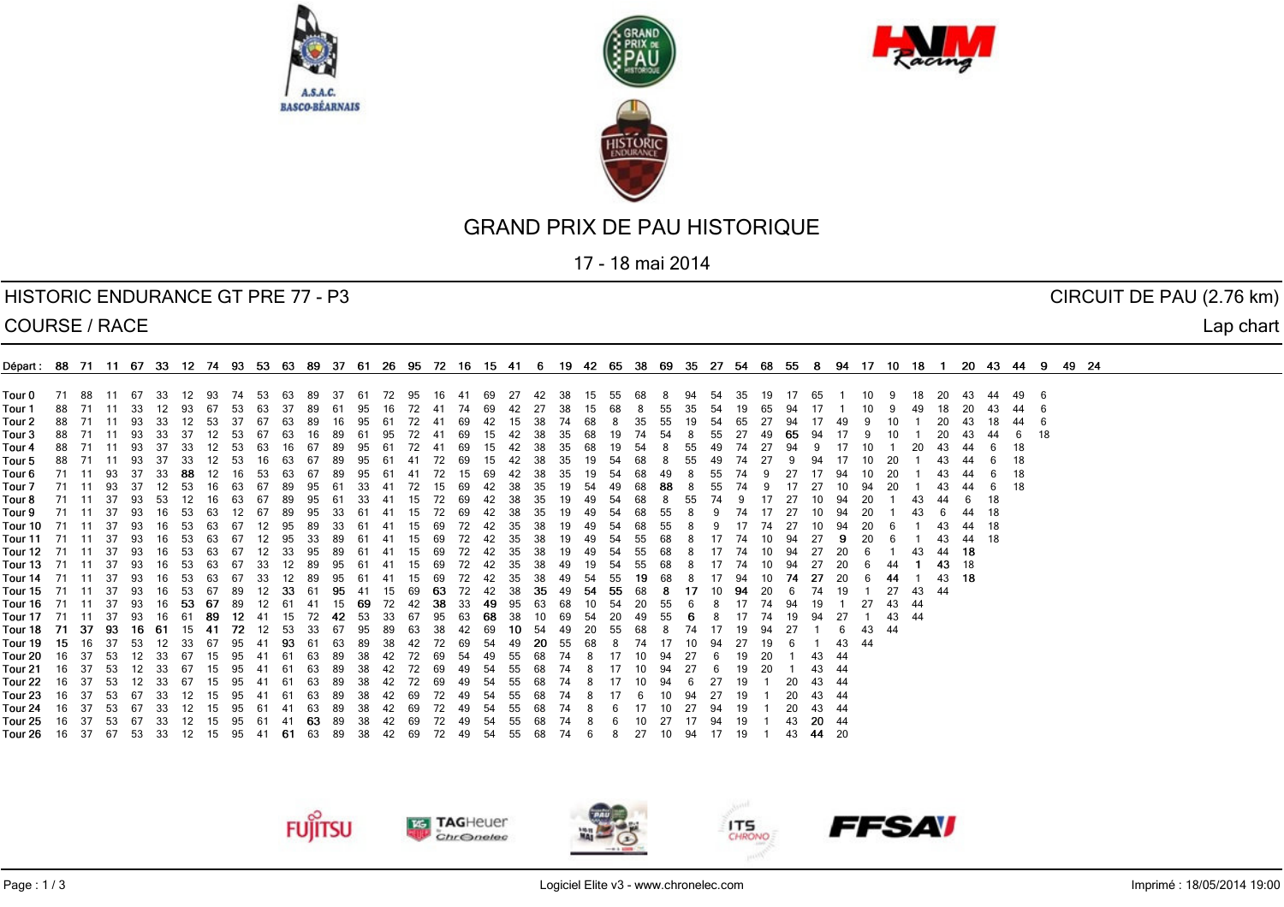





17 - 18 mai 2014

#### HISTORIC ENDURANCE GT PRE 77 - P3 CIRCUIT DE PAU (2.76 km)

COURSE / RACE Lap chart

| Four 0 71 88 11 67<br>27 42 38 15 55 68 8<br>94 54<br>35 19<br>44 49 6<br>- 33<br>12 93 74 53 63 89 37 61 72 95<br>16 41 69<br>17 65<br>- 10<br>-18<br>-20<br>-43<br>Four 1<br>88 71 11 33 12 93 67 53 63 37 89 61 95<br>72 41 74 69 42 27 38<br>15 68<br>-16<br>855<br>35 54<br>43 44<br>19 65 94<br>Tour 2<br>88 71 11 93<br>33 12<br>- 53<br>-67<br>-15<br>- 37<br>-63<br>-89<br>16<br>-61<br>72<br>69<br>-42<br>-38<br>7468<br>-35<br>-55<br>19.<br>- 54<br>-65<br>10<br>18 44<br>95<br>-49<br>-20-<br>- 6<br>43<br>Four 3<br>- 18<br>88 71 11 93<br>33 37<br>12 53<br>67<br>63<br>65 94<br>-16<br>- 89<br>-61<br>3568<br>7454<br>-55<br>-6<br>-49<br>-18<br>Tour 4<br>88 71 11 93<br>12<br>- 37<br>- 33<br>- 53<br>63<br>-67<br>95<br>-72<br>- 69<br>-38<br>35 68<br>19 54<br>55<br>16 I<br>89<br>-61<br>-15<br>42<br>-49<br>74<br>44<br>-41<br>Tour 5<br>18<br>88 71 11 93<br>- 37<br>-67<br>-72<br>-33<br>69<br>35.<br>-54<br>-68<br>55.<br>-61<br>19.<br>-74<br>F <b>our 6</b> 71 11 93 37<br>18<br>- 33<br>12<br>-38<br>-20<br>43.<br>-44<br>-88<br>-53<br>67<br>89<br>95<br>-72<br>42<br>-35<br>-19<br>- 54<br>6849<br>55.<br>10<br>6<br>- 16<br>63<br>-61<br>-15<br>69<br>/4<br>F <b>our 7</b> 71 11 93 37<br>- 18<br>12 53<br>16 63 67 89 95 61<br>- 72<br>-38<br>43<br>-44<br>- 33 - 41<br>-15<br>69<br>- 35<br>19 54 49 68 88<br>55<br>74<br>-20-<br>- 6<br>F <b>our 8</b> 71 11 37 93<br>-18<br>63 67 89 95 61<br>-6<br>- 53<br>16<br>33 41<br>72 69 42<br>- 38<br>- 35<br>19 49 54<br>- 20<br>44<br>- 12<br>- 15<br>68<br>55.<br>74<br>44 18<br>F <b>our 9</b> 71 11 37<br>- 93<br>-16<br>-53<br>-67<br>-89<br>- 95<br>61 41<br>72 69<br>- 38<br>-63<br>-33-<br>-15<br>- 42<br>-35<br>19 49 54<br>68.<br>55<br>44 18<br>Four 10 71 11 37 93<br>72 42<br>16<br>- 53<br>-67<br>- 95<br>-89<br>-33<br>61 41<br>- 69<br>- 35<br>-38<br>19 49 54<br>-68<br>- 20<br>63.<br>-15<br>- 55<br>43.<br>F <b>our 11</b> 71 11 37 93<br>43 44 18<br>16.<br>- 53<br>- 67<br>12 95<br>-33<br>61 41<br>72 42<br>- 35<br>-38<br>19 49 54<br>5568<br>-20<br>63.<br>- 89<br>-15<br>- 69<br>44 18<br>F <b>our 12</b> 71 11 37 93<br>16 53<br>6367<br>12 33 95 89 61 41<br>72 42 35<br>- 38<br>19 49 54<br>55 68<br>15<br>74<br>20<br>- 69<br>F <b>our 13</b> 71 11 37 93<br>43 18<br>16 53 63 67<br>33 12 89 95 61 41<br>72 42 35<br>55 68<br>- 20<br>15 69<br>38 49 19 54<br>-74<br>10 94<br>- 27<br>43 18<br>F <b>our 14</b> 71  11  37  93<br>-33<br>12 89 95<br>72<br>-38<br>49 54 55<br>1968<br>-16<br>- 53<br>6367<br>61 41<br>- 15<br>69<br>42 35<br>94<br>- 74<br>-27<br>-20<br>-44<br>F <b>our 15</b> 71  11  37  93<br>35 49 54 55 68<br>6789<br>12 33 61 95<br>-63<br>72 42<br>-38<br>- 19<br>27<br>43<br>16 53<br>- 41<br>- 15<br>69<br>-8<br>$\mathbf{1}$<br>-94<br>-20-<br>-74<br>F <b>our 16</b> 71  11  37  93<br>15 69 72 42 38 33 49 95 63 68<br>43 44<br>16 53<br>-67<br>- 89<br>12 61 41<br>10 54<br>- 55<br>F <b>our 17</b> 71  11  37  93<br>43 44<br>- 89<br>12 41<br>72 42 53<br>49 55<br>-27<br>16 61<br>33 67 95<br>63 68 38 10<br>-20-<br>- 94<br>- 15<br>69<br>54<br>74<br>-19<br>43 44<br>Four 18 71 37 93 16 61 15<br>- 72<br>33 67<br>12 53<br>9589<br>63<br>42 69<br>-41<br>-38 -<br>10 54<br>- 68<br>Four 19 15 16 37<br>43 44<br>- 53<br>-12<br>95<br>-93-<br>-89<br>-42<br>- 72<br>- 33<br>67<br>-41<br>-61<br>-63<br>-38<br>69<br>- 54<br>49<br>-20-<br>-19<br>55<br>-68<br>$\sqrt{4}$<br>Four 20 16 37 53<br>43 44<br>-61<br>63.<br>-20-<br>-67<br>74<br>F <b>our 21</b> 16 37<br>19 20<br>43 44<br>- 53<br>63<br>-38<br>-72<br>-33-<br>95<br>-61<br>-89<br>- 42<br>-67<br>15.<br>-41<br>69<br>54<br>55<br>$\sqrt{4}$<br>10 94<br>Four 22<br>20 43 44<br>16 37<br>- 53<br>63.<br>.38.<br>- 19<br>-67<br>-54<br>Four 23<br>16 37 53 67<br>6389<br>20 43 44<br>- 33<br>-15<br>95<br>-61<br>38 42 69<br>72 49 54<br>27 19 1<br>-12<br>- 41<br>55<br>- 94<br>68<br>/4<br>b<br>Four 24<br>16 37 53 67<br>33 12<br>-15<br>95 61 41 63 89<br>38 42 69<br>72 49 54 55<br>10 27 94 19<br>- 68<br>74<br>6<br>F <b>our 25</b> 16 37 53 67<br>95 61 41 <b>63</b> 89 38 42 69<br>43 20 44<br>- 33<br>15<br>72 49 54<br>-55<br>27 17 94 19 1<br>- 12<br>748<br>10<br>68.<br>Four 26<br>15 95 41 61 63 89 38 42 69 72 49 54 55 68 74 6<br>27<br>43 44 20<br>16 37 67 53<br>33 12<br>10 94 17 19 | 0épart: 88 71 11 67 33 12 74 93 53 63 89 37 61 26 95 72 16 15 41 6 19 42 65 38 69 35 27 54 68 55 8 94 17 10 18 1 20 43 44 9 49 24 |  |  |  |  |  |  |  |  |  |  |  |  |  |  |  |  |  |  |  |  |  |  |  |  |
|------------------------------------------------------------------------------------------------------------------------------------------------------------------------------------------------------------------------------------------------------------------------------------------------------------------------------------------------------------------------------------------------------------------------------------------------------------------------------------------------------------------------------------------------------------------------------------------------------------------------------------------------------------------------------------------------------------------------------------------------------------------------------------------------------------------------------------------------------------------------------------------------------------------------------------------------------------------------------------------------------------------------------------------------------------------------------------------------------------------------------------------------------------------------------------------------------------------------------------------------------------------------------------------------------------------------------------------------------------------------------------------------------------------------------------------------------------------------------------------------------------------------------------------------------------------------------------------------------------------------------------------------------------------------------------------------------------------------------------------------------------------------------------------------------------------------------------------------------------------------------------------------------------------------------------------------------------------------------------------------------------------------------------------------------------------------------------------------------------------------------------------------------------------------------------------------------------------------------------------------------------------------------------------------------------------------------------------------------------------------------------------------------------------------------------------------------------------------------------------------------------------------------------------------------------------------------------------------------------------------------------------------------------------------------------------------------------------------------------------------------------------------------------------------------------------------------------------------------------------------------------------------------------------------------------------------------------------------------------------------------------------------------------------------------------------------------------------------------------------------------------------------------------------------------------------------------------------------------------------------------------------------------------------------------------------------------------------------------------------------------------------------------------------------------------------------------------------------------------------------------------------------------------------------------------------------------------------------------------------------------------------------------------------------------------------------------------------------------------------------------------------------------------------------------------------------------------------------------------------------------------------------------------------------------------------------------------------------------------------------------------------------------------------------------------------------------------------------------------------------------------------------------------------------------------------------------------------------------------------------------------------------------------------------------------------|-----------------------------------------------------------------------------------------------------------------------------------|--|--|--|--|--|--|--|--|--|--|--|--|--|--|--|--|--|--|--|--|--|--|--|--|
|                                                                                                                                                                                                                                                                                                                                                                                                                                                                                                                                                                                                                                                                                                                                                                                                                                                                                                                                                                                                                                                                                                                                                                                                                                                                                                                                                                                                                                                                                                                                                                                                                                                                                                                                                                                                                                                                                                                                                                                                                                                                                                                                                                                                                                                                                                                                                                                                                                                                                                                                                                                                                                                                                                                                                                                                                                                                                                                                                                                                                                                                                                                                                                                                                                                                                                                                                                                                                                                                                                                                                                                                                                                                                                                                                                                                                                                                                                                                                                                                                                                                                                                                                                                                                                                                                                                  |                                                                                                                                   |  |  |  |  |  |  |  |  |  |  |  |  |  |  |  |  |  |  |  |  |  |  |  |  |
|                                                                                                                                                                                                                                                                                                                                                                                                                                                                                                                                                                                                                                                                                                                                                                                                                                                                                                                                                                                                                                                                                                                                                                                                                                                                                                                                                                                                                                                                                                                                                                                                                                                                                                                                                                                                                                                                                                                                                                                                                                                                                                                                                                                                                                                                                                                                                                                                                                                                                                                                                                                                                                                                                                                                                                                                                                                                                                                                                                                                                                                                                                                                                                                                                                                                                                                                                                                                                                                                                                                                                                                                                                                                                                                                                                                                                                                                                                                                                                                                                                                                                                                                                                                                                                                                                                                  |                                                                                                                                   |  |  |  |  |  |  |  |  |  |  |  |  |  |  |  |  |  |  |  |  |  |  |  |  |
|                                                                                                                                                                                                                                                                                                                                                                                                                                                                                                                                                                                                                                                                                                                                                                                                                                                                                                                                                                                                                                                                                                                                                                                                                                                                                                                                                                                                                                                                                                                                                                                                                                                                                                                                                                                                                                                                                                                                                                                                                                                                                                                                                                                                                                                                                                                                                                                                                                                                                                                                                                                                                                                                                                                                                                                                                                                                                                                                                                                                                                                                                                                                                                                                                                                                                                                                                                                                                                                                                                                                                                                                                                                                                                                                                                                                                                                                                                                                                                                                                                                                                                                                                                                                                                                                                                                  |                                                                                                                                   |  |  |  |  |  |  |  |  |  |  |  |  |  |  |  |  |  |  |  |  |  |  |  |  |
|                                                                                                                                                                                                                                                                                                                                                                                                                                                                                                                                                                                                                                                                                                                                                                                                                                                                                                                                                                                                                                                                                                                                                                                                                                                                                                                                                                                                                                                                                                                                                                                                                                                                                                                                                                                                                                                                                                                                                                                                                                                                                                                                                                                                                                                                                                                                                                                                                                                                                                                                                                                                                                                                                                                                                                                                                                                                                                                                                                                                                                                                                                                                                                                                                                                                                                                                                                                                                                                                                                                                                                                                                                                                                                                                                                                                                                                                                                                                                                                                                                                                                                                                                                                                                                                                                                                  |                                                                                                                                   |  |  |  |  |  |  |  |  |  |  |  |  |  |  |  |  |  |  |  |  |  |  |  |  |

**FUJITSU EG** TAGHeuer **FFSAV ITS**<br>CHRONO *Chr* Onelec

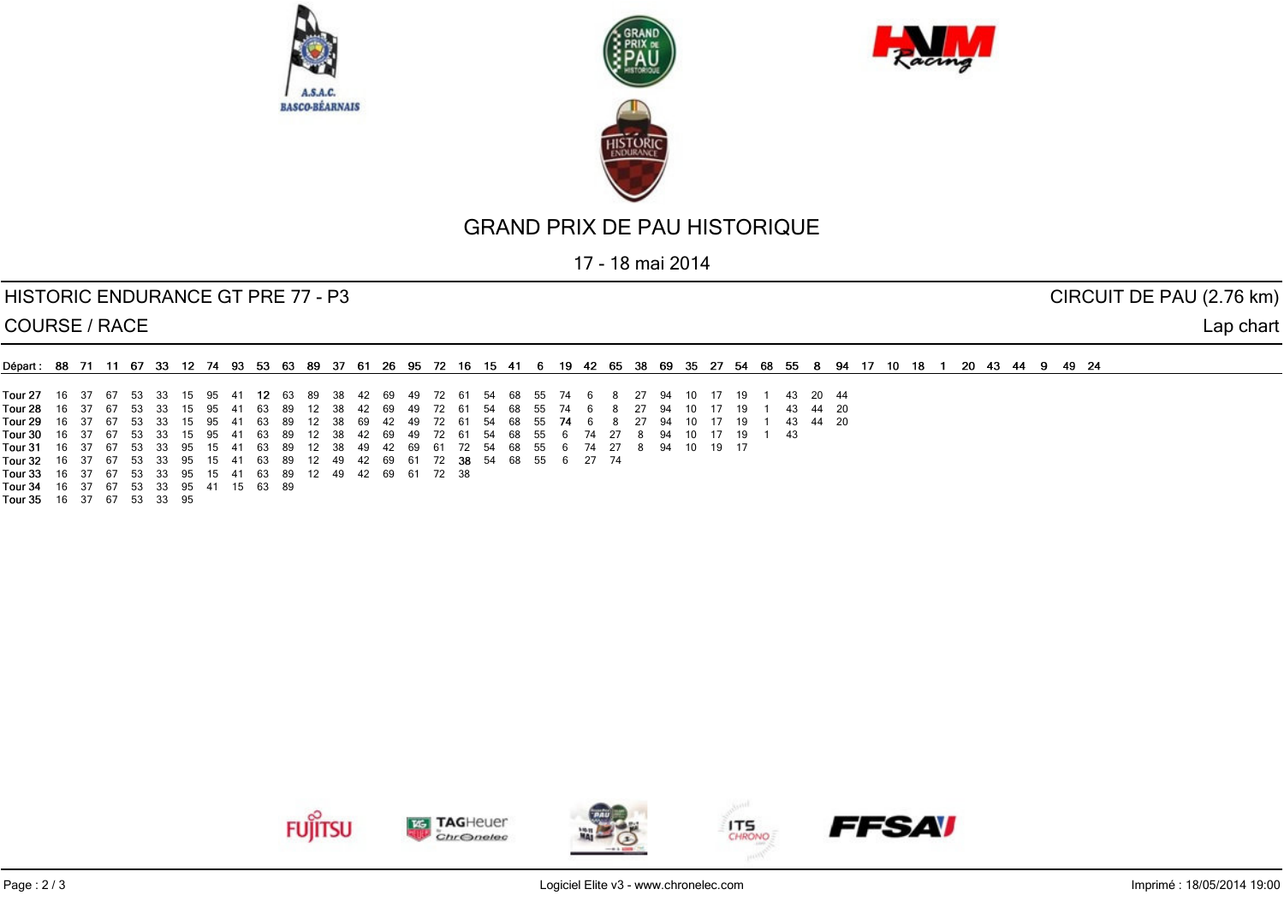





17 - 18 mai 2014

#### HISTORIC ENDURANCE GT PRE 77 - P3 CIRCUIT DE PAU (2.76 km)

COURSE / RACE Lap chart

| ∎Départ: 88 71 11 67 33 12 74 93 53 63 89 37 61 26 95 72 16 15 41 6 19 42 65 38 69 35 27 54 68 55 8 94 17 10 18 1 20 43 44 9 49 24 |  |  |  |  |  |  |  |  |  |  |                                                                                          |  |  |  |  |          |  |  |  |  |  |  |
|------------------------------------------------------------------------------------------------------------------------------------|--|--|--|--|--|--|--|--|--|--|------------------------------------------------------------------------------------------|--|--|--|--|----------|--|--|--|--|--|--|
|                                                                                                                                    |  |  |  |  |  |  |  |  |  |  |                                                                                          |  |  |  |  |          |  |  |  |  |  |  |
| Tour 27 16 37 67 53 33 15 95 41 12 63 89 38 42 69 49 72 61 54 68 55 74 6 8 27 94 10 17 19 1 43 20 44                               |  |  |  |  |  |  |  |  |  |  |                                                                                          |  |  |  |  |          |  |  |  |  |  |  |
| Tour 28                                                                                                                            |  |  |  |  |  |  |  |  |  |  | 16 37 67 53 33 15 95 41 63 89 12 38 42 69 49 72 61 54 68 55 74 6 8 27 94 10 17 19        |  |  |  |  | 43 44 20 |  |  |  |  |  |  |
| Tour 29                                                                                                                            |  |  |  |  |  |  |  |  |  |  | 16 37 67 53 33 15 95 41 63 89 12 38 69 42 49 72 61 54 68 55 <b>74</b> 6 8 27 94 10 17 19 |  |  |  |  |          |  |  |  |  |  |  |

16 8 27 94 10 17 19 1 43 44 20<br>18 27 94 10 17 19 1 43 44 20 8 27 94 10 17 19 16 37 67 53 33 15 95 41 63 89 12 38 42 69 49 72 61 54 68 55 6 74 27 8 94 10 17 19 1 43 16 37 67 53 33 95 15 41 63 89 12 38 49 42 69 61 72 54 68 55 6 74 27 8 94 10 19 17 16 37 67 53 33 95 15 41 63 89 12 49 42 69 61 72 54 68 55 6 27 74 Tour 32 16 37 67 53 33 95 15 41 63 89 12 49 42 69 61 72 38 Tour 34 16 37 67 53 33 95 41 15 63 89

Tour 35 16 37 67 53 33 95

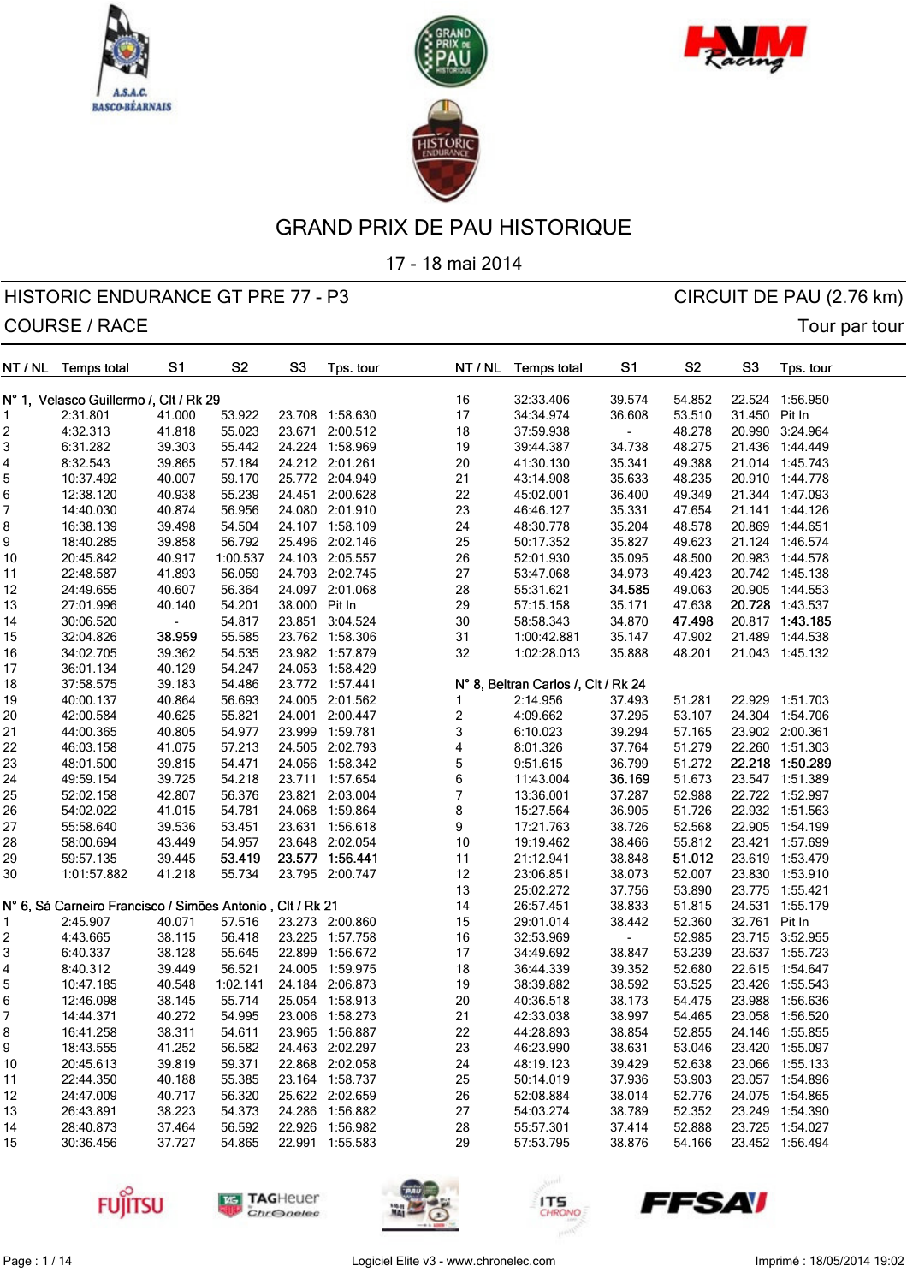





17 - 18 mai 2014

| NT / NL | <b>Temps total</b>                                        | S <sub>1</sub>           | S <sub>2</sub> | S <sub>3</sub> | Tps. tour       |                           | NT / NL | <b>Temps total</b>                  | S <sub>1</sub> | S <sub>2</sub> | S <sub>3</sub> | Tps. tour       |
|---------|-----------------------------------------------------------|--------------------------|----------------|----------------|-----------------|---------------------------|---------|-------------------------------------|----------------|----------------|----------------|-----------------|
|         | N° 1, Velasco Guillermo /, Clt / Rk 29                    |                          |                |                |                 | 16                        |         | 32:33.406                           | 39.574         | 54.852         |                | 22.524 1:56.950 |
| 1       | 2:31.801                                                  | 41.000                   | 53.922         |                | 23.708 1:58.630 | 17                        |         | 34:34.974                           | 36.608         | 53.510         | 31.450 Pit In  |                 |
| 2       | 4:32.313                                                  | 41.818                   | 55.023         |                | 23.671 2:00.512 | 18                        |         | 37:59.938                           | $\blacksquare$ | 48.278         |                | 20.990 3:24.964 |
| 3       | 6:31.282                                                  | 39.303                   | 55.442         |                | 24.224 1:58.969 | 19                        |         | 39:44.387                           | 34.738         | 48.275         |                | 21.436 1:44.449 |
| 4       | 8:32.543                                                  | 39.865                   | 57.184         |                | 24.212 2:01.261 | 20                        |         | 41:30.130                           | 35.341         | 49.388         |                | 21.014 1:45.743 |
| 5       | 10:37.492                                                 | 40.007                   | 59.170         |                | 25.772 2:04.949 | 21                        |         | 43:14.908                           | 35.633         | 48.235         |                | 20.910 1:44.778 |
| 6       | 12:38.120                                                 | 40.938                   | 55.239         |                | 24.451 2:00.628 | 22                        |         | 45:02.001                           | 36.400         | 49.349         |                | 21.344 1:47.093 |
| 7       | 14:40.030                                                 | 40.874                   | 56.956         |                | 24.080 2:01.910 | 23                        |         | 46:46.127                           | 35.331         | 47.654         |                | 21.141 1:44.126 |
| 8       | 16:38.139                                                 | 39.498                   | 54.504         |                | 24.107 1:58.109 | 24                        |         | 48:30.778                           | 35.204         | 48.578         |                | 20.869 1:44.651 |
| 9       | 18:40.285                                                 | 39.858                   | 56.792         |                | 25.496 2:02.146 | 25                        |         | 50:17.352                           | 35.827         | 49.623         |                | 21.124 1:46.574 |
| 10      | 20:45.842                                                 | 40.917                   | 1:00.537       |                | 24.103 2:05.557 | 26                        |         | 52:01.930                           | 35.095         | 48.500         |                | 20.983 1:44.578 |
| 11      | 22:48.587                                                 | 41.893                   | 56.059         |                | 24.793 2:02.745 | 27                        |         | 53:47.068                           | 34.973         | 49.423         |                | 20.742 1:45.138 |
| 12      | 24:49.655                                                 | 40.607                   | 56.364         |                | 24.097 2:01.068 | 28                        |         | 55:31.621                           | 34.585         | 49.063         |                | 20.905 1:44.553 |
| 13      | 27:01.996                                                 | 40.140                   | 54.201         | 38.000         | Pit In          | 29                        |         | 57:15.158                           | 35.171         | 47.638         |                | 20.728 1:43.537 |
| 14      | 30:06.520                                                 | $\overline{\phantom{a}}$ | 54.817         |                | 23.851 3:04.524 | 30                        |         | 58:58.343                           | 34.870         | 47.498         |                | 20.817 1:43.185 |
| 15      | 32:04.826                                                 | 38.959                   | 55.585         |                | 23.762 1:58.306 | 31                        |         | 1:00:42.881                         | 35.147         | 47.902         |                | 21.489 1:44.538 |
| 16      | 34:02.705                                                 | 39.362                   | 54.535         |                | 23.982 1:57.879 | 32                        |         | 1:02:28.013                         | 35.888         | 48.201         |                | 21.043 1:45.132 |
| 17      | 36:01.134                                                 | 40.129                   | 54.247         |                | 24.053 1:58.429 |                           |         |                                     |                |                |                |                 |
| 18      | 37:58.575                                                 | 39.183                   | 54.486         |                | 23.772 1:57.441 |                           |         | N° 8, Beltran Carlos /, Clt / Rk 24 |                |                |                |                 |
| 19      | 40:00.137                                                 | 40.864                   | 56.693         |                | 24.005 2:01.562 | 1                         |         | 2:14.956                            | 37.493         | 51.281         |                | 22.929 1:51.703 |
| 20      | 42:00.584                                                 | 40.625                   | 55.821         |                | 24.001 2:00.447 | $\overline{\mathbf{c}}$   |         | 4:09.662                            | 37.295         | 53.107         |                | 24.304 1:54.706 |
| 21      | 44:00.365                                                 | 40.805                   | 54.977         |                | 23.999 1:59.781 | $\ensuremath{\mathsf{3}}$ |         | 6:10.023                            | 39.294         | 57.165         |                | 23.902 2:00.361 |
| 22      | 46:03.158                                                 | 41.075                   | 57.213         |                | 24.505 2:02.793 | $\overline{\mathbf{4}}$   |         | 8:01.326                            | 37.764         | 51.279         |                | 22.260 1:51.303 |
| 23      | 48:01.500                                                 | 39.815                   | 54.471         |                | 24.056 1:58.342 | $\mathbf 5$               |         | 9:51.615                            | 36.799         | 51.272         |                | 22.218 1:50.289 |
| 24      | 49:59.154                                                 | 39.725                   | 54.218         |                | 23.711 1:57.654 | $\,6$                     |         | 11:43.004                           | 36.169         | 51.673         |                | 23.547 1:51.389 |
| 25      | 52:02.158                                                 | 42.807                   | 56.376         |                | 23.821 2:03.004 | $\boldsymbol{7}$          |         | 13:36.001                           | 37.287         | 52.988         |                | 22.722 1:52.997 |
| 26      | 54:02.022                                                 | 41.015                   | 54.781         |                | 24.068 1:59.864 | 8                         |         | 15:27.564                           | 36.905         | 51.726         |                | 22.932 1:51.563 |
| 27      | 55:58.640                                                 | 39.536                   | 53.451         |                | 23.631 1:56.618 | 9                         |         | 17:21.763                           | 38.726         | 52.568         |                | 22.905 1:54.199 |
| 28      | 58:00.694                                                 | 43.449                   | 54.957         |                | 23.648 2:02.054 | 10                        |         | 19:19.462                           | 38.466         | 55.812         |                | 23.421 1:57.699 |
| 29      | 59:57.135                                                 | 39.445                   | 53.419         |                | 23.577 1:56.441 | 11                        |         | 21:12.941                           | 38.848         | 51.012         |                | 23.619 1:53.479 |
| 30      | 1:01:57.882                                               | 41.218                   | 55.734         |                | 23.795 2:00.747 | 12                        |         | 23:06.851                           | 38.073         | 52.007         |                | 23.830 1:53.910 |
|         |                                                           |                          |                |                |                 | 13                        |         | 25:02.272                           | 37.756         | 53.890         |                | 23.775 1:55.421 |
|         | N° 6, Sá Carneiro Francisco / Simões Antonio, Clt / Rk 21 |                          |                |                |                 | 14                        |         | 26:57.451                           | 38.833         | 51.815         |                | 24.531 1:55.179 |
|         | 2:45.907                                                  | 40.071                   | 57.516         |                | 23.273 2:00.860 | 15                        |         | 29:01.014                           | 38.442         | 52.360         | 32.761 Pit In  |                 |
| 2       | 4:43.665                                                  | 38.115                   | 56.418         |                | 23.225 1:57.758 | 16                        |         | 32:53.969                           |                | 52.985         |                | 23.715 3:52.955 |
| 3       | 6:40.337                                                  | 38.128                   | 55.645         |                | 22.899 1:56.672 | 17                        |         | 34:49.692                           | 38.847         | 53.239         |                | 23.637 1:55.723 |
| 4       | 8:40.312                                                  | 39.449                   | 56.521         |                | 24.005 1:59.975 | 18                        |         | 36:44.339                           | 39.352         | 52.680         |                | 22.615 1:54.647 |
| 5       | 10:47.185                                                 | 40.548                   | 1:02.141       |                | 24.184 2:06.873 | 19                        |         | 38:39.882                           | 38.592         | 53.525         |                | 23.426 1:55.543 |
| 6       | 12:46.098                                                 | 38.145                   | 55.714         |                | 25.054 1:58.913 | 20                        |         | 40:36.518                           | 38.173         | 54.475         |                | 23.988 1:56.636 |
| 7       | 14:44.371                                                 | 40.272                   | 54.995         |                | 23.006 1:58.273 | 21                        |         | 42:33.038                           | 38.997         | 54.465         |                | 23.058 1:56.520 |
| 8       | 16:41.258                                                 | 38.311                   | 54.611         |                | 23.965 1:56.887 | 22                        |         | 44:28.893                           | 38.854         | 52.855         |                | 24.146 1:55.855 |
| 9       | 18:43.555                                                 | 41.252                   | 56.582         |                | 24.463 2:02.297 | 23                        |         | 46:23.990                           | 38.631         | 53.046         |                | 23.420 1:55.097 |
| 10      | 20:45.613                                                 | 39.819                   | 59.371         |                | 22.868 2:02.058 | 24                        |         | 48:19.123                           | 39.429         | 52.638         |                | 23.066 1:55.133 |
| 11      | 22:44.350                                                 | 40.188                   | 55.385         |                | 23.164 1:58.737 | 25                        |         | 50:14.019                           | 37.936         | 53.903         |                | 23.057 1:54.896 |
| 12      | 24:47.009                                                 | 40.717                   | 56.320         |                | 25.622 2:02.659 | 26                        |         | 52:08.884                           | 38.014         | 52.776         |                | 24.075 1:54.865 |
| 13      | 26:43.891                                                 | 38.223                   | 54.373         |                | 24.286 1:56.882 | 27                        |         | 54:03.274                           | 38.789         | 52.352         |                | 23.249 1:54.390 |
| 14      | 28:40.873                                                 | 37.464                   | 56.592         |                | 22.926 1:56.982 | 28                        |         | 55:57.301                           | 37.414         | 52.888         |                | 23.725 1:54.027 |
| 15      | 30:36.456                                                 | 37.727                   | 54.865         |                | 22.991 1:55.583 | 29                        |         | 57:53.795                           | 38.876         | 54.166         |                | 23.452 1:56.494 |
|         |                                                           |                          |                |                |                 |                           |         |                                     |                |                |                |                 |









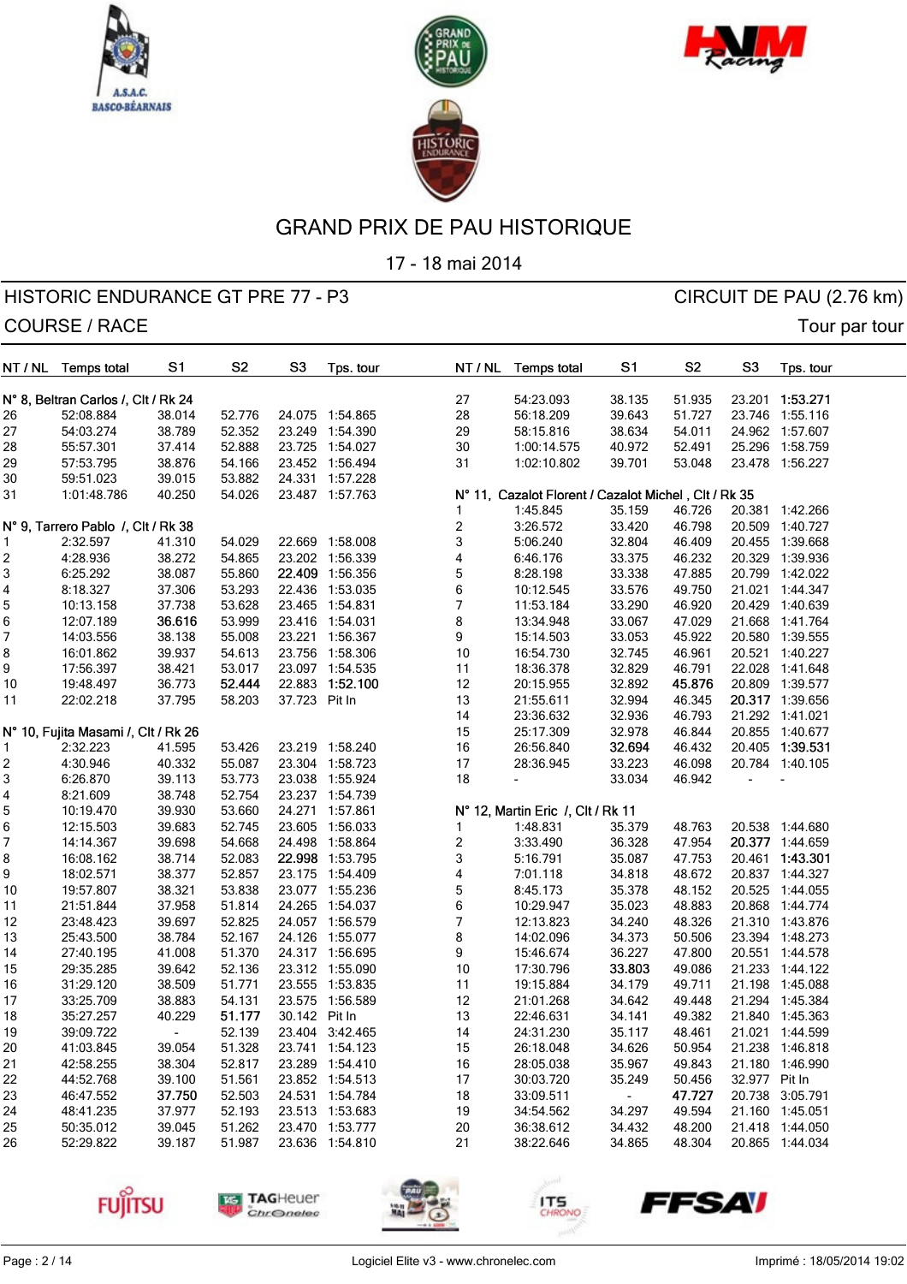





17 - 18 mai 2014

| NT / NL | <b>Temps total</b>                  | S1                       | S <sub>2</sub> | S <sub>3</sub> | Tps. tour       | NT / NL                 | <b>Temps total</b>                                               | S1             | S <sub>2</sub> | S <sub>3</sub> | Tps. tour       |
|---------|-------------------------------------|--------------------------|----------------|----------------|-----------------|-------------------------|------------------------------------------------------------------|----------------|----------------|----------------|-----------------|
|         |                                     |                          |                |                |                 | 27                      | 54:23.093                                                        | 38.135         | 51.935         |                | 23.201 1:53.271 |
|         | N° 8, Beltran Carlos /, Clt / Rk 24 |                          |                |                |                 | 28                      |                                                                  | 39.643         |                |                |                 |
| 26      | 52:08.884                           | 38.014                   | 52.776         |                | 24.075 1:54.865 |                         | 56:18.209                                                        |                | 51.727         |                | 23.746 1:55.116 |
| 27      | 54:03.274                           | 38.789                   | 52.352         |                | 23.249 1:54.390 | 29                      | 58:15.816                                                        | 38.634         | 54.011         |                | 24.962 1:57.607 |
| 28      | 55:57.301                           | 37.414                   | 52.888         |                | 23.725 1:54.027 | 30                      | 1:00:14.575                                                      | 40.972         | 52.491         |                | 25.296 1:58.759 |
| 29      | 57:53.795                           | 38.876                   | 54.166         |                | 23.452 1:56.494 | 31                      | 1:02:10.802                                                      | 39.701         | 53.048         |                | 23.478 1:56.227 |
| 30      | 59:51.023                           | 39.015                   | 53.882         |                | 24.331 1:57.228 |                         |                                                                  |                |                |                |                 |
| 31      | 1:01:48.786                         | 40.250                   | 54.026         |                | 23.487 1:57.763 |                         | N° 11, Cazalot Florent / Cazalot Michel, Clt / Rk 35<br>1:45.845 | 35.159         | 46.726         |                | 20.381 1:42.266 |
|         | N° 9, Tarrero Pablo /, Clt / Rk 38  |                          |                |                |                 | $\boldsymbol{2}$        | 3:26.572                                                         | 33.420         | 46.798         | 20.509         | 1:40.727        |
| 1       | 2:32.597                            | 41.310                   | 54.029         |                | 22.669 1:58.008 | 3                       | 5:06.240                                                         | 32.804         | 46.409         |                | 20.455 1:39.668 |
| 2       | 4:28.936                            | 38.272                   | 54.865         |                | 23.202 1:56.339 | 4                       | 6:46.176                                                         | 33.375         | 46.232         | 20.329         | 1:39.936        |
| 3       | 6:25.292                            | 38.087                   | 55.860         |                | 22.409 1:56.356 | 5                       | 8:28.198                                                         | 33.338         | 47.885         |                | 20.799 1:42.022 |
| 4       | 8:18.327                            | 37.306                   | 53.293         |                | 22.436 1:53.035 | 6                       | 10:12.545                                                        | 33.576         | 49.750         |                | 21.021 1:44.347 |
| 5       | 10:13.158                           | 37.738                   | 53.628         |                | 23.465 1:54.831 | 7                       | 11:53.184                                                        | 33.290         | 46.920         | 20.429         | 1:40.639        |
| 6       | 12:07.189                           | 36.616                   | 53.999         |                | 23.416 1:54.031 | 8                       | 13:34.948                                                        | 33.067         | 47.029         |                | 21.668 1:41.764 |
| 7       | 14:03.556                           | 38.138                   | 55.008         |                | 23.221 1:56.367 | 9                       | 15:14.503                                                        | 33.053         | 45.922         |                | 20.580 1:39.555 |
| 8       | 16:01.862                           | 39.937                   | 54.613         |                | 23.756 1:58.306 | $10$                    | 16:54.730                                                        | 32.745         | 46.961         |                | 20.521 1:40.227 |
| 9       | 17:56.397                           | 38.421                   | 53.017         |                | 23.097 1:54.535 | 11                      | 18:36.378                                                        | 32.829         | 46.791         | 22.028         | 1:41.648        |
| 10      | 19:48.497                           | 36.773                   | 52.444         | 22.883         | 1:52.100        | 12                      | 20:15.955                                                        | 32.892         | 45.876         |                | 20.809 1:39.577 |
|         | 22:02.218                           | 37.795                   | 58.203         | 37.723 Pit In  |                 | 13                      | 21:55.611                                                        | 32.994         | 46.345         |                | 20.317 1:39.656 |
| 11      |                                     |                          |                |                |                 |                         |                                                                  | 32.936         | 46.793         |                | 21.292 1:41.021 |
|         |                                     |                          |                |                |                 | 14                      | 23:36.632<br>25:17.309                                           | 32.978         | 46.844         |                | 20.855 1:40.677 |
|         | N° 10, Fujita Masami /, Clt / Rk 26 |                          |                |                |                 | 15                      |                                                                  |                |                |                |                 |
| 1       | 2:32.223                            | 41.595                   | 53.426         |                | 23.219 1:58.240 | $16$                    | 26:56.840                                                        | 32.694         | 46.432         |                | 20.405 1:39.531 |
| 2       | 4:30.946                            | 40.332                   | 55.087         |                | 23.304 1:58.723 | 17                      | 28:36.945                                                        | 33.223         | 46.098         |                | 20.784 1:40.105 |
| 3       | 6:26.870                            | 39.113                   | 53.773         |                | 23.038 1:55.924 | 18                      |                                                                  | 33.034         | 46.942         |                |                 |
| 4       | 8:21.609                            | 38.748                   | 52.754         |                | 23.237 1:54.739 |                         |                                                                  |                |                |                |                 |
| 5       | 10:19.470                           | 39.930                   | 53.660         |                | 24.271 1:57.861 |                         | N° 12, Martin Eric /, Clt / Rk 11                                |                |                |                |                 |
| 6       | 12:15.503                           | 39.683                   | 52.745         |                | 23.605 1:56.033 | 1                       | 1:48.831                                                         | 35.379         | 48.763         |                | 20.538 1:44.680 |
| 7       | 14:14.367                           | 39.698                   | 54.668         |                | 24.498 1:58.864 | $\overline{\mathbf{c}}$ | 3:33.490                                                         | 36.328         | 47.954         |                | 20.377 1:44.659 |
| 8       | 16:08.162                           | 38.714                   | 52.083         |                | 22.998 1:53.795 | 3                       | 5:16.791                                                         | 35.087         | 47.753         |                | 20.461 1:43.301 |
| 9       | 18:02.571                           | 38.377                   | 52.857         |                | 23.175 1:54.409 | 4                       | 7:01.118                                                         | 34.818         | 48.672         |                | 20.837 1:44.327 |
| 10      | 19:57.807                           | 38.321                   | 53.838         |                | 23.077 1:55.236 | 5                       | 8:45.173                                                         | 35.378         | 48.152         |                | 20.525 1:44.055 |
| 11      | 21:51.844                           | 37.958                   | 51.814         |                | 24.265 1:54.037 | 6                       | 10:29.947                                                        | 35.023         | 48.883         |                | 20.868 1:44.774 |
| 12      | 23:48.423                           | 39.697                   | 52.825         |                | 24.057 1:56.579 | 7                       | 12:13.823                                                        | 34.240         | 48.326         |                | 21.310 1:43.876 |
| 13      | 25:43.500                           | 38.784                   | 52.167         |                | 24.126 1:55.077 | 8                       | 14:02.096                                                        | 34.373         | 50.506         |                | 23.394 1:48.273 |
| 14      | 27:40.195                           | 41.008                   | 51.370         |                | 24.317 1:56.695 | 9                       | 15:46.674                                                        | 36.227         | 47.800         |                | 20.551 1:44.578 |
| 15      | 29:35.285                           | 39.642                   | 52.136         |                | 23.312 1:55.090 | $10$                    | 17:30.796                                                        | 33.803         | 49.086         |                | 21.233 1:44.122 |
| 16      | 31:29.120                           | 38.509                   | 51.771         |                | 23.555 1:53.835 | 11                      | 19:15.884                                                        | 34.179         | 49.711         |                | 21.198 1:45.088 |
| 17      | 33:25.709                           | 38.883                   | 54.131         |                | 23.575 1:56.589 | 12                      | 21:01.268                                                        | 34.642         | 49.448         |                | 21.294 1:45.384 |
| 18      | 35:27.257                           | 40.229                   | 51.177         | 30.142 Pit In  |                 | 13                      | 22:46.631                                                        | 34.141         | 49.382         |                | 21.840 1:45.363 |
| 19      | 39:09.722                           | $\overline{\phantom{a}}$ | 52.139         |                | 23.404 3:42.465 | 14                      | 24:31.230                                                        | 35.117         | 48.461         |                | 21.021 1:44.599 |
| 20      | 41:03.845                           | 39.054                   | 51.328         |                | 23.741 1:54.123 | 15                      | 26:18.048                                                        | 34.626         | 50.954         |                | 21.238 1:46.818 |
| 21      | 42:58.255                           | 38.304                   | 52.817         |                | 23.289 1:54.410 | 16                      | 28:05.038                                                        | 35.967         | 49.843         |                | 21.180 1:46.990 |
| 22      | 44:52.768                           | 39.100                   | 51.561         |                | 23.852 1:54.513 | 17                      | 30:03.720                                                        | 35.249         | 50.456         | 32.977 Pit In  |                 |
| 23      | 46:47.552                           | 37.750                   | 52.503         |                | 24.531 1:54.784 | 18                      | 33:09.511                                                        | $\blacksquare$ | 47.727         |                | 20.738 3:05.791 |
| 24      | 48:41.235                           | 37.977                   | 52.193         |                | 23.513 1:53.683 | 19                      | 34:54.562                                                        | 34.297         | 49.594         |                | 21.160 1:45.051 |
| 25      | 50:35.012                           | 39.045                   | 51.262         |                | 23.470 1:53.777 | 20                      | 36:38.612                                                        | 34.432         | 48.200         |                | 21.418 1:44.050 |
| 26      | 52:29.822                           | 39.187                   | 51.987         |                | 23.636 1:54.810 | 21                      | 38:22.646                                                        | 34.865         | 48.304         |                | 20.865 1:44.034 |
|         |                                     |                          |                |                |                 |                         |                                                                  |                |                |                |                 |









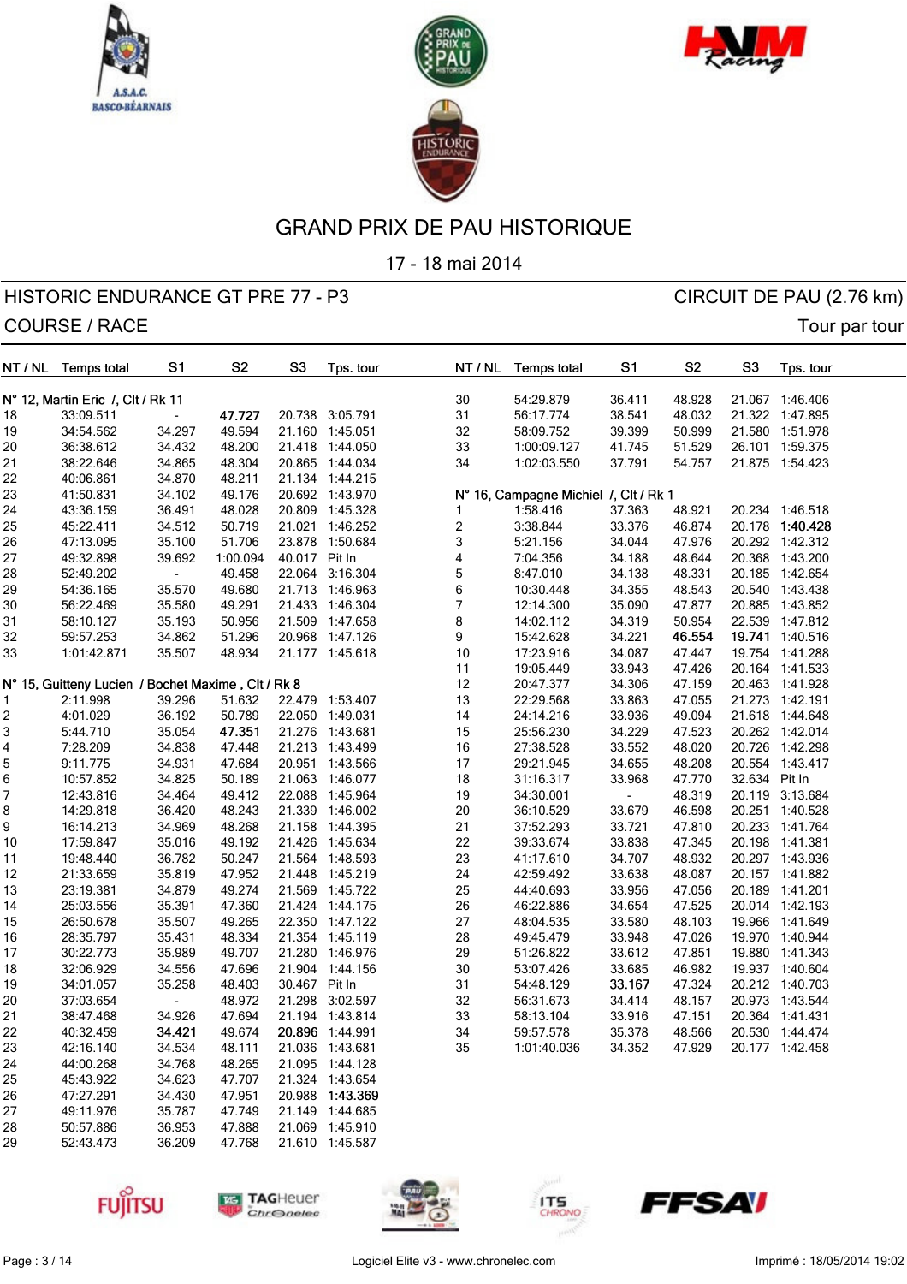





17 - 18 mai 2014

## HISTORIC ENDURANCE GT PRE 77 - P3 CIRCUIT DE PAU (2.76 km) COURSE / RACE TOURSE / RACE

| NT / NL | <b>Temps total</b>                                 | S <sub>1</sub> | S <sub>2</sub> | S <sub>3</sub> | Tps. tour       |                         | NT / NL | <b>Temps total</b>                    | S <sub>1</sub> | S <sub>2</sub> | S <sub>3</sub> | Tps. tour       |  |
|---------|----------------------------------------------------|----------------|----------------|----------------|-----------------|-------------------------|---------|---------------------------------------|----------------|----------------|----------------|-----------------|--|
|         | N° 12, Martin Eric /, Clt / Rk 11                  |                |                |                |                 | 30                      |         | 54:29.879                             | 36.411         | 48.928         |                | 21.067 1:46.406 |  |
| 18      | 33:09.511                                          |                | 47.727         |                | 20.738 3:05.791 | 31                      |         | 56:17.774                             | 38.541         | 48.032         |                | 21.322 1:47.895 |  |
| 19      | 34:54.562                                          | 34.297         | 49.594         |                | 21.160 1:45.051 | 32                      |         | 58:09.752                             | 39.399         | 50.999         |                | 21.580 1:51.978 |  |
| 20      | 36:38.612                                          | 34.432         | 48.200         |                | 21.418 1:44.050 | 33                      |         | 1:00:09.127                           | 41.745         | 51.529         |                | 26.101 1:59.375 |  |
| 21      | 38:22.646                                          | 34.865         | 48.304         |                | 20.865 1:44.034 | 34                      |         | 1:02:03.550                           | 37.791         | 54.757         |                | 21.875 1:54.423 |  |
| 22      | 40:06.861                                          | 34.870         | 48.211         |                | 21.134 1:44.215 |                         |         |                                       |                |                |                |                 |  |
| 23      | 41:50.831                                          | 34.102         | 49.176         |                | 20.692 1:43.970 |                         |         | N° 16, Campagne Michiel /, Clt / Rk 1 |                |                |                |                 |  |
| 24      | 43:36.159                                          | 36.491         | 48.028         |                | 20.809 1:45.328 | 1                       |         | 1:58.416                              | 37.363         | 48.921         |                | 20.234 1:46.518 |  |
| 25      | 45:22.411                                          | 34.512         | 50.719         |                | 21.021 1:46.252 | $\overline{\mathbf{c}}$ |         | 3:38.844                              | 33.376         | 46.874         |                | 20.178 1:40.428 |  |
| 26      | 47:13.095                                          | 35.100         | 51.706         | 23.878         | 1:50.684        | 3                       |         | 5:21.156                              | 34.044         | 47.976         |                | 20.292 1:42.312 |  |
| 27      | 49:32.898                                          | 39.692         | 1:00.094       | 40.017 Pit In  |                 | 4                       |         | 7:04.356                              | 34.188         | 48.644         |                | 20.368 1:43.200 |  |
| 28      | 52:49.202                                          |                | 49.458         |                | 22.064 3:16.304 | 5                       |         | 8:47.010                              | 34.138         | 48.331         |                | 20.185 1:42.654 |  |
| 29      | 54:36.165                                          | 35.570         | 49.680         |                | 21.713 1:46.963 | 6                       |         | 10:30.448                             | 34.355         | 48.543         |                | 20.540 1:43.438 |  |
| 30      | 56:22.469                                          | 35.580         | 49.291         |                | 21.433 1:46.304 | 7                       |         | 12:14.300                             | 35.090         | 47.877         |                | 20.885 1:43.852 |  |
| 31      | 58:10.127                                          | 35.193         | 50.956         |                | 21.509 1:47.658 | 8                       |         | 14:02.112                             | 34.319         | 50.954         |                | 22.539 1:47.812 |  |
|         | 59:57.253                                          | 34.862         | 51.296         |                | 20.968 1:47.126 | 9                       |         | 15:42.628                             | 34.221         | 46.554         |                | 19.741 1:40.516 |  |
| 32      |                                                    |                | 48.934         |                |                 | $10$                    |         | 17:23.916                             | 34.087         |                |                |                 |  |
| 33      | 1:01:42.871                                        | 35.507         |                |                | 21.177 1:45.618 |                         |         |                                       |                | 47.447         | 19.754         | 1:41.288        |  |
|         |                                                    |                |                |                |                 | 11                      |         | 19:05.449                             | 33.943         | 47.426         |                | 20.164 1:41.533 |  |
|         | N° 15, Guitteny Lucien / Bochet Maxime, Clt / Rk 8 |                |                |                |                 | 12                      |         | 20:47.377                             | 34.306         | 47.159         |                | 20.463 1:41.928 |  |
| 1       | 2:11.998                                           | 39.296         | 51.632         |                | 22.479 1:53.407 | 13                      |         | 22:29.568                             | 33.863         | 47.055         |                | 21.273 1:42.191 |  |
| 2       | 4:01.029                                           | 36.192         | 50.789         |                | 22.050 1:49.031 | 14                      |         | 24:14.216                             | 33.936         | 49.094         |                | 21.618 1:44.648 |  |
| 3       | 5:44.710                                           | 35.054         | 47.351         |                | 21.276 1:43.681 | 15                      |         | 25:56.230                             | 34.229         | 47.523         |                | 20.262 1:42.014 |  |
| 4       | 7:28.209                                           | 34.838         | 47.448         |                | 21.213 1:43.499 | $16$                    |         | 27:38.528                             | 33.552         | 48.020         |                | 20.726 1:42.298 |  |
| 5       | 9:11.775                                           | 34.931         | 47.684         |                | 20.951 1:43.566 | 17                      |         | 29:21.945                             | 34.655         | 48.208         |                | 20.554 1:43.417 |  |
| 6       | 10:57.852                                          | 34.825         | 50.189         |                | 21.063 1:46.077 | 18                      |         | 31:16.317                             | 33.968         | 47.770         | 32.634 Pit In  |                 |  |
| 7       | 12:43.816                                          | 34.464         | 49.412         | 22.088         | 1:45.964        | 19                      |         | 34:30.001                             |                | 48.319         |                | 20.119 3:13.684 |  |
| 8       | 14:29.818                                          | 36.420         | 48.243         |                | 21.339 1:46.002 | 20                      |         | 36:10.529                             | 33.679         | 46.598         |                | 20.251 1:40.528 |  |
| 9       | 16:14.213                                          | 34.969         | 48.268         | 21.158         | 1:44.395        | 21                      |         | 37:52.293                             | 33.721         | 47.810         |                | 20.233 1:41.764 |  |
| 10      | 17:59.847                                          | 35.016         | 49.192         | 21.426         | 1:45.634        | 22                      |         | 39:33.674                             | 33.838         | 47.345         | 20.198         | 1:41.381        |  |
| 11      | 19:48.440                                          | 36.782         | 50.247         |                | 21.564 1:48.593 | 23                      |         | 41:17.610                             | 34.707         | 48.932         |                | 20.297 1:43.936 |  |
| 12      | 21:33.659                                          | 35.819         | 47.952         |                | 21.448 1:45.219 | 24                      |         | 42:59.492                             | 33.638         | 48.087         |                | 20.157 1:41.882 |  |
| 13      | 23:19.381                                          | 34.879         | 49.274         |                | 21.569 1:45.722 | 25                      |         | 44:40.693                             | 33.956         | 47.056         |                | 20.189 1:41.201 |  |
| 14      | 25:03.556                                          | 35.391         | 47.360         |                | 21.424 1:44.175 | 26                      |         | 46:22.886                             | 34.654         | 47.525         |                | 20.014 1:42.193 |  |
| 15      | 26:50.678                                          | 35.507         | 49.265         |                | 22.350 1:47.122 | 27                      |         | 48:04.535                             | 33.580         | 48.103         |                | 19.966 1:41.649 |  |
| 16      | 28:35.797                                          | 35.431         | 48.334         |                | 21.354 1:45.119 | 28                      |         | 49:45.479                             | 33.948         | 47.026         |                | 19.970 1:40.944 |  |
| 17      | 30:22.773                                          | 35.989         | 49.707         |                | 21.280 1:46.976 | 29                      |         | 51:26.822                             | 33.612         | 47.851         |                | 19.880 1:41.343 |  |
| 18      | 32:06.929                                          | 34.556         | 47.696         |                | 21.904 1:44.156 | 30                      |         | 53:07.426                             | 33.685         | 46.982         |                | 19.937 1:40.604 |  |
| 19      | 34:01.057                                          | 35.258         | 48.403         | 30.467 Pit In  |                 | 31                      |         | 54:48.129                             | 33.167         | 47.324         |                | 20.212 1:40.703 |  |
| 20      | 37:03.654                                          |                | 48.972         | 21.298         | 3:02.597        | 32                      |         | 56:31.673                             | 34.414         | 48.157         |                | 20.973 1:43.544 |  |
| 21      | 38:47.468                                          | 34.926         | 47.694         |                | 21.194 1:43.814 | 33                      |         | 58:13.104                             | 33.916         | 47.151         |                | 20.364 1:41.431 |  |
| 22      | 40:32.459                                          | 34.421         | 49.674         |                | 20.896 1:44.991 | 34                      |         | 59:57.578                             | 35.378         | 48.566         |                | 20.530 1:44.474 |  |
| 23      | 42:16.140                                          | 34.534         | 48.111         |                | 21.036 1:43.681 | 35                      |         | 1:01:40.036                           | 34.352         | 47.929         |                | 20.177 1:42.458 |  |
| 24      | 44:00.268                                          | 34.768         | 48.265         |                | 21.095 1:44.128 |                         |         |                                       |                |                |                |                 |  |
| 25      | 45:43.922                                          | 34.623         | 47.707         |                | 21.324 1:43.654 |                         |         |                                       |                |                |                |                 |  |
| 26      | 47:27.291                                          | 34.430         | 47.951         |                | 20.988 1:43.369 |                         |         |                                       |                |                |                |                 |  |
| 27      | 49:11.976                                          | 35.787         | 47.749         |                | 21.149 1:44.685 |                         |         |                                       |                |                |                |                 |  |
| 28      | 50:57.886                                          | 36.953         | 47.888         |                | 21.069 1:45.910 |                         |         |                                       |                |                |                |                 |  |
| 29      | 52:43.473                                          | 36.209         | 47.768         |                | 21.610 1:45.587 |                         |         |                                       |                |                |                |                 |  |









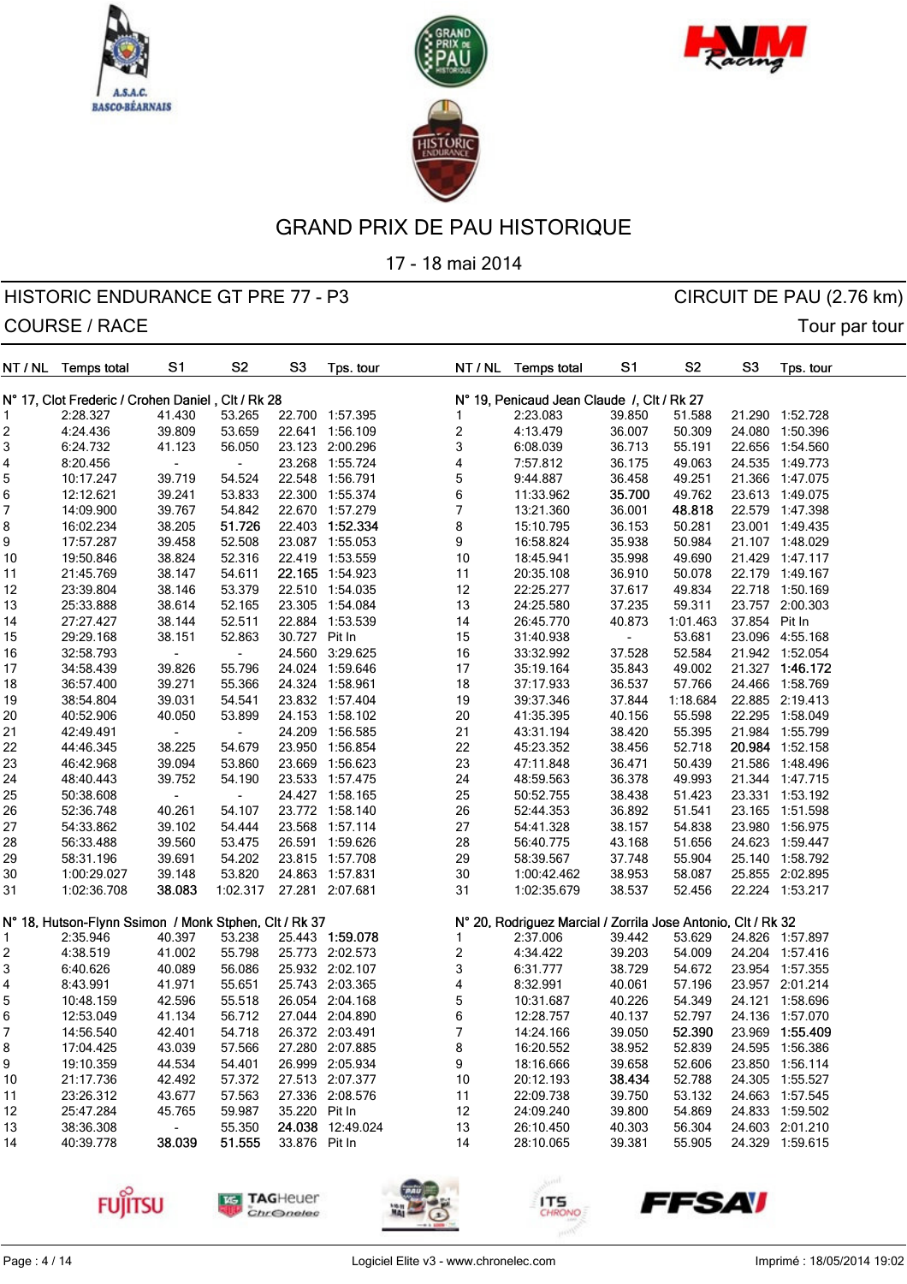





17 - 18 mai 2014

| NT / NL  | <b>Temps total</b>                                    | S1               | S <sub>2</sub>           | S <sub>3</sub> | Tps. tour                          | NT / NL                 | <b>Temps total</b>                                           | S1               | S <sub>2</sub>   | S <sub>3</sub> | Tps. tour       |
|----------|-------------------------------------------------------|------------------|--------------------------|----------------|------------------------------------|-------------------------|--------------------------------------------------------------|------------------|------------------|----------------|-----------------|
|          | N° 17, Clot Frederic / Crohen Daniel, Clt / Rk 28     |                  |                          |                |                                    |                         | N° 19, Penicaud Jean Claude /, Clt / Rk 27                   |                  |                  |                |                 |
| 1        | 2:28.327                                              | 41.430           | 53.265                   |                | 22.700 1:57.395                    | 1                       | 2:23.083                                                     | 39.850           | 51.588           |                | 21.290 1:52.728 |
| 2        | 4:24.436                                              | 39.809           | 53.659                   | 22.641         | 1:56.109                           | $\overline{\mathbf{c}}$ | 4:13.479                                                     | 36.007           | 50.309           | 24.080         | 1:50.396        |
| 3        | 6:24.732                                              | 41.123           | 56.050                   |                | 23.123 2:00.296                    | 3                       | 6:08.039                                                     | 36.713           | 55.191           |                | 22.656 1:54.560 |
| 4        | 8:20.456                                              |                  | $\overline{\phantom{a}}$ |                | 23.268 1:55.724                    | 4                       | 7:57.812                                                     | 36.175           | 49.063           |                | 24.535 1:49.773 |
| 5        | 10:17.247                                             | 39.719           | 54.524                   |                | 22.548 1:56.791                    | 5                       | 9:44.887                                                     | 36.458           | 49.251           |                | 21.366 1:47.075 |
| 6        | 12:12.621                                             | 39.241           | 53.833                   |                | 22.300 1:55.374                    | 6                       | 11:33.962                                                    | 35.700           | 49.762           |                | 23.613 1:49.075 |
| 7        | 14:09.900                                             | 39.767           | 54.842                   |                | 22.670 1:57.279                    | 7                       | 13:21.360                                                    | 36.001           | 48.818           |                | 22.579 1:47.398 |
| 8        | 16:02.234                                             | 38.205           | 51.726                   |                | 22.403 1:52.334                    | 8                       | 15:10.795                                                    | 36.153           | 50.281           |                | 23.001 1:49.435 |
| 9        | 17:57.287                                             | 39.458           | 52.508                   |                | 23.087 1:55.053                    | 9                       | 16:58.824                                                    | 35.938           | 50.984           |                | 21.107 1:48.029 |
| 10       | 19:50.846                                             | 38.824           | 52.316                   |                | 22.419 1:53.559                    | 10                      | 18:45.941                                                    | 35.998           | 49.690           |                | 21.429 1:47.117 |
| 11       | 21:45.769                                             | 38.147           | 54.611                   |                | 22.165 1:54.923                    | 11                      | 20:35.108                                                    | 36.910           | 50.078           |                | 22.179 1:49.167 |
| 12       | 23:39.804                                             | 38.146           | 53.379                   |                | 22.510 1:54.035                    | 12                      | 22:25.277                                                    | 37.617           | 49.834           |                | 22.718 1:50.169 |
| 13       | 25:33.888                                             | 38.614           | 52.165                   |                | 23.305 1:54.084                    | 13                      | 24:25.580                                                    | 37.235           | 59.311           |                | 23.757 2:00.303 |
| 14       | 27:27.427                                             | 38.144           | 52.511                   |                | 22.884 1:53.539                    | 14                      | 26:45.770                                                    | 40.873           | 1:01.463         | 37.854         | Pit In          |
| 15       | 29:29.168                                             | 38.151           | 52.863                   | 30.727 Pit In  |                                    | 15                      | 31:40.938                                                    |                  | 53.681           |                | 23.096 4:55.168 |
| 16       | 32:58.793                                             | ÷,               | $\overline{\phantom{a}}$ | 24.560         | 3:29.625                           | 16                      | 33:32.992                                                    | 37.528           | 52.584           |                | 21.942 1:52.054 |
| 17       | 34:58.439                                             | 39.826           | 55.796                   |                | 24.024 1:59.646                    | 17                      | 35:19.164                                                    | 35.843           | 49.002           | 21.327         | 1:46.172        |
| 18       | 36:57.400                                             | 39.271           | 55.366                   |                | 24.324 1:58.961                    | 18                      | 37:17.933                                                    | 36.537           | 57.766           |                | 24.466 1:58.769 |
|          | 38:54.804                                             | 39.031           | 54.541                   |                | 23.832 1:57.404                    | 19                      | 39:37.346                                                    | 37.844           | 1:18.684         |                | 22.885 2:19.413 |
| 19       |                                                       |                  | 53.899                   |                |                                    |                         |                                                              |                  |                  |                | 22.295 1:58.049 |
| 20<br>21 | 40:52.906<br>42:49.491                                | 40.050           | $\overline{\phantom{a}}$ |                | 24.153 1:58.102<br>24.209 1:56.585 | 20<br>21                | 41:35.395<br>43:31.194                                       | 40.156<br>38.420 | 55.598<br>55.395 |                | 21.984 1:55.799 |
|          |                                                       |                  |                          |                |                                    | 22                      |                                                              |                  | 52.718           |                | 20.984 1:52.158 |
| 22<br>23 | 44:46.345<br>46:42.968                                | 38.225<br>39.094 | 54.679<br>53.860         | 23.669         | 23.950 1:56.854<br>1:56.623        | 23                      | 45:23.352<br>47:11.848                                       | 38.456<br>36.471 | 50.439           | 21.586         | 1:48.496        |
|          | 48:40.443                                             | 39.752           | 54.190                   |                |                                    | 24                      |                                                              |                  | 49.993           |                |                 |
| 24       |                                                       |                  |                          |                | 23.533 1:57.475                    |                         | 48:59.563                                                    | 36.378           |                  |                | 21.344 1:47.715 |
| 25       | 50:38.608                                             |                  | $\overline{\phantom{a}}$ |                | 24.427 1:58.165                    | 25                      | 50:52.755                                                    | 38.438           | 51.423           |                | 23.331 1:53.192 |
| 26       | 52:36.748                                             | 40.261           | 54.107                   |                | 23.772 1:58.140                    | 26                      | 52:44.353                                                    | 36.892           | 51.541           |                | 23.165 1:51.598 |
| 27       | 54:33.862                                             | 39.102           | 54.444                   |                | 23.568 1:57.114                    | 27                      | 54:41.328                                                    | 38.157           | 54.838           | 23.980         | 1:56.975        |
| 28       | 56:33.488                                             | 39.560           | 53.475                   |                | 26.591 1:59.626                    | 28                      | 56:40.775                                                    | 43.168           | 51.656           | 24.623         | 1:59.447        |
| 29       | 58:31.196                                             | 39.691           | 54.202                   |                | 23.815 1:57.708                    | 29                      | 58:39.567                                                    | 37.748           | 55.904           |                | 25.140 1:58.792 |
| 30       | 1:00:29.027                                           | 39.148           | 53.820                   |                | 24.863 1:57.831                    | 30                      | 1:00:42.462                                                  | 38.953           | 58.087           |                | 25.855 2:02.895 |
| 31       | 1:02:36.708                                           | 38.083           | 1:02.317                 |                | 27.281 2:07.681                    | 31                      | 1:02:35.679                                                  | 38.537           | 52.456           |                | 22.224 1:53.217 |
|          | N° 18, Hutson-Flynn Ssimon / Monk Stphen, Clt / Rk 37 |                  |                          |                |                                    |                         | N° 20, Rodriguez Marcial / Zorrila Jose Antonio, Clt / Rk 32 |                  |                  |                |                 |
| 1        | 2:35.946                                              | 40.397           | 53.238                   |                | 25.443 1:59.078                    | 1                       | 2:37.006                                                     | 39.442           | 53.629           |                | 24.826 1:57.897 |
| 2        | 4:38.519                                              | 41.002           | 55.798                   |                | 25.773 2:02.573                    | $\overline{\mathbf{c}}$ | 4:34.422                                                     | 39.203           | 54.009           | 24.204         | 1:57.416        |
| 3        | 6:40.626                                              | 40.089           | 56.086                   |                | 25.932 2:02.107                    | 3                       | 6:31.777                                                     | 38.729           | 54.672           |                | 23.954 1:57.355 |
| 4        | 8:43.991                                              | 41.971           | 55.651                   |                | 25.743 2:03.365                    | 4                       | 8:32.991                                                     | 40.061           | 57.196           |                | 23.957 2:01.214 |
| 5        | 10:48.159                                             | 42.596           | 55.518                   |                | 26.054 2:04.168                    | 5                       | 10:31.687                                                    | 40.226           | 54.349           |                | 24.121 1:58.696 |
| 6        | 12:53.049                                             | 41.134           | 56.712                   |                | 27.044 2:04.890                    | 6                       | 12:28.757                                                    | 40.137           | 52.797           |                | 24.136 1:57.070 |
| 7        | 14:56.540                                             | 42.401           | 54.718                   |                | 26.372 2:03.491                    | 7                       | 14:24.166                                                    | 39.050           | 52.390           |                | 23.969 1:55.409 |
| 8        | 17:04.425                                             | 43.039           | 57.566                   |                | 27.280 2:07.885                    | 8                       | 16:20.552                                                    | 38.952           | 52.839           |                | 24.595 1:56.386 |
| 9        | 19:10.359                                             | 44.534           | 54.401                   |                | 26.999 2:05.934                    | 9                       | 18:16.666                                                    | 39.658           | 52.606           |                | 23.850 1:56.114 |
| 10       | 21:17.736                                             | 42.492           | 57.372                   |                | 27.513 2:07.377                    | 10                      | 20:12.193                                                    | 38.434           | 52.788           |                | 24.305 1:55.527 |
| 11       | 23:26.312                                             | 43.677           | 57.563                   |                | 27.336 2:08.576                    | 11                      | 22:09.738                                                    | 39.750           | 53.132           |                | 24.663 1:57.545 |
| 12       | 25:47.284                                             | 45.765           | 59.987                   | 35.220 Pit In  |                                    | 12                      | 24:09.240                                                    | 39.800           | 54.869           |                | 24.833 1:59.502 |
| 13       | 38:36.308                                             |                  | 55.350                   |                | 24.038 12:49.024                   | 13                      | 26:10.450                                                    | 40.303           | 56.304           |                | 24.603 2:01.210 |
| 14       | 40:39.778                                             | 38.039           | 51.555                   | 33.876 Pit In  |                                    | 14                      | 28:10.065                                                    | 39.381           | 55.905           |                | 24.329 1:59.615 |







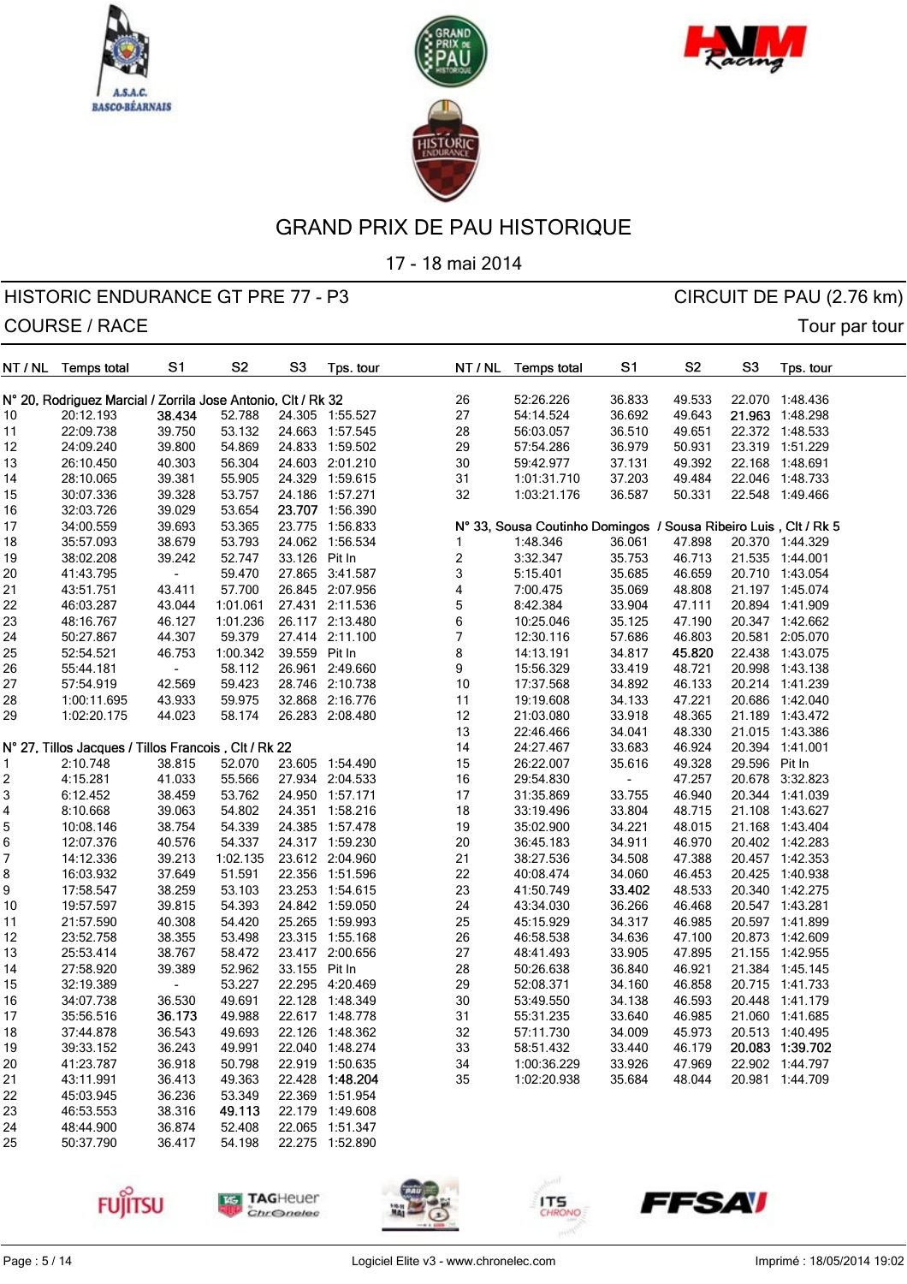





17 - 18 mai 2014

## HISTORIC ENDURANCE GT PRE 77 - P3 CIRCUIT DE PAU (2.76 km) COURSE / RACE TOURSE / RACE

| NT / NL  | <b>Temps total</b>                                           | S1                       | S <sub>2</sub> | S3            | Tps. tour       |                         | NT / NL | <b>Temps total</b>                                              | S1             | S <sub>2</sub> | S3            | Tps. tour       |
|----------|--------------------------------------------------------------|--------------------------|----------------|---------------|-----------------|-------------------------|---------|-----------------------------------------------------------------|----------------|----------------|---------------|-----------------|
|          | N° 20, Rodriguez Marcial / Zorrila Jose Antonio, Clt / Rk 32 |                          |                |               |                 |                         | 26      | 52:26.226                                                       | 36.833         | 49.533         |               | 22.070 1:48.436 |
| 10       | 20:12.193                                                    | 38.434                   | 52.788         |               | 24.305 1:55.527 |                         | 27      | 54:14.524                                                       | 36.692         | 49.643         |               | 21.963 1:48.298 |
| 11       | 22:09.738                                                    | 39.750                   | 53.132         |               | 24.663 1:57.545 |                         | 28      | 56:03.057                                                       | 36.510         | 49.651         |               | 22.372 1:48.533 |
| 12       | 24:09.240                                                    | 39.800                   | 54.869         |               | 24.833 1:59.502 |                         | 29      | 57:54.286                                                       | 36.979         | 50.931         |               | 23.319 1:51.229 |
| 13       | 26:10.450                                                    | 40.303                   | 56.304         |               | 24.603 2:01.210 |                         | 30      | 59:42.977                                                       | 37.131         | 49.392         |               | 22.168 1:48.691 |
| 14       | 28:10.065                                                    | 39.381                   | 55.905         |               | 24.329 1:59.615 | 31                      |         | 1:01:31.710                                                     | 37.203         | 49.484         |               | 22.046 1:48.733 |
|          | 30:07.336                                                    | 39.328                   | 53.757         |               | 24.186 1:57.271 |                         | 32      | 1:03:21.176                                                     | 36.587         | 50.331         |               | 22.548 1:49.466 |
| 15<br>16 | 32:03.726                                                    | 39.029                   | 53.654         |               | 23.707 1:56.390 |                         |         |                                                                 |                |                |               |                 |
|          | 34:00.559                                                    | 39.693                   | 53.365         |               | 23.775 1:56.833 |                         |         | N° 33, Sousa Coutinho Domingos / Sousa Ribeiro Luis, Clt / Rk 5 |                |                |               |                 |
| 17       |                                                              | 38.679                   | 53.793         |               | 24.062 1:56.534 | 1                       |         | 1:48.346                                                        | 36.061         | 47.898         |               | 20.370 1:44.329 |
| 18       | 35:57.093                                                    |                          | 52.747         | 33.126 Pit In |                 |                         |         |                                                                 |                |                |               |                 |
| 19       | 38:02.208                                                    | 39.242                   |                |               |                 | $\overline{\mathbf{c}}$ |         | 3:32.347                                                        | 35.753         | 46.713         |               | 21.535 1:44.001 |
| 20       | 41:43.795                                                    | $\overline{\phantom{a}}$ | 59.470         |               | 27.865 3:41.587 | 3                       |         | 5:15.401                                                        | 35.685         | 46.659         |               | 20.710 1:43.054 |
| 21       | 43:51.751                                                    | 43.411                   | 57.700         |               | 26.845 2:07.956 | 4                       |         | 7:00.475                                                        | 35.069         | 48.808         |               | 21.197 1:45.074 |
| 22       | 46:03.287                                                    | 43.044                   | 1:01.061       |               | 27.431 2:11.536 | 5                       |         | 8:42.384                                                        | 33.904         | 47.111         |               | 20.894 1:41.909 |
| 23       | 48:16.767                                                    | 46.127                   | 1:01.236       |               | 26.117 2:13.480 | 6                       |         | 10:25.046                                                       | 35.125         | 47.190         |               | 20.347 1:42.662 |
| 24       | 50:27.867                                                    | 44.307                   | 59.379         |               | 27.414 2:11.100 | $\boldsymbol{7}$        |         | 12:30.116                                                       | 57.686         | 46.803         |               | 20.581 2:05.070 |
| 25       | 52:54.521                                                    | 46.753                   | 1:00.342       | 39.559 Pit In |                 | 8                       |         | 14:13.191                                                       | 34.817         | 45.820         |               | 22.438 1:43.075 |
| 26       | 55:44.181                                                    | $\overline{\phantom{a}}$ | 58.112         |               | 26.961 2:49.660 | 9                       |         | 15:56.329                                                       | 33.419         | 48.721         |               | 20.998 1:43.138 |
| 27       | 57:54.919                                                    | 42.569                   | 59.423         |               | 28.746 2:10.738 |                         | 10      | 17:37.568                                                       | 34.892         | 46.133         |               | 20.214 1:41.239 |
| 28       | 1:00:11.695                                                  | 43.933                   | 59.975         |               | 32.868 2:16.776 | 11                      |         | 19:19.608                                                       | 34.133         | 47.221         |               | 20.686 1:42.040 |
| 29       | 1:02:20.175                                                  | 44.023                   | 58.174         |               | 26.283 2:08.480 |                         | 12      | 21:03.080                                                       | 33.918         | 48.365         |               | 21.189 1:43.472 |
|          |                                                              |                          |                |               |                 |                         | 13      | 22:46.466                                                       | 34.041         | 48.330         |               | 21.015 1:43.386 |
|          | N° 27, Tillos Jacques / Tillos Francois, Clt / Rk 22         |                          |                |               |                 |                         | 14      | 24:27.467                                                       | 33.683         | 46.924         |               | 20.394 1:41.001 |
| 1        | 2:10.748                                                     | 38.815                   | 52.070         |               | 23.605 1:54.490 |                         | 15      | 26:22.007                                                       | 35.616         | 49.328         | 29.596 Pit In |                 |
| 2        | 4:15.281                                                     | 41.033                   | 55.566         |               | 27.934 2:04.533 |                         | 16      | 29:54.830                                                       | $\blacksquare$ | 47.257         |               | 20.678 3:32.823 |
| 3        | 6:12.452                                                     | 38.459                   | 53.762         |               | 24.950 1:57.171 |                         | 17      | 31:35.869                                                       | 33.755         | 46.940         |               | 20.344 1:41.039 |
| 4        | 8:10.668                                                     | 39.063                   | 54.802         |               | 24.351 1:58.216 |                         | 18      | 33:19.496                                                       | 33.804         | 48.715         |               | 21.108 1:43.627 |
| 5        | 10:08.146                                                    | 38.754                   | 54.339         |               | 24.385 1:57.478 |                         | 19      | 35:02.900                                                       | 34.221         | 48.015         |               | 21.168 1:43.404 |
| 6        | 12:07.376                                                    | 40.576                   | 54.337         |               | 24.317 1:59.230 |                         | 20      | 36:45.183                                                       | 34.911         | 46.970         |               | 20.402 1:42.283 |
| 7        | 14:12.336                                                    | 39.213                   | 1:02.135       |               | 23.612 2:04.960 |                         | 21      | 38:27.536                                                       | 34.508         | 47.388         |               | 20.457 1:42.353 |
| 8        | 16:03.932                                                    | 37.649                   | 51.591         |               | 22.356 1:51.596 |                         | 22      | 40:08.474                                                       | 34.060         | 46.453         |               | 20.425 1:40.938 |
| 9        | 17:58.547                                                    | 38.259                   | 53.103         |               | 23.253 1:54.615 |                         | 23      | 41:50.749                                                       | 33.402         | 48.533         |               | 20.340 1:42.275 |
| 10       | 19:57.597                                                    | 39.815                   | 54.393         |               | 24.842 1:59.050 |                         | 24      | 43:34.030                                                       | 36.266         | 46.468         |               | 20.547 1:43.281 |
| 11       | 21:57.590                                                    | 40.308                   | 54.420         |               | 25.265 1:59.993 |                         | 25      | 45:15.929                                                       | 34.317         | 46.985         |               | 20.597 1:41.899 |
| 12       | 23:52.758                                                    | 38.355                   | 53.498         |               | 23.315 1:55.168 |                         | 26      | 46:58.538                                                       | 34.636         | 47.100         |               | 20.873 1:42.609 |
| 13       | 25:53.414                                                    | 38.767                   | 58.472         |               | 23.417 2:00.656 |                         | 27      | 48:41.493                                                       | 33.905         | 47.895         |               | 21.155 1:42.955 |
| 14       | 27:58.920                                                    | 39.389                   | 52.962         | 33.155 Pit In |                 |                         | 28      | 50:26.638                                                       | 36.840         | 46.921         |               | 21.384 1:45.145 |
| 15       | 32:19.389                                                    |                          | 53.227         |               | 22.295 4:20.469 |                         | 29      | 52:08.371                                                       | 34.160         | 46.858         |               | 20.715 1:41.733 |
| 16       | 34:07.738                                                    | 36.530                   | 49.691         |               | 22.128 1:48.349 |                         | 30      | 53:49.550                                                       | 34.138         | 46.593         |               | 20.448 1:41.179 |
| 17       | 35:56.516                                                    | 36.173                   | 49.988         |               | 22.617 1:48.778 |                         | 31      | 55:31.235                                                       | 33.640         | 46.985         |               | 21.060 1:41.685 |
| 18       | 37:44.878                                                    | 36.543                   | 49.693         |               | 22.126 1:48.362 |                         | 32      | 57:11.730                                                       | 34.009         | 45.973         |               | 20.513 1:40.495 |
| 19       | 39:33.152                                                    | 36.243                   | 49.991         |               | 22.040 1:48.274 |                         | 33      | 58:51.432                                                       | 33.440         | 46.179         |               | 20.083 1:39.702 |
| 20       | 41:23.787                                                    | 36.918                   | 50.798         |               | 22.919 1:50.635 |                         | 34      | 1:00:36.229                                                     | 33.926         | 47.969         |               | 22.902 1:44.797 |
| 21       | 43:11.991                                                    | 36.413                   | 49.363         |               | 22.428 1:48.204 |                         | 35      | 1:02:20.938                                                     | 35.684         | 48.044         |               | 20.981 1:44.709 |
| 22       | 45:03.945                                                    | 36.236                   | 53.349         |               | 22.369 1:51.954 |                         |         |                                                                 |                |                |               |                 |
| 23       | 46:53.553                                                    | 38.316                   | 49.113         |               | 22.179 1:49.608 |                         |         |                                                                 |                |                |               |                 |
| 24       | 48:44.900                                                    | 36.874                   | 52.408         |               | 22.065 1:51.347 |                         |         |                                                                 |                |                |               |                 |



25 50:37.790 36.417 54.198 22.275 1:52.890







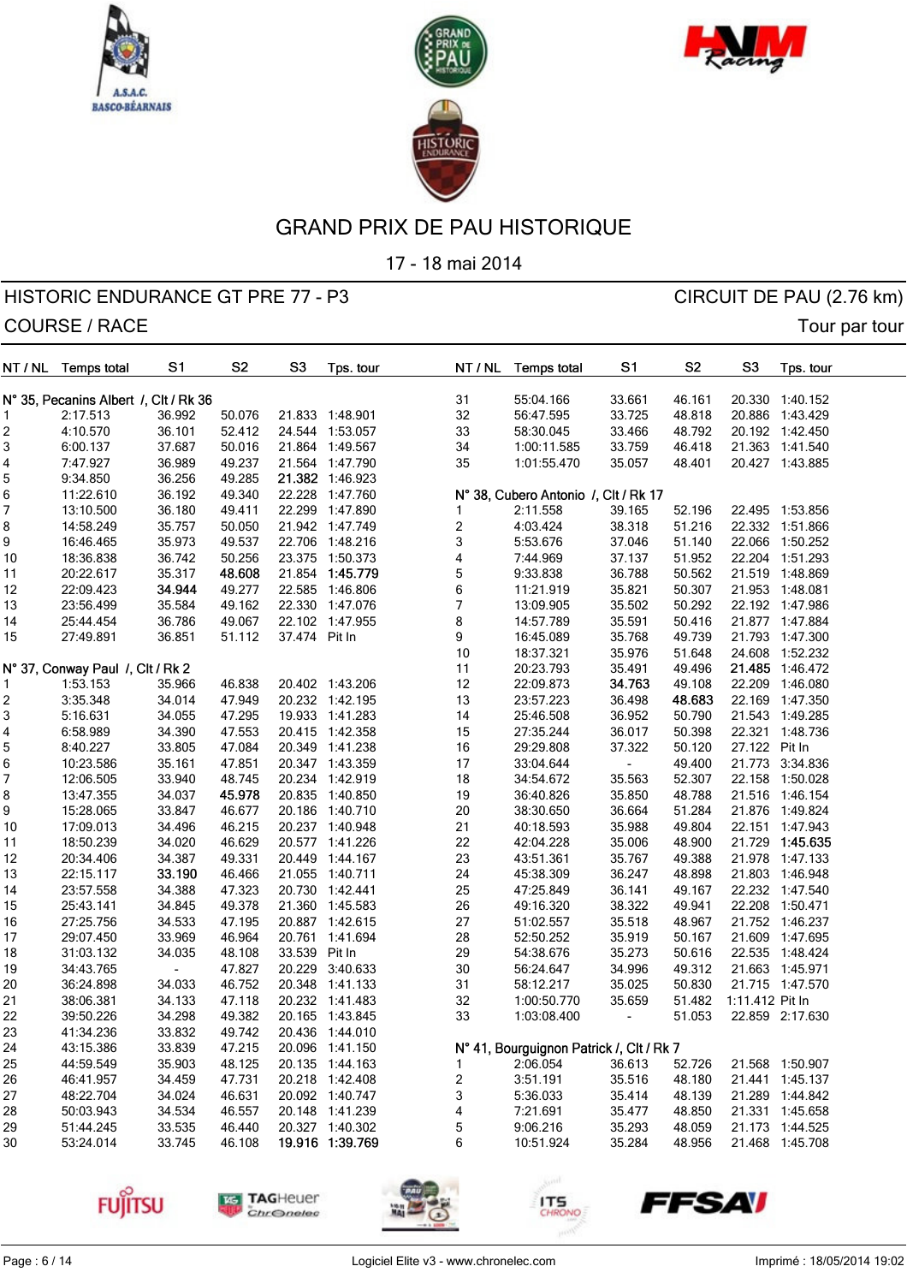





17 - 18 mai 2014

| NT / NL | <b>Temps total</b>                    | S1     | S <sub>2</sub> | S <sub>3</sub> | Tps. tour                          | NT / NL                 | <b>Temps total</b>                       | S1     | S <sub>2</sub> | S <sub>3</sub>  | Tps. tour       |
|---------|---------------------------------------|--------|----------------|----------------|------------------------------------|-------------------------|------------------------------------------|--------|----------------|-----------------|-----------------|
|         | N° 35, Pecanins Albert /, Clt / Rk 36 |        |                |                |                                    | 31                      | 55:04.166                                | 33.661 | 46.161         | 20.330          | 1:40.152        |
| 1       | 2:17.513                              | 36.992 | 50.076         |                | 21.833 1:48.901                    | 32                      | 56:47.595                                | 33.725 | 48.818         |                 | 20.886 1:43.429 |
| 2       | 4:10.570                              | 36.101 | 52.412         | 24.544         | 1:53.057                           | 33                      | 58:30.045                                | 33.466 | 48.792         |                 | 20.192 1:42.450 |
| 3       | 6:00.137                              | 37.687 | 50.016         | 21.864         | 1:49.567                           | 34                      | 1:00:11.585                              | 33.759 | 46.418         |                 | 21.363 1:41.540 |
|         |                                       |        |                |                |                                    |                         |                                          | 35.057 |                |                 |                 |
| 4       | 7:47.927                              | 36.989 | 49.237         |                | 21.564 1:47.790<br>21.382 1:46.923 | 35                      | 1:01:55.470                              |        | 48.401         |                 | 20.427 1:43.885 |
| 5       | 9:34.850                              | 36.256 | 49.285         |                |                                    |                         |                                          |        |                |                 |                 |
| 6       | 11:22.610                             | 36.192 | 49.340         |                | 22.228 1:47.760                    |                         | N° 38, Cubero Antonio /, Clt / Rk 17     |        |                |                 |                 |
| 7       | 13:10.500                             | 36.180 | 49.411         |                | 22.299 1:47.890                    | 1                       | 2:11.558                                 | 39.165 | 52.196         |                 | 22.495 1:53.856 |
| 8       | 14:58.249                             | 35.757 | 50.050         |                | 21.942 1:47.749                    | $\overline{\mathbf{c}}$ | 4:03.424                                 | 38.318 | 51.216         |                 | 22.332 1:51.866 |
| 9       | 16:46.465                             | 35.973 | 49.537         |                | 22.706 1:48.216                    | 3                       | 5:53.676                                 | 37.046 | 51.140         | 22.066          | 1:50.252        |
| 10      | 18:36.838                             | 36.742 | 50.256         |                | 23.375 1:50.373                    | 4                       | 7:44.969                                 | 37.137 | 51.952         |                 | 22.204 1:51.293 |
| 11      | 20:22.617                             | 35.317 | 48.608         |                | 21.854 1:45.779                    | 5                       | 9:33.838                                 | 36.788 | 50.562         |                 | 21.519 1:48.869 |
| 12      | 22:09.423                             | 34.944 | 49.277         |                | 22.585 1:46.806                    | 6                       | 11:21.919                                | 35.821 | 50.307         |                 | 21.953 1:48.081 |
| 13      | 23:56.499                             | 35.584 | 49.162         |                | 22.330 1:47.076                    | 7                       | 13:09.905                                | 35.502 | 50.292         |                 | 22.192 1:47.986 |
| 14      | 25:44.454                             | 36.786 | 49.067         |                | 22.102 1:47.955                    | 8                       | 14:57.789                                | 35.591 | 50.416         |                 | 21.877 1:47.884 |
| 15      | 27:49.891                             | 36.851 | 51.112         | 37.474 Pit In  |                                    | 9                       | 16:45.089                                | 35.768 | 49.739         |                 | 21.793 1:47.300 |
|         |                                       |        |                |                |                                    | 10                      | 18:37.321                                | 35.976 | 51.648         |                 | 24.608 1:52.232 |
|         | N° 37, Conway Paul /, Clt / Rk 2      |        |                |                |                                    | 11                      | 20:23.793                                | 35.491 | 49.496         |                 | 21.485 1:46.472 |
| 1       | 1:53.153                              | 35.966 | 46.838         |                | 20.402 1:43.206                    | 12                      | 22:09.873                                | 34.763 | 49.108         | 22.209          | 1:46.080        |
| 2       | 3:35.348                              | 34.014 | 47.949         |                | 20.232 1:42.195                    | 13                      | 23:57.223                                | 36.498 | 48.683         | 22.169          | 1:47.350        |
| 3       | 5:16.631                              | 34.055 | 47.295         |                | 19.933 1:41.283                    | 14                      | 25:46.508                                | 36.952 | 50.790         | 21.543          | 1:49.285        |
| 4       | 6:58.989                              | 34.390 | 47.553         |                | 20.415 1:42.358                    | 15                      | 27:35.244                                | 36.017 | 50.398         |                 | 22.321 1:48.736 |
| 5       | 8:40.227                              | 33.805 | 47.084         |                | 20.349 1:41.238                    | 16                      | 29:29.808                                | 37.322 | 50.120         | 27.122 Pit In   |                 |
| 6       | 10:23.586                             | 35.161 | 47.851         |                | 20.347 1:43.359                    | 17                      | 33:04.644                                |        | 49.400         | 21.773          | 3:34.836        |
| 7       | 12:06.505                             | 33.940 | 48.745         |                | 20.234 1:42.919                    | 18                      | 34:54.672                                | 35.563 | 52.307         | 22.158          | 1:50.028        |
| 8       | 13:47.355                             | 34.037 | 45.978         |                | 20.835 1:40.850                    | 19                      | 36:40.826                                | 35.850 | 48.788         |                 | 21.516 1:46.154 |
| 9       | 15:28.065                             | 33.847 | 46.677         |                | 20.186 1:40.710                    | 20                      | 38:30.650                                | 36.664 | 51.284         |                 | 21.876 1:49.824 |
| 10      | 17:09.013                             | 34.496 | 46.215         |                | 20.237 1:40.948                    | 21                      | 40:18.593                                | 35.988 | 49.804         |                 | 22.151 1:47.943 |
| 11      | 18:50.239                             | 34.020 | 46.629         | 20.577         | 1:41.226                           | 22                      | 42:04.228                                | 35.006 | 48.900         | 21.729          | 1:45.635        |
| 12      | 20:34.406                             | 34.387 | 49.331         |                | 20.449 1:44.167                    | 23                      | 43:51.361                                | 35.767 | 49.388         |                 | 21.978 1:47.133 |
| 13      | 22:15.117                             | 33.190 | 46.466         |                | 21.055 1:40.711                    | 24                      | 45:38.309                                | 36.247 | 48.898         |                 | 21.803 1:46.948 |
| 14      | 23:57.558                             | 34.388 | 47.323         | 20.730         | 1:42.441                           | 25                      | 47:25.849                                | 36.141 | 49.167         |                 | 22.232 1:47.540 |
| 15      | 25:43.141                             | 34.845 | 49.378         |                | 21.360 1:45.583                    | 26                      | 49:16.320                                | 38.322 | 49.941         |                 | 22.208 1:50.471 |
| 16      | 27:25.756                             | 34.533 | 47.195         |                | 20.887 1:42.615                    | 27                      | 51:02.557                                | 35.518 | 48.967         |                 | 21.752 1:46.237 |
| 17      | 29:07.450                             | 33.969 | 46.964         | 20.761         | 1:41.694                           | 28                      | 52:50.252                                | 35.919 | 50.167         | 21.609          | 1:47.695        |
| 18      | 31:03.132                             | 34.035 | 48.108         | 33.539         | Pit In                             | 29                      | 54:38.676                                | 35.273 | 50.616         | 22.535          | 1:48.424        |
| 19      | 34:43.765                             |        | 47.827         | 20.229         | 3:40.633                           | 30                      | 56:24.647                                | 34.996 | 49.312         |                 | 21.663 1:45.971 |
| 20      | 36:24.898                             | 34.033 | 46.752         |                | 20.348 1:41.133                    | 31                      | 58:12.217                                | 35.025 | 50.830         |                 | 21.715 1:47.570 |
| 21      | 38:06.381                             | 34.133 | 47.118         |                | 20.232 1:41.483                    | 32                      | 1:00:50.770                              | 35.659 | 51.482         | 1:11.412 Pit In |                 |
| 22      | 39:50.226                             | 34.298 | 49.382         |                | 20.165 1:43.845                    | 33                      | 1:03:08.400                              | ۰      | 51.053         |                 | 22.859 2:17.630 |
| 23      | 41:34.236                             | 33.832 | 49.742         |                | 20.436 1:44.010                    |                         |                                          |        |                |                 |                 |
| 24      |                                       | 33.839 | 47.215         |                | 20.096 1:41.150                    |                         | N° 41, Bourguignon Patrick /, Clt / Rk 7 |        |                |                 |                 |
| 25      | 43:15.386<br>44:59.549                |        | 48.125         |                | 20.135 1:44.163                    | 1                       | 2:06.054                                 | 36.613 | 52.726         |                 | 21.568 1:50.907 |
|         |                                       | 35.903 |                |                |                                    |                         |                                          |        |                |                 |                 |
| 26      | 46:41.957                             | 34.459 | 47.731         |                | 20.218 1:42.408                    | $\overline{\mathbf{c}}$ | 3:51.191                                 | 35.516 | 48.180         |                 | 21.441 1:45.137 |
| 27      | 48:22.704                             | 34.024 | 46.631         |                | 20.092 1:40.747                    | 3                       | 5:36.033                                 | 35.414 | 48.139         |                 | 21.289 1:44.842 |
| 28      | 50:03.943                             | 34.534 | 46.557         |                | 20.148 1:41.239                    | 4                       | 7:21.691                                 | 35.477 | 48.850         |                 | 21.331 1:45.658 |
| 29      | 51:44.245                             | 33.535 | 46.440         |                | 20.327 1:40.302                    | 5                       | 9:06.216                                 | 35.293 | 48.059         |                 | 21.173 1:44.525 |
| 30      | 53:24.014                             | 33.745 | 46.108         |                | 19.916 1:39.769                    | 6                       | 10:51.924                                | 35.284 | 48.956         |                 | 21.468 1:45.708 |









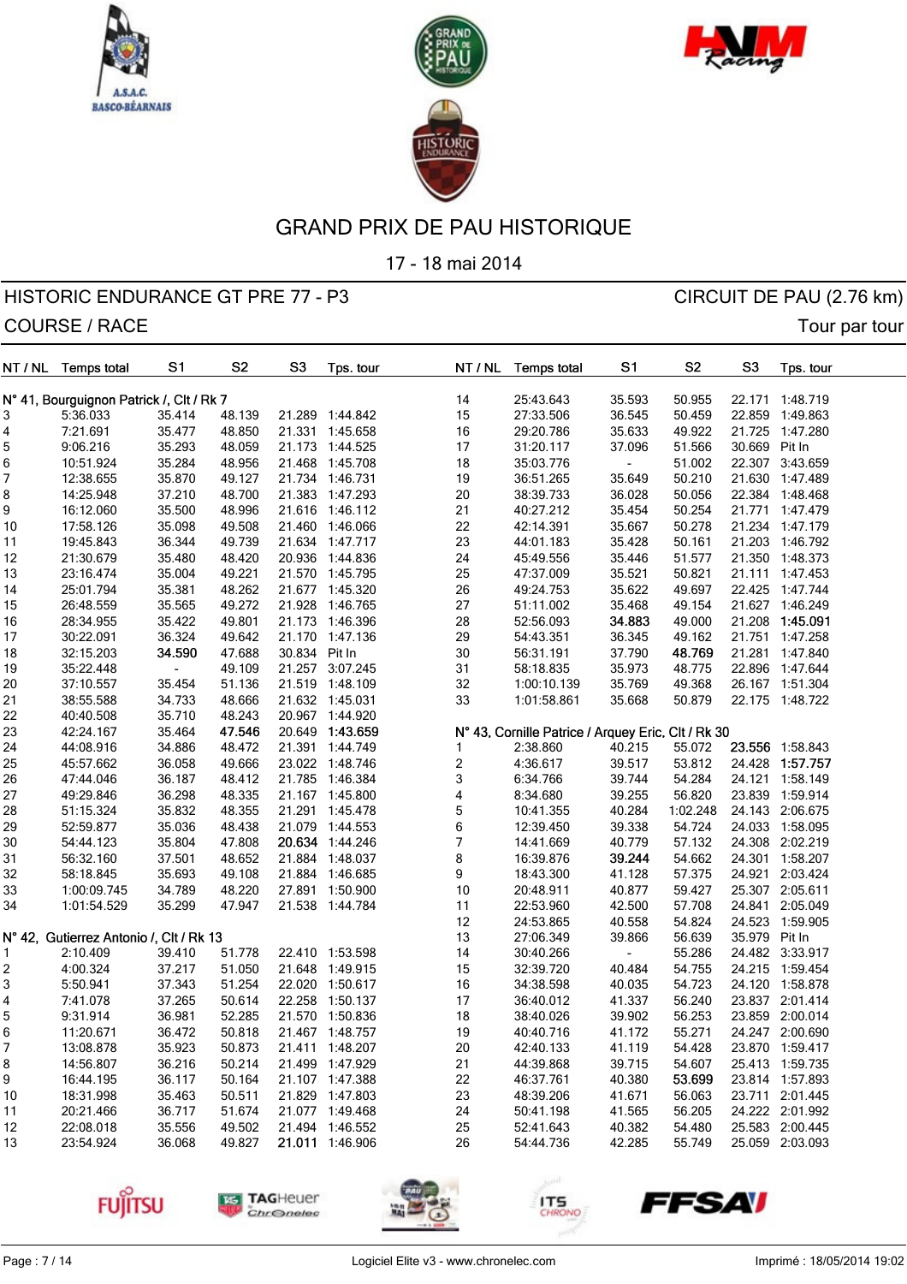





17 - 18 mai 2014

| NT / NL | <b>Temps total</b>                       | S <sub>1</sub> | S <sub>2</sub> | S <sub>3</sub> | Tps. tour       | NT / NL                  | <b>Temps total</b>                                 | S1             | S <sub>2</sub> | S <sub>3</sub> | Tps. tour       |  |
|---------|------------------------------------------|----------------|----------------|----------------|-----------------|--------------------------|----------------------------------------------------|----------------|----------------|----------------|-----------------|--|
|         | N° 41, Bourguignon Patrick /, Clt / Rk 7 |                |                |                |                 | 14                       | 25:43.643                                          | 35.593         | 50.955         |                | 22.171 1:48.719 |  |
| 3       | 5:36.033                                 | 35.414         | 48.139         |                | 21.289 1:44.842 | 15                       | 27:33.506                                          | 36.545         | 50.459         |                | 22.859 1:49.863 |  |
| 4       | 7:21.691                                 | 35.477         | 48.850         |                | 21.331 1:45.658 | $16\,$                   | 29:20.786                                          | 35.633         | 49.922         | 21.725         | 1:47.280        |  |
| 5       | 9:06.216                                 | 35.293         | 48.059         |                | 21.173 1:44.525 | 17                       | 31:20.117                                          | 37.096         | 51.566         | 30.669 Pit In  |                 |  |
| 6       | 10:51.924                                | 35.284         | 48.956         |                | 21.468 1:45.708 | 18                       | 35:03.776                                          |                | 51.002         |                | 22.307 3:43.659 |  |
| 7       | 12:38.655                                | 35.870         | 49.127         |                | 21.734 1:46.731 | 19                       | 36:51.265                                          | 35.649         | 50.210         |                | 21.630 1:47.489 |  |
| 8       | 14:25.948                                | 37.210         | 48.700         |                | 21.383 1:47.293 | $20\,$                   | 38:39.733                                          | 36.028         | 50.056         |                | 22.384 1:48.468 |  |
| 9       | 16:12.060                                | 35.500         | 48.996         |                | 21.616 1:46.112 | 21                       | 40:27.212                                          | 35.454         | 50.254         |                | 21.771 1:47.479 |  |
| 10      | 17:58.126                                | 35.098         | 49.508         |                | 21.460 1:46.066 | 22                       | 42:14.391                                          | 35.667         | 50.278         |                | 21.234 1:47.179 |  |
| 11      | 19:45.843                                | 36.344         | 49.739         |                | 21.634 1:47.717 | 23                       | 44:01.183                                          | 35.428         | 50.161         |                | 21.203 1:46.792 |  |
| 12      | 21:30.679                                | 35.480         | 48.420         |                | 20.936 1:44.836 | 24                       | 45:49.556                                          | 35.446         | 51.577         |                | 21.350 1:48.373 |  |
| 13      | 23:16.474                                | 35.004         | 49.221         |                | 21.570 1:45.795 | 25                       | 47:37.009                                          | 35.521         | 50.821         |                | 21.111 1:47.453 |  |
| 14      | 25:01.794                                | 35.381         | 48.262         |                | 21.677 1:45.320 | 26                       | 49:24.753                                          | 35.622         | 49.697         |                | 22.425 1:47.744 |  |
| 15      | 26:48.559                                | 35.565         | 49.272         |                | 21.928 1:46.765 | 27                       | 51:11.002                                          | 35.468         | 49.154         |                | 21.627 1:46.249 |  |
| 16      | 28:34.955                                | 35.422         | 49.801         |                | 21.173 1:46.396 | 28                       | 52:56.093                                          | 34.883         | 49.000         |                | 21.208 1:45.091 |  |
| 17      | 30:22.091                                | 36.324         | 49.642         |                | 21.170 1:47.136 | 29                       | 54:43.351                                          | 36.345         | 49.162         |                | 21.751 1:47.258 |  |
| 18      | 32:15.203                                | 34.590         | 47.688         | 30.834 Pit In  |                 | $30\,$                   | 56:31.191                                          | 37.790         | 48.769         |                | 21.281 1:47.840 |  |
| 19      | 35:22.448                                |                | 49.109         |                | 21.257 3:07.245 | 31                       | 58:18.835                                          | 35.973         | 48.775         |                | 22.896 1:47.644 |  |
| 20      | 37:10.557                                | 35.454         | 51.136         |                | 21.519 1:48.109 | 32                       | 1:00:10.139                                        | 35.769         | 49.368         |                | 26.167 1:51.304 |  |
| 21      | 38:55.588                                | 34.733         | 48.666         |                | 21.632 1:45.031 | 33                       | 1:01:58.861                                        | 35.668         | 50.879         |                | 22.175 1:48.722 |  |
| 22      | 40:40.508                                | 35.710         | 48.243         |                | 20.967 1:44.920 |                          |                                                    |                |                |                |                 |  |
| 23      | 42:24.167                                | 35.464         | 47.546         |                | 20.649 1:43.659 |                          | N° 43, Cornille Patrice / Arquey Eric, Clt / Rk 30 |                |                |                |                 |  |
| 24      | 44:08.916                                | 34.886         | 48.472         |                | 21.391 1:44.749 | 1                        | 2:38.860                                           | 40.215         | 55.072         |                | 23.556 1:58.843 |  |
| 25      | 45:57.662                                | 36.058         | 49.666         |                | 23.022 1:48.746 | $\overline{\mathbf{c}}$  | 4:36.617                                           | 39.517         | 53.812         |                | 24.428 1:57.757 |  |
| 26      | 47:44.046                                | 36.187         | 48.412         |                | 21.785 1:46.384 | 3                        | 6:34.766                                           | 39.744         | 54.284         |                | 24.121 1:58.149 |  |
| 27      | 49:29.846                                | 36.298         | 48.335         |                | 21.167 1:45.800 | 4                        | 8:34.680                                           | 39.255         | 56.820         |                | 23.839 1:59.914 |  |
| 28      | 51:15.324                                | 35.832         | 48.355         |                | 21.291 1:45.478 | $\mathbf 5$              | 10:41.355                                          | 40.284         | 1:02.248       |                | 24.143 2:06.675 |  |
| 29      | 52:59.877                                | 35.036         | 48.438         |                | 21.079 1:44.553 | 6                        | 12:39.450                                          | 39.338         | 54.724         |                | 24.033 1:58.095 |  |
| 30      | 54:44.123                                | 35.804         | 47.808         |                | 20.634 1:44.246 | $\overline{\mathcal{I}}$ | 14:41.669                                          | 40.779         | 57.132         |                | 24.308 2:02.219 |  |
| 31      | 56:32.160                                | 37.501         | 48.652         |                | 21.884 1:48.037 | 8                        | 16:39.876                                          | 39.244         | 54.662         |                | 24.301 1:58.207 |  |
| 32      | 58:18.845                                | 35.693         | 49.108         |                | 21.884 1:46.685 | 9                        | 18:43.300                                          | 41.128         | 57.375         |                | 24.921 2:03.424 |  |
| 33      | 1:00:09.745                              | 34.789         | 48.220         |                | 27.891 1:50.900 | $10$                     | 20:48.911                                          | 40.877         | 59.427         |                | 25.307 2:05.611 |  |
| 34      | 1:01:54.529                              | 35.299         | 47.947         |                | 21.538 1:44.784 | 11                       | 22:53.960                                          | 42.500         | 57.708         | 24.841         | 2:05.049        |  |
|         |                                          |                |                |                |                 | 12                       | 24:53.865                                          | 40.558         | 54.824         |                | 24.523 1:59.905 |  |
|         | N° 42, Gutierrez Antonio /, Clt / Rk 13  |                |                |                |                 | 13                       | 27:06.349                                          | 39.866         | 56.639         | 35.979 Pit In  |                 |  |
| 1.      | 2:10.409                                 | 39.410         | 51.778         |                | 22.410 1:53.598 | 14                       | 30:40.266                                          | $\blacksquare$ | 55.286         |                | 24.482 3:33.917 |  |
| 2       | 4:00.324                                 | 37.217         | 51.050         |                | 21.648 1:49.915 | 15                       | 32:39.720                                          | 40.484         | 54.755         |                | 24.215 1:59.454 |  |
| 3       | 5:50.941                                 | 37.343         | 51.254         |                | 22.020 1:50.617 | 16                       | 34:38.598                                          | 40.035         | 54.723         |                | 24.120 1:58.878 |  |
| 4       | 7:41.078                                 | 37.265         | 50.614         |                | 22.258 1:50.137 | 17                       | 36:40.012                                          | 41.337         | 56.240         |                | 23.837 2:01.414 |  |
| 5       | 9:31.914                                 | 36.981         | 52.285         |                | 21.570 1:50.836 | 18                       | 38:40.026                                          | 39.902         | 56.253         |                | 23.859 2:00.014 |  |
| 6       | 11:20.671                                | 36.472         | 50.818         |                | 21.467 1:48.757 | 19                       | 40:40.716                                          | 41.172         | 55.271         |                | 24.247 2:00.690 |  |
| 7       | 13:08.878                                | 35.923         | 50.873         |                | 21.411 1:48.207 | 20                       | 42:40.133                                          | 41.119         | 54.428         |                | 23.870 1:59.417 |  |
| 8       | 14:56.807                                | 36.216         | 50.214         |                | 21.499 1:47.929 | 21                       | 44:39.868                                          | 39.715         | 54.607         |                | 25.413 1:59.735 |  |
| 9       | 16:44.195                                | 36.117         | 50.164         |                | 21.107 1:47.388 | 22                       | 46:37.761                                          | 40.380         | 53.699         |                | 23.814 1:57.893 |  |
| 10      | 18:31.998                                | 35.463         | 50.511         |                | 21.829 1:47.803 | 23                       | 48:39.206                                          | 41.671         | 56.063         |                | 23.711 2:01.445 |  |
| 11      | 20:21.466                                | 36.717         | 51.674         |                | 21.077 1:49.468 | 24                       | 50:41.198                                          | 41.565         | 56.205         |                | 24.222 2:01.992 |  |
| 12      | 22:08.018                                | 35.556         | 49.502         |                | 21.494 1:46.552 | 25                       | 52:41.643                                          | 40.382         | 54.480         |                | 25.583 2:00.445 |  |
| 13      | 23:54.924                                | 36.068         | 49.827         |                | 21.011 1:46.906 | 26                       | 54:44.736                                          | 42.285         | 55.749         |                | 25.059 2:03.093 |  |









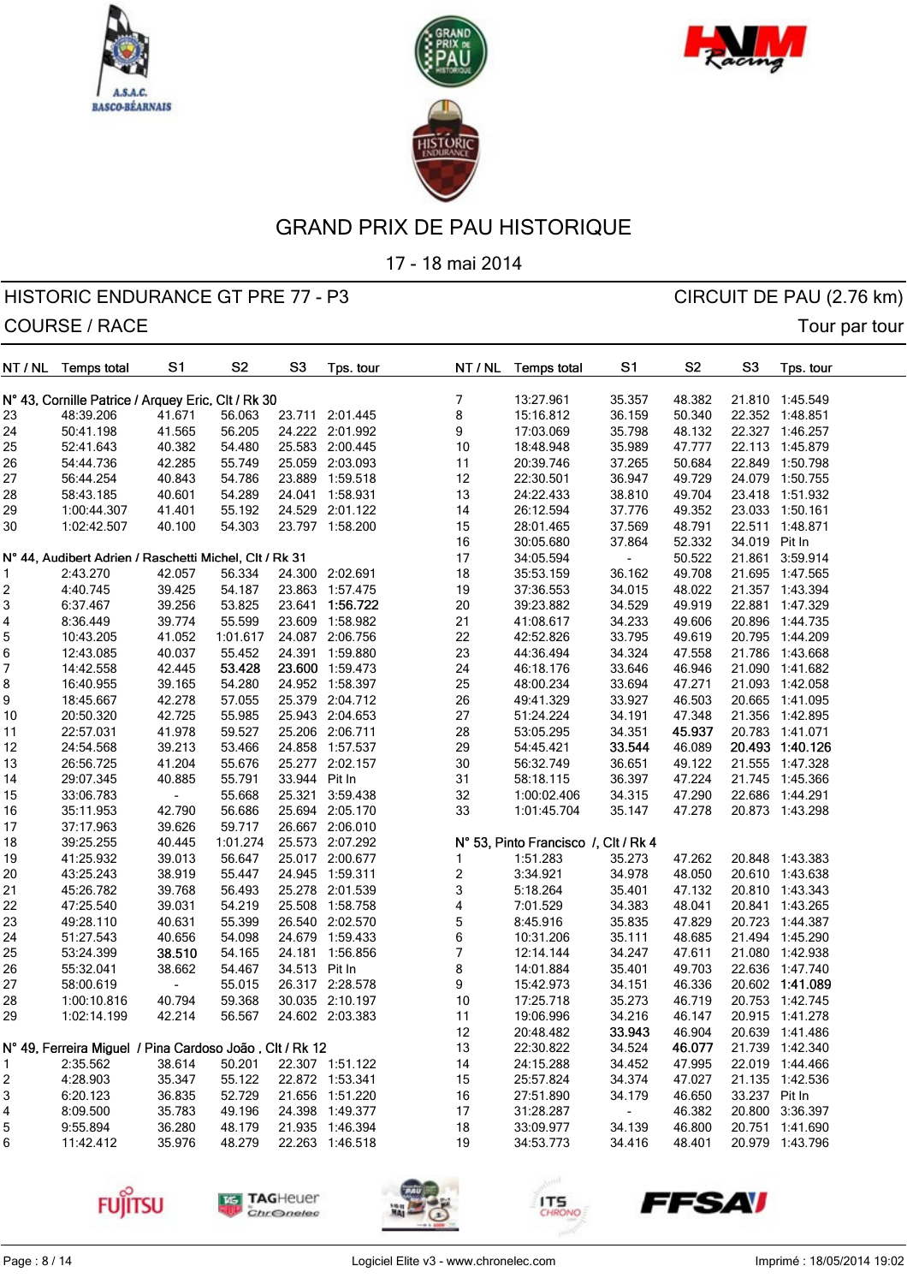





17 - 18 mai 2014

| NT / NL  | <b>Temps total</b>                                      | S <sub>1</sub>   | S <sub>2</sub>   | S <sub>3</sub> | Tps. tour       | NT / NL                 | <b>Temps total</b>                   | S <sub>1</sub>   | S <sub>2</sub>   | S <sub>3</sub> | Tps. tour       |  |
|----------|---------------------------------------------------------|------------------|------------------|----------------|-----------------|-------------------------|--------------------------------------|------------------|------------------|----------------|-----------------|--|
|          | N° 43, Cornille Patrice / Arquey Eric, Clt / Rk 30      |                  |                  |                |                 | 7                       | 13:27.961                            | 35.357           | 48.382           |                | 21.810 1:45.549 |  |
| 23       | 48:39.206                                               | 41.671           | 56.063           | 23.711         | 2:01.445        | 8                       | 15:16.812                            | 36.159           | 50.340           |                | 22.352 1:48.851 |  |
| 24       | 50:41.198                                               | 41.565           | 56.205           |                | 24.222 2:01.992 | 9                       | 17:03.069                            | 35.798           | 48.132           |                | 22.327 1:46.257 |  |
| 25       | 52:41.643                                               | 40.382           | 54.480           |                | 25.583 2:00.445 | $10$                    | 18:48.948                            | 35.989           | 47.777           |                | 22.113 1:45.879 |  |
| 26       | 54:44.736                                               | 42.285           | 55.749           |                | 25.059 2:03.093 | 11                      | 20:39.746                            | 37.265           | 50.684           |                | 22.849 1:50.798 |  |
| 27       | 56:44.254                                               | 40.843           | 54.786           | 23.889         | 1:59.518        | 12                      | 22:30.501                            | 36.947           | 49.729           |                | 24.079 1:50.755 |  |
| 28       | 58:43.185                                               | 40.601           | 54.289           |                | 24.041 1:58.931 | 13                      | 24:22.433                            | 38.810           | 49.704           |                | 23.418 1:51.932 |  |
| 29       | 1:00:44.307                                             | 41.401           | 55.192           |                | 24.529 2:01.122 | 14                      | 26:12.594                            | 37.776           | 49.352           |                | 23.033 1:50.161 |  |
| 30       | 1:02:42.507                                             | 40.100           | 54.303           |                | 23.797 1:58.200 | 15                      | 28:01.465                            | 37.569           | 48.791           |                | 22.511 1:48.871 |  |
|          |                                                         |                  |                  |                |                 | 16                      | 30:05.680                            | 37.864           | 52.332           | 34.019 Pit In  |                 |  |
|          | N° 44, Audibert Adrien / Raschetti Michel, Clt / Rk 31  |                  |                  |                |                 | 17                      | 34:05.594                            |                  | 50.522           |                | 21.861 3:59.914 |  |
|          | 2:43.270                                                | 42.057           | 56.334           |                | 24.300 2:02.691 | 18                      | 35:53.159                            | 36.162           | 49.708           |                | 21.695 1:47.565 |  |
| 2        | 4:40.745                                                | 39.425           | 54.187           |                | 23.863 1:57.475 | 19                      | 37:36.553                            | 34.015           | 48.022           |                | 21.357 1:43.394 |  |
| 3        | 6:37.467                                                | 39.256           | 53.825           | 23.641         | 1:56.722        | $20\,$                  | 39:23.882                            | 34.529           | 49.919           |                | 22.881 1:47.329 |  |
| 4        | 8:36.449                                                | 39.774           | 55.599           |                | 23.609 1:58.982 | 21                      | 41:08.617                            | 34.233           | 49.606           |                | 20.896 1:44.735 |  |
| 5        | 10:43.205                                               | 41.052           | 1:01.617         |                | 24.087 2:06.756 | 22                      | 42:52.826                            | 33.795           | 49.619           |                | 20.795 1:44.209 |  |
| 6        | 12:43.085                                               | 40.037           | 55.452           |                | 24.391 1:59.880 | 23                      | 44:36.494                            | 34.324           | 47.558           |                | 21.786 1:43.668 |  |
| 7        | 14:42.558                                               | 42.445           | 53.428           |                | 23.600 1:59.473 | 24                      | 46:18.176                            | 33.646           | 46.946           |                | 21.090 1:41.682 |  |
| 8        | 16:40.955                                               | 39.165           | 54.280           |                | 24.952 1:58.397 | 25                      | 48:00.234                            | 33.694           | 47.271           |                | 21.093 1:42.058 |  |
| 9        | 18:45.667                                               | 42.278           | 57.055           |                | 25.379 2:04.712 | 26                      | 49:41.329                            | 33.927           | 46.503           |                | 20.665 1:41.095 |  |
|          |                                                         | 42.725           | 55.985           |                | 25.943 2:04.653 |                         | 51:24.224                            | 34.191           | 47.348           |                | 21.356 1:42.895 |  |
| 10<br>11 | 20:50.320<br>22:57.031                                  | 41.978           | 59.527           |                | 25.206 2:06.711 | 27<br>28                | 53:05.295                            | 34.351           | 45.937           |                | 20.783 1:41.071 |  |
|          |                                                         |                  | 53.466           |                | 24.858 1:57.537 |                         |                                      | 33.544           |                  |                | 20.493 1:40.126 |  |
| 12       | 24:54.568<br>26:56.725                                  | 39.213<br>41.204 | 55.676           |                | 25.277 2:02.157 | 29<br>$30\,$            | 54:45.421<br>56:32.749               | 36.651           | 46.089<br>49.122 |                | 21.555 1:47.328 |  |
| 13       |                                                         |                  |                  | 33.944 Pit In  |                 | 31                      |                                      |                  |                  |                |                 |  |
| 14       | 29:07.345                                               | 40.885           | 55.791<br>55.668 | 25.321         | 3:59.438        |                         | 58:18.115                            | 36.397<br>34.315 | 47.224<br>47.290 |                | 21.745 1:45.366 |  |
| 15       | 33:06.783                                               |                  |                  |                |                 | 32                      | 1:00:02.406                          |                  |                  |                | 22.686 1:44.291 |  |
| 16       | 35:11.953                                               | 42.790           | 56.686           |                | 25.694 2:05.170 | 33                      | 1:01:45.704                          | 35.147           | 47.278           |                | 20.873 1:43.298 |  |
| 17       | 37:17.963                                               | 39.626           | 59.717           |                | 26.667 2:06.010 |                         |                                      |                  |                  |                |                 |  |
| 18       | 39:25.255                                               | 40.445           | 1:01.274         |                | 25.573 2:07.292 |                         | N° 53, Pinto Francisco /, Clt / Rk 4 |                  |                  |                |                 |  |
| 19       | 41:25.932                                               | 39.013           | 56.647           |                | 25.017 2:00.677 | 1                       | 1:51.283                             | 35.273           | 47.262           |                | 20.848 1:43.383 |  |
| 20       | 43:25.243                                               | 38.919           | 55.447           |                | 24.945 1:59.311 | $\overline{\mathbf{c}}$ | 3:34.921                             | 34.978           | 48.050           |                | 20.610 1:43.638 |  |
| 21       | 45:26.782                                               | 39.768           | 56.493           |                | 25.278 2:01.539 | 3                       | 5:18.264                             | 35.401           | 47.132           |                | 20.810 1:43.343 |  |
| 22       | 47:25.540                                               | 39.031           | 54.219           |                | 25.508 1:58.758 | 4                       | 7:01.529                             | 34.383           | 48.041           |                | 20.841 1:43.265 |  |
| 23       | 49:28.110                                               | 40.631           | 55.399           |                | 26.540 2:02.570 | 5                       | 8:45.916                             | 35.835           | 47.829           |                | 20.723 1:44.387 |  |
| 24       | 51:27.543                                               | 40.656           | 54.098           |                | 24.679 1:59.433 | 6                       | 10:31.206                            | 35.111           | 48.685           |                | 21.494 1:45.290 |  |
| 25       | 53:24.399                                               | 38.510           | 54.165           |                | 24.181 1:56.856 | $\boldsymbol{7}$        | 12:14.144                            | 34.247           | 47.611           |                | 21.080 1:42.938 |  |
| 26       | 55:32.041                                               | 38.662           | 54.467           | 34.513 Pit In  |                 | 8                       | 14:01.884                            | 35.401           | 49.703           |                | 22.636 1:47.740 |  |
| 27       | 58:00.619                                               |                  | 55.015           |                | 26.317 2:28.578 | 9                       | 15:42.973                            | 34.151           | 46.336           |                | 20.602 1:41.089 |  |
| 28       | 1:00:10.816                                             | 40.794           | 59.368           |                | 30.035 2:10.197 | 10                      | 17:25.718                            | 35.273           | 46.719           |                | 20.753 1:42.745 |  |
| 29       | 1:02:14.199                                             | 42.214           | 56.567           |                | 24.602 2:03.383 | 11                      | 19:06.996                            | 34.216           | 46.147           |                | 20.915 1:41.278 |  |
|          |                                                         |                  |                  |                |                 | 12                      | 20:48.482                            | 33.943           | 46.904           |                | 20.639 1:41.486 |  |
|          | N° 49, Ferreira Miguel / Pina Cardoso João, Clt / Rk 12 |                  |                  |                |                 | 13                      | 22:30.822                            | 34.524           | 46.077           |                | 21.739 1:42.340 |  |
| 1        | 2:35.562                                                | 38.614           | 50.201           |                | 22.307 1:51.122 | 14                      | 24:15.288                            | 34.452           | 47.995           |                | 22.019 1:44.466 |  |
| 2        | 4:28.903                                                | 35.347           | 55.122           |                | 22.872 1:53.341 | 15                      | 25:57.824                            | 34.374           | 47.027           |                | 21.135 1:42.536 |  |
| 3        | 6:20.123                                                | 36.835           | 52.729           |                | 21.656 1:51.220 | 16                      | 27:51.890                            | 34.179           | 46.650           | 33.237 Pit In  |                 |  |
| 4        | 8:09.500                                                | 35.783           | 49.196           |                | 24.398 1:49.377 | 17                      | 31:28.287                            | $\sim$           | 46.382           |                | 20.800 3:36.397 |  |
| 5        | 9:55.894                                                | 36.280           | 48.179           |                | 21.935 1:46.394 | 18                      | 33:09.977                            | 34.139           | 46.800           |                | 20.751 1:41.690 |  |
| 6        | 11:42.412                                               | 35.976           | 48.279           |                | 22.263 1:46.518 | 19                      | 34:53.773                            | 34.416           | 48.401           |                | 20.979 1:43.796 |  |
|          |                                                         |                  |                  |                |                 |                         |                                      |                  |                  |                |                 |  |









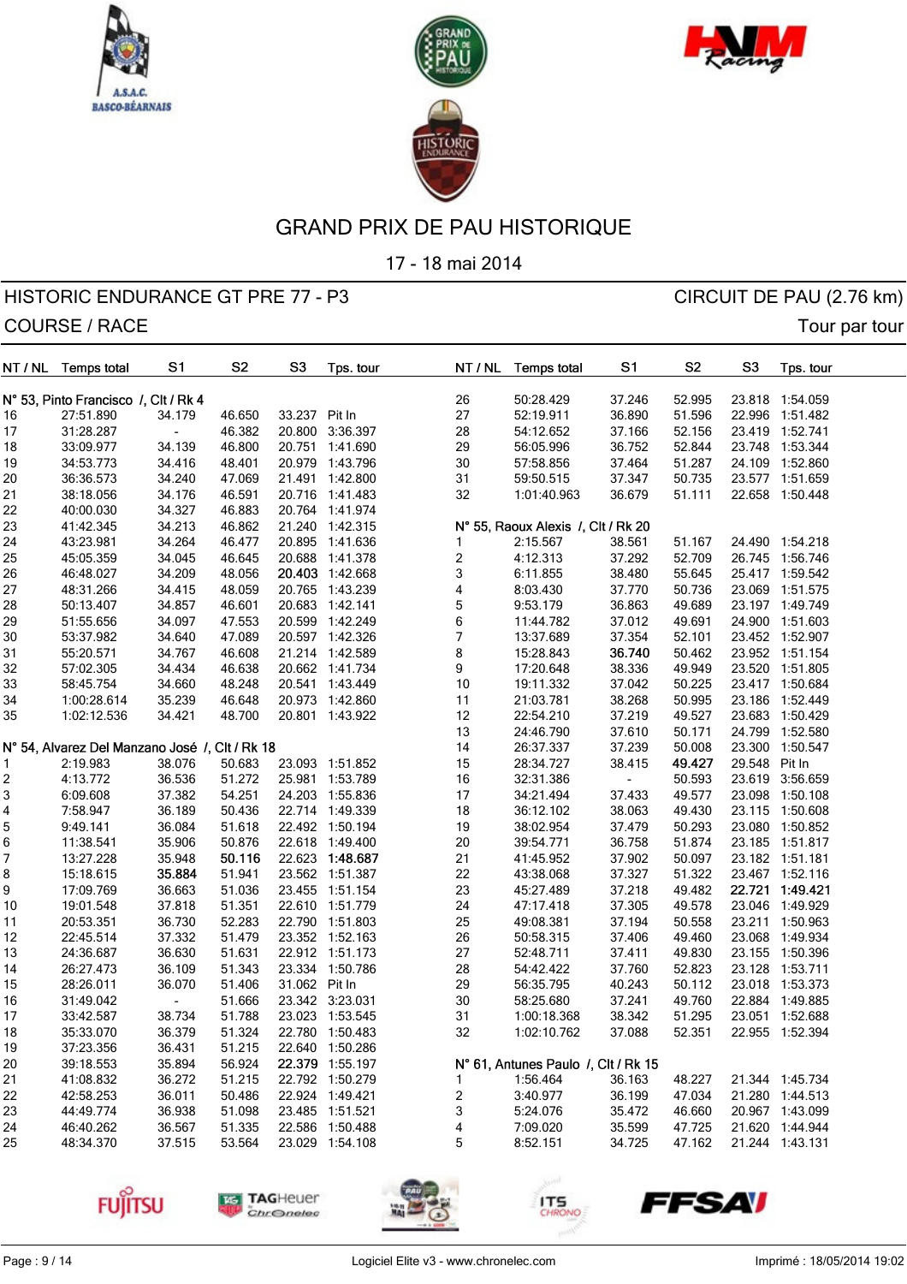





17 - 18 mai 2014

## HISTORIC ENDURANCE GT PRE 77 - P3 CIRCUIT DE PAU (2.76 km) COURSE / RACE Tour partour

| NT / NL | <b>Temps total</b>                             | S1     | S <sub>2</sub> | S <sub>3</sub> | Tps. tour       |                          | NT / NL | <b>Temps total</b>                  | S1     | S <sub>2</sub> | S <sub>3</sub> | Tps. tour       |  |
|---------|------------------------------------------------|--------|----------------|----------------|-----------------|--------------------------|---------|-------------------------------------|--------|----------------|----------------|-----------------|--|
|         | N° 53, Pinto Francisco /, Clt / Rk 4           |        |                |                |                 | 26                       |         | 50:28.429                           | 37.246 | 52.995         |                | 23.818 1:54.059 |  |
| 16      | 27:51.890                                      | 34.179 | 46.650         | 33.237         | Pit In          | 27                       |         | 52:19.911                           | 36.890 | 51.596         |                | 22.996 1:51.482 |  |
| 17      | 31:28.287                                      |        | 46.382         | 20.800         | 3:36.397        | 28                       |         | 54:12.652                           | 37.166 | 52.156         |                | 23.419 1:52.741 |  |
|         | 33:09.977                                      | 34.139 | 46.800         |                | 20.751 1:41.690 | 29                       |         | 56:05.996                           | 36.752 | 52.844         |                | 23.748 1:53.344 |  |
| 18      |                                                |        |                |                |                 |                          |         |                                     | 37.464 |                |                |                 |  |
| 19      | 34:53.773                                      | 34.416 | 48.401         |                | 20.979 1:43.796 | $30\,$                   |         | 57:58.856                           |        | 51.287         |                | 24.109 1:52.860 |  |
| 20      | 36:36.573                                      | 34.240 | 47.069         |                | 21.491 1:42.800 | 31                       |         | 59:50.515                           | 37.347 | 50.735         |                | 23.577 1:51.659 |  |
| 21      | 38:18.056                                      | 34.176 | 46.591         |                | 20.716 1:41.483 | 32                       |         | 1:01:40.963                         | 36.679 | 51.111         |                | 22.658 1:50.448 |  |
| 22      | 40:00.030                                      | 34.327 | 46.883         |                | 20.764 1:41.974 |                          |         |                                     |        |                |                |                 |  |
| 23      | 41:42.345                                      | 34.213 | 46.862         |                | 21.240 1:42.315 |                          |         | N° 55, Raoux Alexis /, Clt / Rk 20  |        |                |                |                 |  |
| 24      | 43:23.981                                      | 34.264 | 46.477         |                | 20.895 1:41.636 | 1                        |         | 2:15.567                            | 38.561 | 51.167         |                | 24.490 1:54.218 |  |
| 25      | 45:05.359                                      | 34.045 | 46.645         | 20.688         | 1:41.378        | 2                        |         | 4:12.313                            | 37.292 | 52.709         |                | 26.745 1:56.746 |  |
| 26      | 46:48.027                                      | 34.209 | 48.056         |                | 20.403 1:42.668 | 3                        |         | 6:11.855                            | 38.480 | 55.645         |                | 25.417 1:59.542 |  |
| 27      | 48:31.266                                      | 34.415 | 48.059         |                | 20.765 1:43.239 | 4                        |         | 8:03.430                            | 37.770 | 50.736         |                | 23.069 1:51.575 |  |
| 28      | 50:13.407                                      | 34.857 | 46.601         | 20.683         | 1:42.141        | 5                        |         | 9:53.179                            | 36.863 | 49.689         |                | 23.197 1:49.749 |  |
| 29      | 51:55.656                                      | 34.097 | 47.553         | 20.599         | 1:42.249        | 6                        |         | 11:44.782                           | 37.012 | 49.691         |                | 24.900 1:51.603 |  |
| 30      | 53:37.982                                      | 34.640 | 47.089         |                | 20.597 1:42.326 | $\overline{\mathcal{I}}$ |         | 13:37.689                           | 37.354 | 52.101         |                | 23.452 1:52.907 |  |
| 31      | 55:20.571                                      | 34.767 | 46.608         |                | 21.214 1:42.589 | 8                        |         | 15:28.843                           | 36.740 | 50.462         |                | 23.952 1:51.154 |  |
| 32      | 57:02.305                                      | 34.434 | 46.638         |                | 20.662 1:41.734 | 9                        |         | 17:20.648                           | 38.336 | 49.949         |                | 23.520 1:51.805 |  |
| 33      | 58:45.754                                      | 34.660 | 48.248         |                | 20.541 1:43.449 | 10                       |         | 19:11.332                           | 37.042 | 50.225         |                | 23.417 1:50.684 |  |
| 34      | 1:00:28.614                                    | 35.239 | 46.648         | 20.973         | 1:42.860        | 11                       |         | 21:03.781                           | 38.268 | 50.995         |                | 23.186 1:52.449 |  |
| 35      | 1:02:12.536                                    | 34.421 | 48.700         |                | 20.801 1:43.922 | 12                       |         | 22:54.210                           | 37.219 | 49.527         | 23.683         | 1:50.429        |  |
|         |                                                |        |                |                |                 | 13                       |         | 24:46.790                           | 37.610 | 50.171         |                | 24.799 1:52.580 |  |
|         | N° 54, Alvarez Del Manzano José /, Clt / Rk 18 |        |                |                |                 | 14                       |         | 26:37.337                           | 37.239 | 50.008         | 23.300         | 1:50.547        |  |
| 1       | 2:19.983                                       | 38.076 | 50.683         | 23.093         | 1:51.852        | 15                       |         | 28:34.727                           | 38.415 | 49.427         | 29.548         | Pit In          |  |
| 2       | 4:13.772                                       | 36.536 | 51.272         | 25.981         | 1:53.789        | 16                       |         | 32:31.386                           |        | 50.593         |                | 23.619 3:56.659 |  |
| 3       | 6:09.608                                       | 37.382 | 54.251         |                | 24.203 1:55.836 | 17                       |         | 34:21.494                           | 37.433 | 49.577         |                | 23.098 1:50.108 |  |
| 4       | 7:58.947                                       | 36.189 | 50.436         |                | 22.714 1:49.339 | 18                       |         | 36:12.102                           | 38.063 | 49.430         |                | 23.115 1:50.608 |  |
| 5       | 9:49.141                                       | 36.084 | 51.618         |                | 22.492 1:50.194 | 19                       |         | 38:02.954                           | 37.479 | 50.293         |                | 23.080 1:50.852 |  |
| 6       | 11:38.541                                      | 35.906 | 50.876         |                | 22.618 1:49.400 | 20                       |         | 39:54.771                           | 36.758 | 51.874         |                | 23.185 1:51.817 |  |
| 7       | 13:27.228                                      | 35.948 | 50.116         |                | 22.623 1:48.687 | 21                       |         | 41:45.952                           | 37.902 | 50.097         |                | 23.182 1:51.181 |  |
| 8       | 15:18.615                                      | 35.884 | 51.941         |                | 23.562 1:51.387 | 22                       |         | 43:38.068                           | 37.327 | 51.322         |                | 23.467 1:52.116 |  |
| 9       | 17:09.769                                      | 36.663 | 51.036         | 23.455         | 1:51.154        | 23                       |         | 45:27.489                           | 37.218 | 49.482         |                | 22.721 1:49.421 |  |
| 10      | 19:01.548                                      | 37.818 | 51.351         |                | 22.610 1:51.779 | 24                       |         | 47:17.418                           | 37.305 | 49.578         |                | 23.046 1:49.929 |  |
| 11      | 20:53.351                                      | 36.730 | 52.283         |                | 22.790 1:51.803 | 25                       |         | 49:08.381                           | 37.194 | 50.558         |                | 23.211 1:50.963 |  |
| 12      | 22:45.514                                      | 37.332 | 51.479         |                | 23.352 1:52.163 | 26                       |         | 50:58.315                           | 37.406 | 49.460         | 23.068         | 1:49.934        |  |
| 13      | 24:36.687                                      | 36.630 | 51.631         |                | 22.912 1:51.173 | 27                       |         | 52:48.711                           | 37.411 | 49.830         |                | 23.155 1:50.396 |  |
|         | 26:27.473                                      | 36.109 | 51.343         |                | 23.334 1:50.786 | 28                       |         | 54:42.422                           | 37.760 | 52.823         |                | 23.128 1:53.711 |  |
| 14      |                                                |        | 51.406         |                |                 | 29                       |         |                                     |        |                |                | 23.018 1:53.373 |  |
| 15      | 28:26.011                                      | 36.070 |                | 31.062 Pit In  |                 |                          |         | 56:35.795                           | 40.243 | 50.112         |                |                 |  |
| 16      | 31:49.042                                      |        | 51.666         |                | 23.342 3:23.031 | 30                       |         | 58:25.680                           | 37.241 | 49.760         |                | 22.884 1:49.885 |  |
| 17      | 33:42.587                                      | 38.734 | 51.788         |                | 23.023 1:53.545 | 31                       |         | 1:00:18.368                         | 38.342 | 51.295         |                | 23.051 1:52.688 |  |
| 18      | 35:33.070                                      | 36.379 | 51.324         |                | 22.780 1:50.483 | 32                       |         | 1:02:10.762                         | 37.088 | 52.351         |                | 22.955 1:52.394 |  |
| 19      | 37:23.356                                      | 36.431 | 51.215         |                | 22.640 1:50.286 |                          |         |                                     |        |                |                |                 |  |
| 20      | 39:18.553                                      | 35.894 | 56.924         |                | 22.379 1:55.197 |                          |         | N° 61, Antunes Paulo /, Clt / Rk 15 |        |                |                |                 |  |
| 21      | 41:08.832                                      | 36.272 | 51.215         |                | 22.792 1:50.279 | 1                        |         | 1:56.464                            | 36.163 | 48.227         |                | 21.344 1:45.734 |  |
| 22      | 42:58.253                                      | 36.011 | 50.486         |                | 22.924 1:49.421 | 2                        |         | 3:40.977                            | 36.199 | 47.034         |                | 21.280 1:44.513 |  |
| 23      | 44:49.774                                      | 36.938 | 51.098         |                | 23.485 1:51.521 | 3                        |         | 5:24.076                            | 35.472 | 46.660         |                | 20.967 1:43.099 |  |
| 24      | 46:40.262                                      | 36.567 | 51.335         |                | 22.586 1:50.488 | 4                        |         | 7:09.020                            | 35.599 | 47.725         |                | 21.620 1:44.944 |  |
| 25      | 48:34.370                                      | 37.515 | 53.564         |                | 23.029 1:54.108 | 5                        |         | 8:52.151                            | 34.725 | 47.162         |                | 21.244 1:43.131 |  |
|         |                                                |        |                |                |                 |                          |         |                                     |        |                |                |                 |  |



**FUJITSU** 

**TAG**Heuer

ITS

**FFSAV**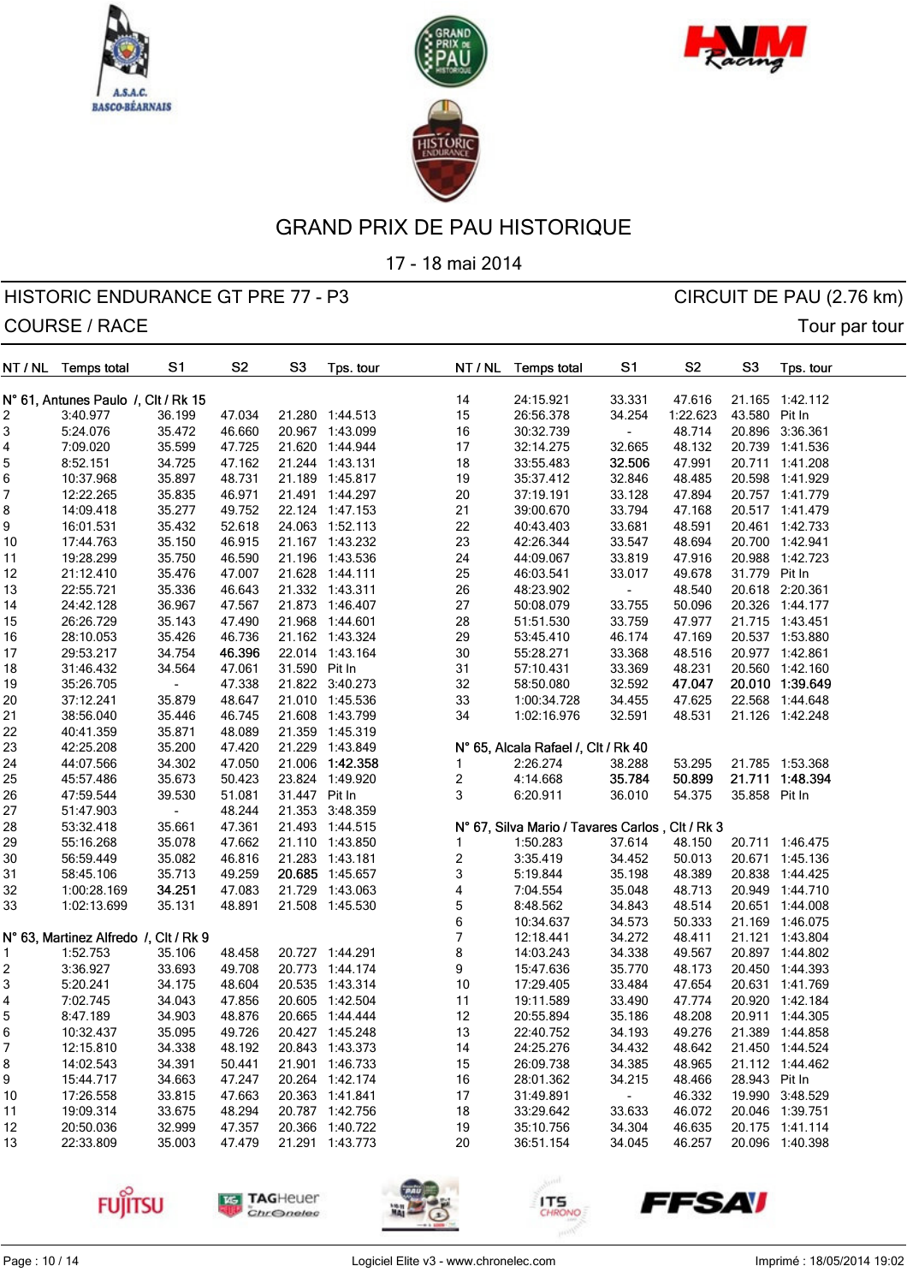





17 - 18 mai 2014

| NT / NL | Temps total                           | S <sub>1</sub> | S <sub>2</sub> | S <sub>3</sub> | Tps. tour                          |                         | NT / NL | <b>Temps total</b>                              | S <sub>1</sub> | S <sub>2</sub> | S <sub>3</sub> | Tps. tour       |  |
|---------|---------------------------------------|----------------|----------------|----------------|------------------------------------|-------------------------|---------|-------------------------------------------------|----------------|----------------|----------------|-----------------|--|
|         | N° 61, Antunes Paulo /, Clt / Rk 15   |                |                |                |                                    |                         | 14      | 24:15.921                                       | 33.331         | 47.616         |                | 21.165 1:42.112 |  |
| 2       | 3:40.977                              | 36.199         | 47.034         |                | 21.280 1:44.513                    |                         | 15      | 26:56.378                                       | 34.254         | 1:22.623       | 43.580 Pit In  |                 |  |
| 3       | 5:24.076                              | 35.472         | 46.660         |                | 20.967 1:43.099                    |                         | 16      | 30:32.739                                       | $\blacksquare$ | 48.714         |                | 20.896 3:36.361 |  |
| 4       | 7:09.020                              | 35.599         | 47.725         |                | 21.620 1:44.944                    |                         | 17      | 32:14.275                                       | 32.665         | 48.132         |                | 20.739 1:41.536 |  |
| 5       | 8:52.151                              | 34.725         | 47.162         |                | 21.244 1:43.131                    |                         | 18      | 33:55.483                                       | 32.506         | 47.991         |                | 20.711 1:41.208 |  |
| 6       | 10:37.968                             | 35.897         | 48.731         |                | 21.189 1:45.817                    |                         | 19      | 35:37.412                                       | 32.846         | 48.485         |                | 20.598 1:41.929 |  |
| 7       | 12:22.265                             | 35.835         | 46.971         |                | 21.491 1:44.297                    |                         | 20      | 37:19.191                                       | 33.128         | 47.894         |                | 20.757 1:41.779 |  |
| 8       | 14:09.418                             | 35.277         | 49.752         |                | 22.124 1:47.153                    |                         | 21      | 39:00.670                                       | 33.794         | 47.168         |                | 20.517 1:41.479 |  |
| 9       | 16:01.531                             | 35.432         | 52.618         |                | 24.063 1:52.113                    |                         | 22      | 40:43.403                                       | 33.681         | 48.591         |                | 20.461 1:42.733 |  |
| 10      | 17:44.763                             | 35.150         | 46.915         |                | 21.167 1:43.232                    |                         | 23      | 42:26.344                                       | 33.547         | 48.694         |                | 20.700 1:42.941 |  |
|         | 19:28.299                             | 35.750         | 46.590         |                | 21.196 1:43.536                    |                         | 24      | 44:09.067                                       | 33.819         | 47.916         |                | 20.988 1:42.723 |  |
| 11      |                                       |                |                |                |                                    |                         |         |                                                 |                |                |                |                 |  |
| 12      | 21:12.410                             | 35.476         | 47.007         |                | 21.628 1:44.111                    |                         | 25      | 46:03.541                                       | 33.017         | 49.678         | 31.779 Pit In  |                 |  |
| 13      | 22:55.721                             | 35.336         | 46.643         |                | 21.332 1:43.311                    |                         | 26      | 48:23.902                                       | $\blacksquare$ | 48.540         |                | 20.618 2:20.361 |  |
| 14      | 24:42.128                             | 36.967         | 47.567         |                | 21.873 1:46.407                    |                         | 27      | 50:08.079                                       | 33.755         | 50.096         |                | 20.326 1:44.177 |  |
| 15      | 26:26.729                             | 35.143         | 47.490         |                | 21.968 1:44.601                    |                         | 28      | 51:51.530                                       | 33.759         | 47.977         |                | 21.715 1:43.451 |  |
| 16      | 28:10.053                             | 35.426         | 46.736         |                | 21.162 1:43.324                    |                         | 29      | 53:45.410                                       | 46.174         | 47.169         |                | 20.537 1:53.880 |  |
| 17      | 29:53.217                             | 34.754         | 46.396         |                | 22.014 1:43.164                    |                         | 30      | 55:28.271                                       | 33.368         | 48.516         |                | 20.977 1:42.861 |  |
| 18      | 31:46.432                             | 34.564         | 47.061         | 31.590 Pit In  |                                    |                         | 31      | 57:10.431                                       | 33.369         | 48.231         |                | 20.560 1:42.160 |  |
| 19      | 35:26.705                             |                | 47.338         |                | 21.822 3:40.273                    |                         | 32      | 58:50.080                                       | 32.592         | 47.047         |                | 20.010 1:39.649 |  |
| 20      | 37:12.241                             | 35.879         | 48.647         |                | 21.010 1:45.536                    |                         | 33      | 1:00:34.728                                     | 34.455         | 47.625         |                | 22.568 1:44.648 |  |
| 21      | 38:56.040                             | 35.446         | 46.745         |                | 21.608 1:43.799                    |                         | 34      | 1:02:16.976                                     | 32.591         | 48.531         |                | 21.126 1:42.248 |  |
| 22      | 40:41.359                             | 35.871         | 48.089         |                | 21.359 1:45.319                    |                         |         |                                                 |                |                |                |                 |  |
| 23      | 42:25.208                             | 35.200         | 47.420         |                | 21.229 1:43.849                    |                         |         | N° 65, Alcala Rafael /, Clt / Rk 40             |                |                |                |                 |  |
| 24      | 44:07.566                             | 34.302         | 47.050         | 21.006         | 1:42.358                           | 1                       |         | 2:26.274                                        | 38.288         | 53.295         |                | 21.785 1:53.368 |  |
| 25      | 45:57.486                             | 35.673         | 50.423         | 23.824         | 1:49.920                           | $\overline{\mathbf{c}}$ |         | 4:14.668                                        | 35.784         | 50.899         |                | 21.711 1:48.394 |  |
| 26      | 47:59.544                             | 39.530         | 51.081         | 31.447 Pit In  |                                    | 3                       |         | 6:20.911                                        | 36.010         | 54.375         | 35.858 Pit In  |                 |  |
| 27      | 51:47.903                             |                | 48.244         |                | 21.353 3:48.359                    |                         |         |                                                 |                |                |                |                 |  |
| 28      | 53:32.418                             | 35.661         | 47.361         |                | 21.493 1:44.515                    |                         |         | N° 67, Silva Mario / Tavares Carlos, Clt / Rk 3 |                |                |                |                 |  |
| 29      | 55:16.268                             | 35.078         | 47.662         |                | 21.110 1:43.850                    | 1                       |         | 1:50.283                                        | 37.614         | 48.150         |                | 20.711 1:46.475 |  |
| 30      | 56:59.449                             | 35.082         | 46.816         |                | 21.283 1:43.181                    | $\overline{\mathbf{c}}$ |         | 3:35.419                                        | 34.452         | 50.013         |                | 20.671 1:45.136 |  |
| 31      | 58:45.106                             | 35.713         | 49.259         |                | 20.685 1:45.657                    | 3                       |         | 5:19.844                                        | 35.198         | 48.389         |                | 20.838 1:44.425 |  |
| 32      | 1:00:28.169                           | 34.251         | 47.083         |                | 21.729 1:43.063                    | $\overline{\mathbf{r}}$ |         | 7:04.554                                        | 35.048         | 48.713         |                | 20.949 1:44.710 |  |
| 33      | 1:02:13.699                           | 35.131         | 48.891         |                | 21.508 1:45.530                    | 5                       |         | 8:48.562                                        | 34.843         | 48.514         |                | 20.651 1:44.008 |  |
|         |                                       |                |                |                |                                    | 6                       |         | 10:34.637                                       | 34.573         | 50.333         |                | 21.169 1:46.075 |  |
|         | N° 63, Martinez Alfredo /, Clt / Rk 9 |                |                |                |                                    | $\overline{7}$          |         | 12:18.441                                       | 34.272         | 48.411         |                | 21.121 1:43.804 |  |
| 1       | 1:52.753                              | 35.106         | 48.458         |                | 20.727 1:44.291                    | 8                       |         | 14:03.243                                       | 34.338         | 49.567         |                | 20.897 1:44.802 |  |
| 2       | 3:36.927                              | 33.693         | 49.708         |                | 20.773 1:44.174                    | 9                       |         | 15:47.636                                       | 35.770         | 48.173         |                | 20.450 1:44.393 |  |
| 3       | 5:20.241                              | 34.175         | 48.604         |                | 20.535 1:43.314                    |                         | 10      | 17:29.405                                       | 33.484         | 47.654         |                | 20.631 1:41.769 |  |
|         |                                       |                |                |                |                                    |                         |         | 19:11.589                                       |                |                |                |                 |  |
| 4<br>5  | 7:02.745                              | 34.043         | 47.856         |                | 20.605 1:42.504<br>20.665 1:44.444 |                         | 11      |                                                 | 33.490         | 47.774         |                | 20.920 1:42.184 |  |
|         | 8:47.189                              | 34.903         | 48.876         |                |                                    |                         | 12      | 20:55.894                                       | 35.186         | 48.208         |                | 20.911 1:44.305 |  |
| 6       | 10:32.437                             | 35.095         | 49.726         |                | 20.427 1:45.248                    |                         | 13      | 22:40.752                                       | 34.193         | 49.276         |                | 21.389 1:44.858 |  |
| 7       | 12:15.810                             | 34.338         | 48.192         |                | 20.843 1:43.373                    |                         | 14      | 24:25.276                                       | 34.432         | 48.642         |                | 21.450 1:44.524 |  |
| 8       | 14:02.543                             | 34.391         | 50.441         |                | 21.901 1:46.733                    |                         | 15      | 26:09.738                                       | 34.385         | 48.965         |                | 21.112 1:44.462 |  |
| 9       | 15:44.717                             | 34.663         | 47.247         |                | 20.264 1:42.174                    |                         | 16      | 28:01.362                                       | 34.215         | 48.466         | 28.943 Pit In  |                 |  |
| 10      | 17:26.558                             | 33.815         | 47.663         |                | 20.363 1:41.841                    |                         | 17      | 31:49.891                                       | $\blacksquare$ | 46.332         |                | 19.990 3:48.529 |  |
| 11      | 19:09.314                             | 33.675         | 48.294         |                | 20.787 1:42.756                    |                         | 18      | 33:29.642                                       | 33.633         | 46.072         |                | 20.046 1:39.751 |  |
| 12      | 20:50.036                             | 32.999         | 47.357         |                | 20.366 1:40.722                    |                         | 19      | 35:10.756                                       | 34.304         | 46.635         |                | 20.175 1:41.114 |  |
| 13      | 22:33.809                             | 35.003         | 47.479         |                | 21.291 1:43.773                    |                         | 20      | 36:51.154                                       | 34.045         | 46.257         |                | 20.096 1:40.398 |  |
|         |                                       |                |                |                |                                    |                         |         |                                                 |                |                |                |                 |  |









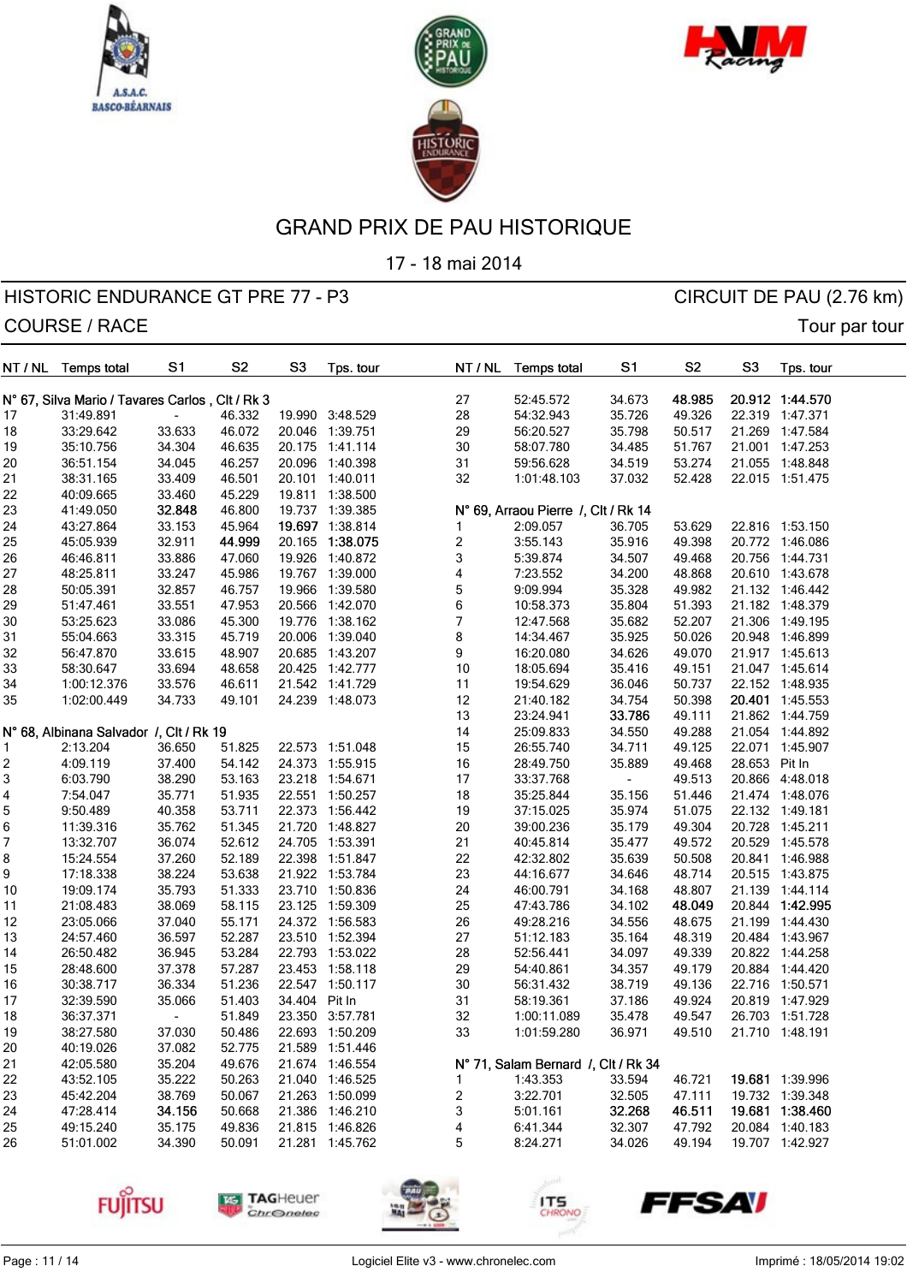





17 - 18 mai 2014

## HISTORIC ENDURANCE GT PRE 77 - P3 CIRCUIT DE PAU (2.76 km) COURSE / RACE Tour partour

| NT / NL  | <b>Temps total</b>                              | S1                       | S <sub>2</sub> | S <sub>3</sub> | Tps. tour       | NT / NL                 | <b>Temps total</b>                  | S <sub>1</sub>   | S <sub>2</sub>   | S <sub>3</sub> | Tps. tour       |
|----------|-------------------------------------------------|--------------------------|----------------|----------------|-----------------|-------------------------|-------------------------------------|------------------|------------------|----------------|-----------------|
|          | N° 67, Silva Mario / Tavares Carlos, Clt / Rk 3 |                          |                |                |                 | 27                      | 52:45.572                           | 34.673           | 48.985           |                | 20.912 1:44.570 |
| 17       | 31:49.891                                       |                          | 46.332         |                | 19.990 3:48.529 | 28                      | 54:32.943                           | 35.726           | 49.326           |                | 22.319 1:47.371 |
| 18       | 33:29.642                                       | 33.633                   | 46.072         |                | 20.046 1:39.751 | 29                      | 56:20.527                           | 35.798           | 50.517           |                | 21.269 1:47.584 |
| 19       | 35:10.756                                       | 34.304                   | 46.635         |                | 20.175 1:41.114 | $30\,$                  | 58:07.780                           | 34.485           | 51.767           |                | 21.001 1:47.253 |
| 20       | 36:51.154                                       | 34.045                   | 46.257         | 20.096         | 1:40.398        | 31                      | 59:56.628                           | 34.519           | 53.274           | 21.055         | 1:48.848        |
| 21       | 38:31.165                                       | 33.409                   | 46.501         |                | 20.101 1:40.011 | 32                      | 1:01:48.103                         | 37.032           | 52.428           |                | 22.015 1:51.475 |
| 22       | 40:09.665                                       | 33.460                   | 45.229         |                | 19.811 1:38.500 |                         |                                     |                  |                  |                |                 |
|          | 41:49.050                                       | 32.848                   | 46.800         |                | 19.737 1:39.385 |                         | N° 69, Arraou Pierre /, Clt / Rk 14 |                  |                  |                |                 |
| 23<br>24 |                                                 |                          | 45.964         |                | 19.697 1:38.814 | 1                       | 2:09.057                            |                  |                  |                | 22.816 1:53.150 |
| 25       | 43:27.864<br>45:05.939                          | 33.153<br>32.911         | 44.999         | 20.165         | 1:38.075        |                         | 3:55.143                            | 36.705<br>35.916 | 53.629<br>49.398 |                | 20.772 1:46.086 |
|          | 46:46.811                                       |                          |                | 19.926         |                 | $\overline{\mathbf{c}}$ |                                     |                  |                  |                | 20.756 1:44.731 |
| 26       |                                                 | 33.886                   | 47.060         |                | 1:40.872        | 3                       | 5:39.874                            | 34.507           | 49.468           |                |                 |
| 27       | 48:25.811                                       | 33.247                   | 45.986         |                | 19.767 1:39.000 | 4                       | 7:23.552                            | 34.200           | 48.868           |                | 20.610 1:43.678 |
| 28       | 50:05.391                                       | 32.857                   | 46.757         | 19.966         | 1:39.580        | 5                       | 9:09.994                            | 35.328           | 49.982           |                | 21.132 1:46.442 |
| 29       | 51:47.461                                       | 33.551                   | 47.953         | 20.566         | 1:42.070        | 6                       | 10:58.373                           | 35.804           | 51.393           |                | 21.182 1:48.379 |
| 30       | 53:25.623                                       | 33.086                   | 45.300         | 19.776         | 1:38.162        | $\overline{7}$          | 12:47.568                           | 35.682           | 52.207           |                | 21.306 1:49.195 |
| 31       | 55:04.663                                       | 33.315                   | 45.719         | 20.006         | 1:39.040        | 8                       | 14:34.467                           | 35.925           | 50.026           |                | 20.948 1:46.899 |
| 32       | 56:47.870                                       | 33.615                   | 48.907         | 20.685         | 1:43.207        | 9                       | 16:20.080                           | 34.626           | 49.070           |                | 21.917 1:45.613 |
| 33       | 58:30.647                                       | 33.694                   | 48.658         | 20.425         | 1:42.777        | 10                      | 18:05.694                           | 35.416           | 49.151           |                | 21.047 1:45.614 |
| 34       | 1:00:12.376                                     | 33.576                   | 46.611         |                | 21.542 1:41.729 | 11                      | 19:54.629                           | 36.046           | 50.737           |                | 22.152 1:48.935 |
| 35       | 1:02:00.449                                     | 34.733                   | 49.101         |                | 24.239 1:48.073 | 12                      | 21:40.182                           | 34.754           | 50.398           |                | 20.401 1:45.553 |
|          |                                                 |                          |                |                |                 | 13                      | 23:24.941                           | 33.786           | 49.111           |                | 21.862 1:44.759 |
|          | N° 68, Albinana Salvador /, Clt / Rk 19         |                          |                |                |                 | 14                      | 25:09.833                           | 34.550           | 49.288           |                | 21.054 1:44.892 |
| 1        | 2:13.204                                        | 36.650                   | 51.825         |                | 22.573 1:51.048 | 15                      | 26:55.740                           | 34.711           | 49.125           | 22.071         | 1:45.907        |
| 2        | 4:09.119                                        | 37.400                   | 54.142         |                | 24.373 1:55.915 | 16                      | 28:49.750                           | 35.889           | 49.468           | 28.653 Pit In  |                 |
| 3        | 6:03.790                                        | 38.290                   | 53.163         | 23.218         | 1:54.671        | 17                      | 33:37.768                           |                  | 49.513           |                | 20.866 4:48.018 |
| 4        | 7:54.047                                        | 35.771                   | 51.935         |                | 22.551 1:50.257 | 18                      | 35:25.844                           | 35.156           | 51.446           |                | 21.474 1:48.076 |
| 5        | 9:50.489                                        | 40.358                   | 53.711         |                | 22.373 1:56.442 | 19                      | 37:15.025                           | 35.974           | 51.075           |                | 22.132 1:49.181 |
| 6        | 11:39.316                                       | 35.762                   | 51.345         | 21.720         | 1:48.827        | 20                      | 39:00.236                           | 35.179           | 49.304           | 20.728         | 1:45.211        |
| 7        | 13:32.707                                       | 36.074                   | 52.612         | 24.705         | 1:53.391        | 21                      | 40:45.814                           | 35.477           | 49.572           | 20.529         | 1:45.578        |
| 8        | 15:24.554                                       | 37.260                   | 52.189         |                | 22.398 1:51.847 | 22                      | 42:32.802                           | 35.639           | 50.508           | 20.841         | 1:46.988        |
| 9        | 17:18.338                                       | 38.224                   | 53.638         |                | 21.922 1:53.784 | 23                      | 44:16.677                           | 34.646           | 48.714           |                | 20.515 1:43.875 |
| 10       | 19:09.174                                       | 35.793                   | 51.333         | 23.710         | 1:50.836        | 24                      | 46:00.791                           | 34.168           | 48.807           |                | 21.139 1:44.114 |
| 11       | 21:08.483                                       | 38.069                   | 58.115         |                | 23.125 1:59.309 | 25                      | 47:43.786                           | 34.102           | 48.049           |                | 20.844 1:42.995 |
| 12       | 23:05.066                                       | 37.040                   | 55.171         |                | 24.372 1:56.583 | 26                      | 49:28.216                           | 34.556           | 48.675           |                | 21.199 1:44.430 |
| 13       | 24:57.460                                       | 36.597                   | 52.287         |                | 23.510 1:52.394 | 27                      | 51:12.183                           | 35.164           | 48.319           |                | 20.484 1:43.967 |
| 14       | 26:50.482                                       | 36.945                   | 53.284         |                | 22.793 1:53.022 | 28                      | 52:56.441                           | 34.097           | 49.339           |                | 20.822 1:44.258 |
| 15       | 28:48.600                                       | 37.378                   | 57.287         |                | 23.453 1:58.118 | 29                      | 54:40.861                           | 34.357           | 49.179           |                | 20.884 1:44.420 |
| 16       | 30:38.717                                       | 36.334                   | 51.236         |                | 22.547 1:50.117 | 30                      | 56:31.432                           | 38.719           | 49.136           |                | 22.716 1:50.571 |
| 17       | 32:39.590                                       | 35.066                   | 51.403         | 34.404         | Pit In          | 31                      | 58:19.361                           | 37.186           | 49.924           |                | 20.819 1:47.929 |
| 18       | 36:37.371                                       | $\overline{\phantom{a}}$ | 51.849         |                | 23.350 3:57.781 | 32                      | 1:00:11.089                         | 35.478           | 49.547           |                | 26.703 1:51.728 |
| 19       | 38:27.580                                       | 37.030                   | 50.486         |                | 22.693 1:50.209 | 33                      | 1:01:59.280                         | 36.971           | 49.510           |                | 21.710 1:48.191 |
| 20       | 40:19.026                                       | 37.082                   | 52.775         |                | 21.589 1:51.446 |                         |                                     |                  |                  |                |                 |
| 21       | 42:05.580                                       | 35.204                   | 49.676         |                | 21.674 1:46.554 |                         | N° 71, Salam Bernard /, Clt / Rk 34 |                  |                  |                |                 |
| 22       | 43:52.105                                       | 35.222                   | 50.263         |                | 21.040 1:46.525 | 1                       | 1:43.353                            | 33.594           | 46.721           |                | 19.681 1:39.996 |
| 23       | 45:42.204                                       | 38.769                   | 50.067         |                | 21.263 1:50.099 | 2                       | 3:22.701                            | 32.505           | 47.111           |                | 19.732 1:39.348 |
| 24       | 47:28.414                                       | 34.156                   | 50.668         |                | 21.386 1:46.210 | 3                       | 5:01.161                            | 32.268           | 46.511           |                | 19.681 1:38.460 |
| 25       | 49:15.240                                       | 35.175                   | 49.836         |                | 21.815 1:46.826 | 4                       | 6:41.344                            | 32.307           | 47.792           |                | 20.084 1:40.183 |
| 26       | 51:01.002                                       | 34.390                   | 50.091         |                | 21.281 1:45.762 | 5                       | 8:24.271                            | 34.026           | 49.194           |                | 19.707 1:42.927 |
|          |                                                 |                          |                |                |                 |                         |                                     |                  |                  |                |                 |









ITS

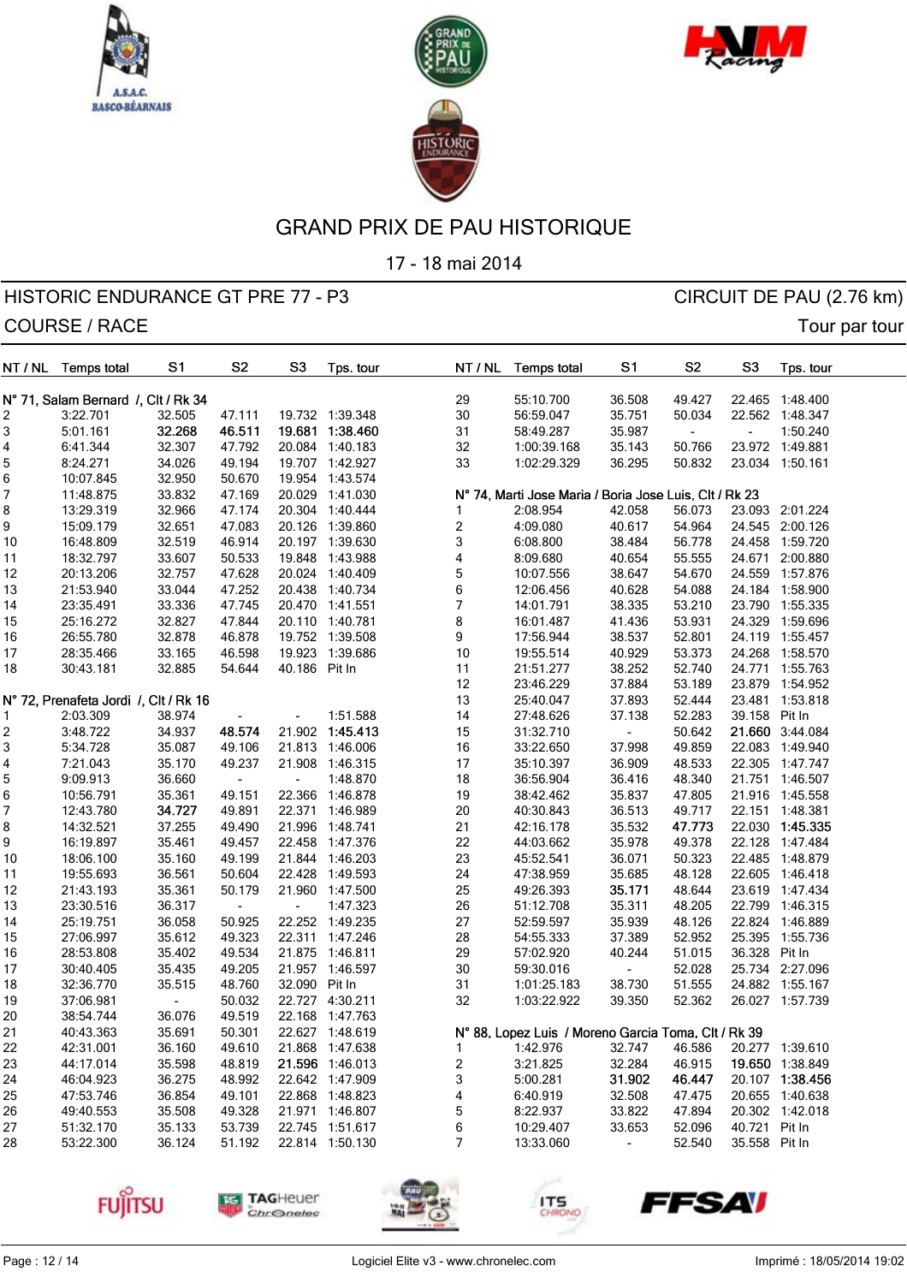





17 - 18 mai 2014

| NT / NL | <b>Temps total</b>                    | S1     | S <sub>2</sub>           | S <sub>3</sub>           | Tps. tour       | NT / NL                 | <b>Temps total</b>                                     | S <sub>1</sub>           | S <sub>2</sub>           | S <sub>3</sub> | Tps. tour       |
|---------|---------------------------------------|--------|--------------------------|--------------------------|-----------------|-------------------------|--------------------------------------------------------|--------------------------|--------------------------|----------------|-----------------|
|         | N° 71, Salam Bernard /, Clt / Rk 34   |        |                          |                          |                 | 29                      | 55:10.700                                              | 36.508                   | 49.427                   |                | 22.465 1:48.400 |
| 2       | 3:22.701                              | 32.505 | 47.111                   |                          | 19.732 1:39.348 | 30                      | 56:59.047                                              | 35.751                   | 50.034                   |                | 22.562 1:48.347 |
| 3       | 5:01.161                              | 32.268 | 46.511                   | 19.681                   | 1:38.460        | 31                      | 58:49.287                                              | 35.987                   | $\overline{\phantom{a}}$ | $\blacksquare$ | 1:50.240        |
| 4       | 6:41.344                              | 32.307 | 47.792                   |                          | 20.084 1:40.183 | 32                      | 1:00:39.168                                            | 35.143                   | 50.766                   |                | 23.972 1:49.881 |
| 5       | 8:24.271                              | 34.026 | 49.194                   |                          | 19.707 1:42.927 | 33                      | 1:02:29.329                                            | 36.295                   | 50.832                   |                | 23.034 1:50.161 |
| 6       | 10:07.845                             | 32.950 | 50.670                   |                          | 19.954 1:43.574 |                         |                                                        |                          |                          |                |                 |
| 7       | 11:48.875                             | 33.832 | 47.169                   | 20.029                   | 1:41.030        |                         | Nº 74, Marti Jose Maria / Boria Jose Luis, Clt / Rk 23 |                          |                          |                |                 |
| 8       | 13:29.319                             | 32.966 | 47.174                   | 20.304                   | 1:40.444        |                         | 2:08.954                                               | 42.058                   | 56.073                   |                | 23.093 2:01.224 |
|         | 15:09.179                             | 32.651 | 47.083                   | 20.126                   | 1:39.860        | $\overline{\mathbf{c}}$ | 4:09.080                                               | 40.617                   | 54.964                   |                | 24.545 2:00.126 |
| 9<br>10 | 16:48.809                             | 32.519 | 46.914                   |                          | 20.197 1:39.630 | 3                       | 6:08.800                                               | 38.484                   | 56.778                   | 24.458         | 1:59.720        |
|         |                                       |        |                          | 19.848                   |                 |                         | 8:09.680                                               | 40.654                   |                          |                |                 |
| 11      | 18:32.797                             | 33.607 | 50.533                   |                          | 1:43.988        | 4                       |                                                        |                          | 55.555                   |                | 24.671 2:00.880 |
| 12      | 20:13.206                             | 32.757 | 47.628                   |                          | 20.024 1:40.409 | 5                       | 10:07.556                                              | 38.647                   | 54.670                   |                | 24.559 1:57.876 |
| 13      | 21:53.940                             | 33.044 | 47.252                   | 20.438                   | 1:40.734        | 6                       | 12:06.456                                              | 40.628                   | 54.088                   |                | 24.184 1:58.900 |
| 14      | 23:35.491                             | 33.336 | 47.745                   |                          | 20.470 1:41.551 | 7                       | 14:01.791                                              | 38.335                   | 53.210                   | 23.790         | 1:55.335        |
| 15      | 25:16.272                             | 32.827 | 47.844                   |                          | 20.110 1:40.781 | 8                       | 16:01.487                                              | 41.436                   | 53.931                   | 24.329         | 1:59.696        |
| 16      | 26:55.780                             | 32.878 | 46.878                   |                          | 19.752 1:39.508 | 9                       | 17:56.944                                              | 38.537                   | 52.801                   |                | 24.119 1:55.457 |
| 17      | 28:35.466                             | 33.165 | 46.598                   | 19.923                   | 1:39.686        | 10                      | 19:55.514                                              | 40.929                   | 53.373                   |                | 24.268 1:58.570 |
| 18      | 30:43.181                             | 32.885 | 54.644                   | 40.186                   | Pit In          | 11                      | 21:51.277                                              | 38.252                   | 52.740                   | 24.771         | 1:55.763        |
|         |                                       |        |                          |                          |                 | 12                      | 23:46.229                                              | 37.884                   | 53.189                   | 23.879         | 1:54.952        |
|         | N° 72, Prenafeta Jordi /, Clt / Rk 16 |        |                          |                          |                 | 13                      | 25:40.047                                              | 37.893                   | 52.444                   | 23.481         | 1:53.818        |
| 1       | 2:03.309                              | 38.974 |                          | ä,                       | 1:51.588        | 14                      | 27:48.626                                              | 37.138                   | 52.283                   | 39.158         | Pit In          |
| 2       | 3:48.722                              | 34.937 | 48.574                   | 21.902                   | 1:45.413        | 15                      | 31:32.710                                              |                          | 50.642                   |                | 21.660 3:44.084 |
| 3       | 5:34.728                              | 35.087 | 49.106                   | 21.813                   | 1:46.006        | 16                      | 33:22.650                                              | 37.998                   | 49.859                   |                | 22.083 1:49.940 |
| 4       | 7:21.043                              | 35.170 | 49.237                   | 21.908                   | 1:46.315        | 17                      | 35:10.397                                              | 36.909                   | 48.533                   |                | 22.305 1:47.747 |
| 5       | 9:09.913                              | 36.660 | $\overline{\phantom{a}}$ | $\blacksquare$           | 1:48.870        | 18                      | 36:56.904                                              | 36.416                   | 48.340                   |                | 21.751 1:46.507 |
| 6       | 10:56.791                             | 35.361 | 49.151                   | 22.366                   | 1:46.878        | 19                      | 38:42.462                                              | 35.837                   | 47.805                   |                | 21.916 1:45.558 |
| 7       | 12:43.780                             | 34.727 | 49.891                   | 22.371                   | 1:46.989        | 20                      | 40:30.843                                              | 36.513                   | 49.717                   |                | 22.151 1:48.381 |
| 8       | 14:32.521                             | 37.255 | 49.490                   | 21.996                   | 1:48.741        | 21                      | 42:16.178                                              | 35.532                   | 47.773                   | 22.030         | 1:45.335        |
| 9       | 16:19.897                             | 35.461 | 49.457                   | 22.458                   | 1:47.376        | 22                      | 44:03.662                                              | 35.978                   | 49.378                   | 22.128         | 1:47.484        |
| 10      | 18:06.100                             | 35.160 | 49.199                   | 21.844                   | 1:46.203        | 23                      | 45:52.541                                              | 36.071                   | 50.323                   |                | 22.485 1:48.879 |
| 11      | 19:55.693                             | 36.561 | 50.604                   | 22.428                   | 1:49.593        | 24                      | 47:38.959                                              | 35.685                   | 48.128                   |                | 22.605 1:46.418 |
| 12      | 21:43.193                             | 35.361 | 50.179                   | 21.960                   | 1:47.500        | 25                      | 49:26.393                                              | 35.171                   | 48.644                   | 23.619         | 1:47.434        |
| 13      | 23:30.516                             | 36.317 | $\overline{\phantom{a}}$ | $\overline{\phantom{a}}$ | 1:47.323        | 26                      | 51:12.708                                              | 35.311                   | 48.205                   |                | 22.799 1:46.315 |
| 14      | 25:19.751                             | 36.058 | 50.925                   |                          | 22.252 1:49.235 | 27                      | 52:59.597                                              | 35.939                   | 48.126                   |                | 22.824 1:46.889 |
| 15      | 27:06.997                             | 35.612 | 49.323                   | 22.311                   | 1:47.246        | 28                      | 54:55.333                                              | 37.389                   | 52.952                   | 25.395         | 1:55.736        |
| 16      | 28:53.808                             | 35.402 | 49.534                   |                          | 21.875 1:46.811 | 29                      | 57:02.920                                              | 40.244                   | 51.015                   | 36.328 Pit In  |                 |
| 17      | 30:40.405                             | 35.435 | 49.205                   |                          | 21.957 1:46.597 | 30                      | 59:30.016                                              |                          | 52.028                   |                | 25.734 2:27.096 |
| 18      | 32:36.770                             | 35.515 | 48.760                   | 32.090 Pit In            |                 | 31                      | 1:01:25.183                                            | 38.730                   | 51.555                   |                | 24.882 1:55.167 |
| 19      | 37:06.981                             |        | 50.032                   | 22.727                   | 4:30.211        | 32                      | 1:03:22.922                                            | 39.350                   | 52.362                   |                | 26.027 1:57.739 |
| 20      | 38:54.744                             | 36.076 | 49.519                   |                          | 22.168 1:47.763 |                         |                                                        |                          |                          |                |                 |
| 21      | 40:43.363                             | 35.691 | 50.301                   |                          | 22.627 1:48.619 |                         | N° 88, Lopez Luis / Moreno Garcia Toma, Clt / Rk 39    |                          |                          |                |                 |
| 22      | 42:31.001                             | 36.160 | 49.610                   |                          | 21.868 1:47.638 | 1                       | 1:42.976                                               | 32.747                   | 46.586                   |                | 20.277 1:39.610 |
| 23      | 44:17.014                             | 35.598 | 48.819                   |                          | 21.596 1:46.013 | 2                       | 3:21.825                                               | 32.284                   | 46.915                   |                | 19.650 1:38.849 |
| 24      | 46:04.923                             | 36.275 | 48.992                   |                          | 22.642 1:47.909 | 3                       | 5:00.281                                               | 31.902                   | 46.447                   |                | 20.107 1:38.456 |
| 25      | 47:53.746                             | 36.854 | 49.101                   |                          | 22.868 1:48.823 | 4                       | 6:40.919                                               | 32.508                   | 47.475                   |                | 20.655 1:40.638 |
| 26      | 49:40.553                             | 35.508 | 49.328                   |                          | 21.971 1:46.807 | 5                       | 8:22.937                                               | 33.822                   | 47.894                   |                | 20.302 1:42.018 |
| 27      | 51:32.170                             | 35.133 | 53.739                   |                          | 22.745 1:51.617 | 6                       | 10:29.407                                              | 33.653                   | 52.096                   | 40.721 Pit In  |                 |
| 28      | 53:22.300                             | 36.124 | 51.192                   |                          | 22.814 1:50.130 | 7                       | 13:33.060                                              | $\overline{\phantom{a}}$ | 52.540                   | 35.558 Pit In  |                 |
|         |                                       |        |                          |                          |                 |                         |                                                        |                          |                          |                |                 |









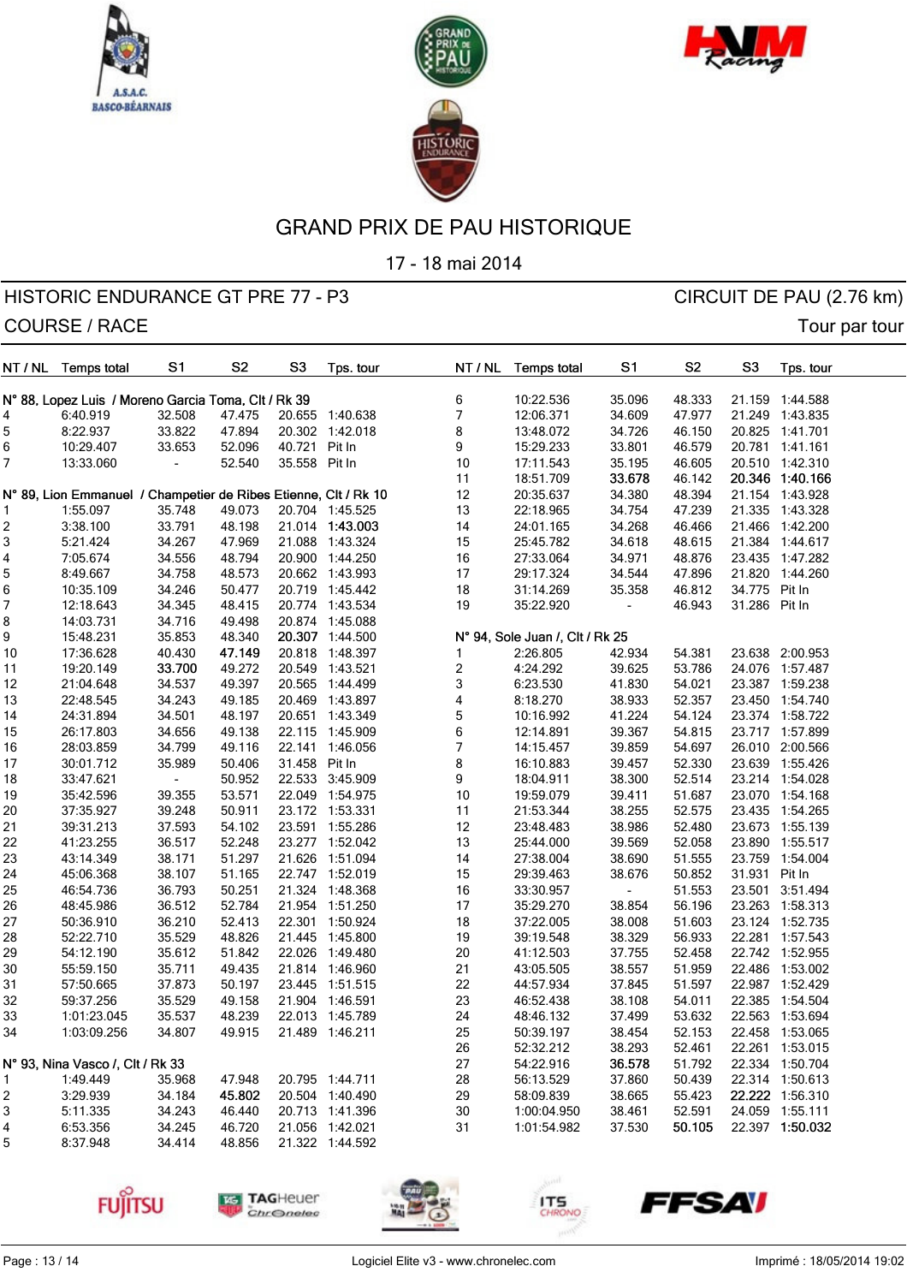





17 - 18 mai 2014

| NT / NL | <b>Temps total</b>                                              | S <sub>1</sub> | S <sub>2</sub> | S <sub>3</sub> | Tps. tour       |   | NT / NL | <b>Temps total</b>              | S1     | S <sub>2</sub> | S <sub>3</sub> | Tps. tour       |  |
|---------|-----------------------------------------------------------------|----------------|----------------|----------------|-----------------|---|---------|---------------------------------|--------|----------------|----------------|-----------------|--|
|         | N° 88, Lopez Luis / Moreno Garcia Toma, Clt / Rk 39             |                |                |                |                 | 6 |         | 10:22.536                       | 35.096 | 48.333         |                | 21.159 1:44.588 |  |
| 4       | 6:40.919                                                        | 32.508         | 47.475         |                | 20.655 1:40.638 | 7 |         | 12:06.371                       | 34.609 | 47.977         |                | 21.249 1:43.835 |  |
| 5       | 8:22.937                                                        | 33.822         | 47.894         |                | 20.302 1:42.018 | 8 |         | 13:48.072                       | 34.726 | 46.150         |                | 20.825 1:41.701 |  |
| 6       | 10:29.407                                                       | 33.653         | 52.096         | 40.721         | Pit In          | 9 |         | 15:29.233                       | 33.801 | 46.579         |                | 20.781 1:41.161 |  |
| 7       | 13:33.060                                                       |                | 52.540         | 35.558 Pit In  |                 |   | $10$    | 17:11.543                       | 35.195 | 46.605         |                | 20.510 1:42.310 |  |
|         |                                                                 |                |                |                |                 |   | 11      | 18:51.709                       | 33.678 | 46.142         |                | 20.346 1:40.166 |  |
|         | N° 89, Lion Emmanuel / Champetier de Ribes Etienne, Clt / Rk 10 |                |                |                |                 |   | 12      | 20:35.637                       | 34.380 | 48.394         |                | 21.154 1:43.928 |  |
| 1       | 1:55.097                                                        | 35.748         | 49.073         |                | 20.704 1:45.525 |   | 13      | 22:18.965                       | 34.754 | 47.239         |                | 21.335 1:43.328 |  |
| 2       | 3:38.100                                                        | 33.791         | 48.198         |                | 21.014 1:43.003 |   | 14      | 24:01.165                       | 34.268 | 46.466         |                | 21.466 1:42.200 |  |
| 3       | 5:21.424                                                        | 34.267         | 47.969         |                | 21.088 1:43.324 |   | 15      | 25:45.782                       | 34.618 | 48.615         |                | 21.384 1:44.617 |  |
|         | 7:05.674                                                        | 34.556         | 48.794         |                | 20.900 1:44.250 |   | $16$    | 27:33.064                       | 34.971 | 48.876         |                | 23.435 1:47.282 |  |
| 4       |                                                                 |                |                |                |                 |   |         |                                 | 34.544 |                |                |                 |  |
| 5       | 8:49.667                                                        | 34.758         | 48.573         |                | 20.662 1:43.993 |   | 17      | 29:17.324                       |        | 47.896         |                | 21.820 1:44.260 |  |
| 6       | 10:35.109                                                       | 34.246         | 50.477         |                | 20.719 1:45.442 |   | $18\,$  | 31:14.269                       | 35.358 | 46.812         | 34.775 Pit In  |                 |  |
| 7       | 12:18.643                                                       | 34.345         | 48.415         |                | 20.774 1:43.534 |   | 19      | 35:22.920                       |        | 46.943         | 31.286 Pit In  |                 |  |
| 8       | 14:03.731                                                       | 34.716         | 49.498         |                | 20.874 1:45.088 |   |         |                                 |        |                |                |                 |  |
| 9       | 15:48.231                                                       | 35.853         | 48.340         |                | 20.307 1:44.500 |   |         | N° 94, Sole Juan /, Clt / Rk 25 |        |                |                |                 |  |
| 10      | 17:36.628                                                       | 40.430         | 47.149         |                | 20.818 1:48.397 | 1 |         | 2:26.805                        | 42.934 | 54.381         |                | 23.638 2:00.953 |  |
| 11      | 19:20.149                                                       | 33.700         | 49.272         |                | 20.549 1:43.521 | 2 |         | 4:24.292                        | 39.625 | 53.786         |                | 24.076 1:57.487 |  |
| 12      | 21:04.648                                                       | 34.537         | 49.397         |                | 20.565 1:44.499 | 3 |         | 6:23.530                        | 41.830 | 54.021         |                | 23.387 1:59.238 |  |
| 13      | 22:48.545                                                       | 34.243         | 49.185         |                | 20.469 1:43.897 | 4 |         | 8:18.270                        | 38.933 | 52.357         |                | 23.450 1:54.740 |  |
| 14      | 24:31.894                                                       | 34.501         | 48.197         |                | 20.651 1:43.349 | 5 |         | 10:16.992                       | 41.224 | 54.124         |                | 23.374 1:58.722 |  |
| 15      | 26:17.803                                                       | 34.656         | 49.138         |                | 22.115 1:45.909 | 6 |         | 12:14.891                       | 39.367 | 54.815         |                | 23.717 1:57.899 |  |
| 16      | 28:03.859                                                       | 34.799         | 49.116         |                | 22.141 1:46.056 | 7 |         | 14:15.457                       | 39.859 | 54.697         |                | 26.010 2:00.566 |  |
| 17      | 30:01.712                                                       | 35.989         | 50.406         | 31.458 Pit In  |                 | 8 |         | 16:10.883                       | 39.457 | 52.330         |                | 23.639 1:55.426 |  |
| 18      | 33:47.621                                                       |                | 50.952         |                | 22.533 3:45.909 | 9 |         | 18:04.911                       | 38.300 | 52.514         |                | 23.214 1:54.028 |  |
| 19      | 35:42.596                                                       | 39.355         | 53.571         |                | 22.049 1:54.975 |   | $10$    | 19:59.079                       | 39.411 | 51.687         |                | 23.070 1:54.168 |  |
| 20      | 37:35.927                                                       | 39.248         | 50.911         |                | 23.172 1:53.331 |   | 11      | 21:53.344                       | 38.255 | 52.575         |                | 23.435 1:54.265 |  |
| 21      | 39:31.213                                                       | 37.593         | 54.102         |                | 23.591 1:55.286 |   | 12      | 23:48.483                       | 38.986 | 52.480         |                | 23.673 1:55.139 |  |
| 22      | 41:23.255                                                       | 36.517         | 52.248         |                | 23.277 1:52.042 |   | 13      | 25:44.000                       | 39.569 | 52.058         |                | 23.890 1:55.517 |  |
| 23      | 43:14.349                                                       | 38.171         | 51.297         | 21.626         | 1:51.094        |   | 14      | 27:38.004                       | 38.690 | 51.555         | 23.759         | 1:54.004        |  |
| 24      | 45:06.368                                                       | 38.107         | 51.165         |                | 22.747 1:52.019 |   | 15      | 29:39.463                       | 38.676 | 50.852         | 31.931 Pit In  |                 |  |
| 25      | 46:54.736                                                       | 36.793         | 50.251         |                | 21.324 1:48.368 |   | $16$    | 33:30.957                       |        | 51.553         | 23.501         | 3:51.494        |  |
| 26      | 48:45.986                                                       | 36.512         | 52.784         |                | 21.954 1:51.250 |   | 17      | 35:29.270                       | 38.854 | 56.196         |                | 23.263 1:58.313 |  |
| 27      | 50:36.910                                                       | 36.210         | 52.413         |                | 22.301 1:50.924 |   | 18      | 37:22.005                       | 38.008 | 51.603         |                | 23.124 1:52.735 |  |
| 28      | 52:22.710                                                       | 35.529         | 48.826         |                | 21.445 1:45.800 |   | 19      | 39:19.548                       | 38.329 | 56.933         |                | 22.281 1:57.543 |  |
| 29      | 54:12.190                                                       | 35.612         | 51.842         |                | 22.026 1:49.480 |   | 20      | 41:12.503                       | 37.755 | 52.458         |                | 22.742 1:52.955 |  |
| 30      | 55:59.150                                                       | 35.711         | 49.435         |                | 21.814 1:46.960 |   | 21      | 43:05.505                       | 38.557 | 51.959         |                | 22.486 1:53.002 |  |
| 31      | 57:50.665                                                       | 37.873         | 50.197         |                | 23.445 1:51.515 |   | 22      | 44:57.934                       | 37.845 | 51.597         |                | 22.987 1:52.429 |  |
| 32      | 59:37.256                                                       | 35.529         | 49.158         |                | 21.904 1:46.591 |   | 23      | 46:52.438                       | 38.108 | 54.011         |                | 22.385 1:54.504 |  |
| 33      | 1:01:23.045                                                     | 35.537         | 48.239         |                | 22.013 1:45.789 |   | 24      | 48:46.132                       | 37.499 | 53.632         |                | 22.563 1:53.694 |  |
| 34      | 1:03:09.256                                                     | 34.807         | 49.915         |                | 21.489 1:46.211 |   | 25      | 50:39.197                       | 38.454 | 52.153         |                | 22.458 1:53.065 |  |
|         |                                                                 |                |                |                |                 |   | 26      | 52:32.212                       | 38.293 | 52.461         |                | 22.261 1:53.015 |  |
|         | N° 93, Nina Vasco /, Clt / Rk 33                                |                |                |                |                 |   | 27      | 54:22.916                       | 36.578 | 51.792         |                | 22.334 1:50.704 |  |
| 1       | 1:49.449                                                        | 35.968         | 47.948         |                | 20.795 1:44.711 |   | 28      | 56:13.529                       | 37.860 | 50.439         |                | 22.314 1:50.613 |  |
| 2       | 3:29.939                                                        | 34.184         | 45.802         |                | 20.504 1:40.490 |   | 29      | 58:09.839                       | 38.665 | 55.423         |                | 22.222 1:56.310 |  |
| 3       | 5:11.335                                                        | 34.243         | 46.440         |                | 20.713 1:41.396 |   | 30      | 1:00:04.950                     | 38.461 | 52.591         |                | 24.059 1:55.111 |  |
| 4       | 6:53.356                                                        | 34.245         | 46.720         |                | 21.056 1:42.021 |   | 31      | 1:01:54.982                     | 37.530 | 50.105         |                | 22.397 1:50.032 |  |
| 5       | 8:37.948                                                        | 34.414         | 48.856         |                | 21.322 1:44.592 |   |         |                                 |        |                |                |                 |  |
|         |                                                                 |                |                |                |                 |   |         |                                 |        |                |                |                 |  |